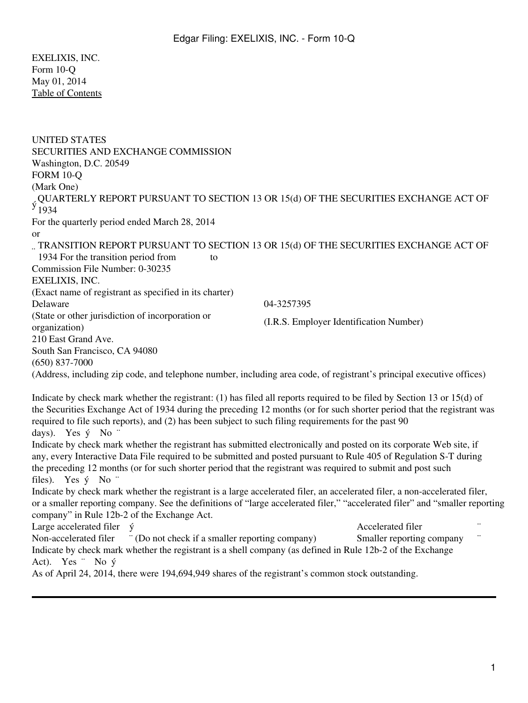EXELIXIS, INC. Form 10-Q May 01, 2014 [Table of Contents](#page-1-0)

| <b>UNITED STATES</b><br>SECURITIES AND EXCHANGE COMMISSION<br>Washington, D.C. 20549<br><b>FORM 10-Q</b><br>(Mark One)<br>, QUARTERLY REPORT PURSUANT TO SECTION 13 OR 15(d) OF THE SECURITIES EXCHANGE ACT OF<br>$\frac{y}{1934}$                                                                                                                                              |
|---------------------------------------------------------------------------------------------------------------------------------------------------------------------------------------------------------------------------------------------------------------------------------------------------------------------------------------------------------------------------------|
| For the quarterly period ended March 28, 2014                                                                                                                                                                                                                                                                                                                                   |
| <sub>or</sub><br>TRANSITION REPORT PURSUANT TO SECTION 13 OR 15(d) OF THE SECURITIES EXCHANGE ACT OF<br>1934 For the transition period from<br>to<br>Commission File Number: 0-30235<br>EXELIXIS, INC.                                                                                                                                                                          |
| (Exact name of registrant as specified in its charter)                                                                                                                                                                                                                                                                                                                          |
| Delaware<br>04-3257395<br>(State or other jurisdiction of incorporation or                                                                                                                                                                                                                                                                                                      |
| (I.R.S. Employer Identification Number)<br>organization)                                                                                                                                                                                                                                                                                                                        |
| 210 East Grand Ave.                                                                                                                                                                                                                                                                                                                                                             |
| South San Francisco, CA 94080                                                                                                                                                                                                                                                                                                                                                   |
| $(650)$ 837-7000<br>(Address, including zip code, and telephone number, including area code, of registrant's principal executive offices)                                                                                                                                                                                                                                       |
|                                                                                                                                                                                                                                                                                                                                                                                 |
| Indicate by check mark whether the registrant: (1) has filed all reports required to be filed by Section 13 or 15(d) of<br>the Securities Exchange Act of 1934 during the preceding 12 months (or for such shorter period that the registrant was<br>required to file such reports), and (2) has been subject to such filing requirements for the past 90<br>days). Yes ý No "  |
| Indicate by check mark whether the registrant has submitted electronically and posted on its corporate Web site, if<br>any, every Interactive Data File required to be submitted and posted pursuant to Rule 405 of Regulation S-T during<br>the preceding 12 months (or for such shorter period that the registrant was required to submit and post such<br>files). Yes ý No " |
| Indicate by check mark whether the registrant is a large accelerated filer, an accelerated filer, a non-accelerated filer,<br>or a smaller reporting company. See the definitions of "large accelerated filer," "accelerated filer" and "smaller reporting<br>company" in Rule 12b-2 of the Exchange Act.                                                                       |
| Large accelerated filer <i>ý</i><br>Accelerated filer                                                                                                                                                                                                                                                                                                                           |
| " (Do not check if a smaller reporting company)<br>Non-accelerated filer<br>Smaller reporting company<br>Indicate by check mark whether the registrant is a shell company (as defined in Rule 12b-2 of the Exchange                                                                                                                                                             |
| Act). Yes $\cdot$ No $\circ$<br>As of April 24, 2014, there were 194,694,949 shares of the registrant's common stock outstanding.                                                                                                                                                                                                                                               |
|                                                                                                                                                                                                                                                                                                                                                                                 |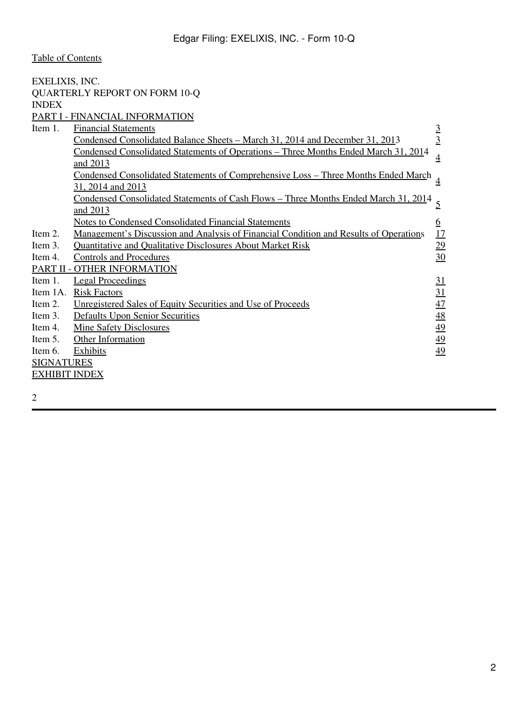<span id="page-1-0"></span>

| EXELIXIS, INC.       |                                                                                                 |                  |
|----------------------|-------------------------------------------------------------------------------------------------|------------------|
|                      | <b>QUARTERLY REPORT ON FORM 10-Q</b>                                                            |                  |
| <b>INDEX</b>         |                                                                                                 |                  |
|                      | PART I - FINANCIAL INFORMATION                                                                  |                  |
| Item 1.              | <b>Financial Statements</b>                                                                     |                  |
|                      | <u>Condensed Consolidated Balance Sheets - March 31, 2014 and December 31, 201</u> 3            | $\frac{3}{2}$    |
|                      | Condensed Consolidated Statements of Operations - Three Months Ended March 31, 2014<br>and 2013 | $\overline{4}$   |
|                      | Condensed Consolidated Statements of Comprehensive Loss - Three Months Ended March              |                  |
|                      | 31, 2014 and 2013                                                                               |                  |
|                      | <u> Condensed Consolidated Statements of Cash Flows - Three Months Ended March 31, 2014</u>     |                  |
|                      | and 2013                                                                                        |                  |
|                      | <b>Notes to Condensed Consolidated Financial Statements</b>                                     | $6 \overline{6}$ |
| Item 2.              | <u>Management's Discussion and Analysis of Financial Condition and Results of Operations</u>    | 17               |
| Item 3.              | <b>Quantitative and Qualitative Disclosures About Market Risk</b>                               | $\overline{29}$  |
| Item 4.              | <b>Controls and Procedures</b>                                                                  | 30               |
|                      | PART II - OTHER INFORMATION                                                                     |                  |
| Item 1.              | <b>Legal Proceedings</b>                                                                        | <u>31</u>        |
| Item 1A.             | <b>Risk Factors</b>                                                                             | <u>31</u>        |
| Item 2.              | <u>Unregistered Sales of Equity Securities and Use of Proceeds</u>                              | 47               |
| Item 3.              | Defaults Upon Senior Securities                                                                 | $\overline{48}$  |
| Item 4.              | <b>Mine Safety Disclosures</b>                                                                  | 49               |
| Item 5.              | Other Information                                                                               | 49               |
| Item 6.              | <b>Exhibits</b>                                                                                 | 49               |
| <b>SIGNATURES</b>    |                                                                                                 |                  |
| <b>EXHIBIT INDEX</b> |                                                                                                 |                  |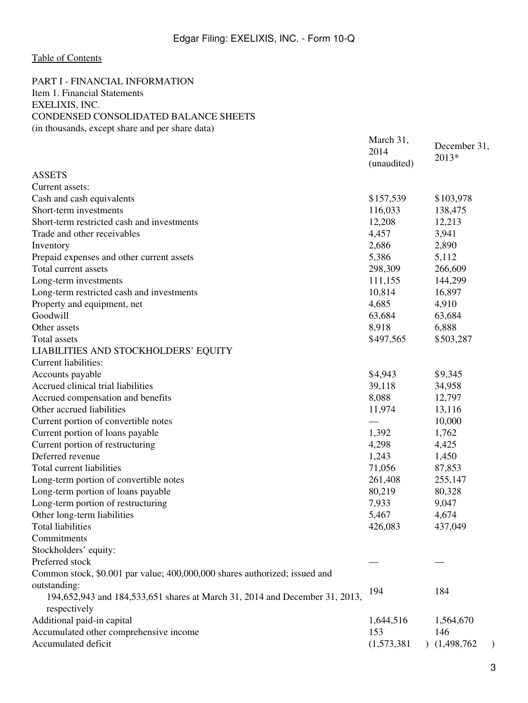March 31,

## <span id="page-2-0"></span>[Table of Contents](#page-1-0)

## <span id="page-2-2"></span><span id="page-2-1"></span>PART I - FINANCIAL INFORMATION Item 1. Financial Statements EXELIXIS, INC. CONDENSED CONSOLIDATED BALANCE SHEETS (in thousands, except share and per share data)

|                                                                             | **************<br>2014 | December 31, |
|-----------------------------------------------------------------------------|------------------------|--------------|
|                                                                             | (unaudited)            | 2013*        |
| <b>ASSETS</b>                                                               |                        |              |
| Current assets:                                                             |                        |              |
| Cash and cash equivalents                                                   | \$157,539              | \$103,978    |
| Short-term investments                                                      | 116,033                | 138,475      |
| Short-term restricted cash and investments                                  | 12,208                 | 12,213       |
| Trade and other receivables                                                 | 4,457                  | 3,941        |
| Inventory                                                                   | 2,686                  | 2,890        |
| Prepaid expenses and other current assets                                   | 5,386                  | 5,112        |
| Total current assets                                                        | 298,309                | 266,609      |
| Long-term investments                                                       | 111,155                | 144,299      |
| Long-term restricted cash and investments                                   | 10,814                 | 16,897       |
| Property and equipment, net                                                 | 4,685                  | 4,910        |
| Goodwill                                                                    | 63,684                 | 63,684       |
| Other assets                                                                | 8,918                  | 6,888        |
| Total assets                                                                | \$497,565              | \$503,287    |
| LIABILITIES AND STOCKHOLDERS' EQUITY                                        |                        |              |
| Current liabilities:                                                        |                        |              |
|                                                                             | \$4,943                | \$9,345      |
| Accounts payable<br>Accrued clinical trial liabilities                      | 39,118                 |              |
|                                                                             | 8,088                  | 34,958       |
| Accrued compensation and benefits<br>Other accrued liabilities              | 11,974                 | 12,797       |
|                                                                             |                        | 13,116       |
| Current portion of convertible notes                                        |                        | 10,000       |
| Current portion of loans payable                                            | 1,392                  | 1,762        |
| Current portion of restructuring                                            | 4,298                  | 4,425        |
| Deferred revenue                                                            | 1,243                  | 1,450        |
| Total current liabilities                                                   | 71,056                 | 87,853       |
| Long-term portion of convertible notes                                      | 261,408                | 255,147      |
| Long-term portion of loans payable                                          | 80,219                 | 80,328       |
| Long-term portion of restructuring                                          | 7,933                  | 9,047        |
| Other long-term liabilities                                                 | 5,467                  | 4,674        |
| <b>Total liabilities</b>                                                    | 426,083                | 437,049      |
| Commitments                                                                 |                        |              |
| Stockholders' equity:                                                       |                        |              |
| Preferred stock                                                             |                        |              |
| Common stock, \$0.001 par value; 400,000,000 shares authorized; issued and  |                        |              |
| outstanding:                                                                | 194                    | 184          |
| 194,652,943 and 184,533,651 shares at March 31, 2014 and December 31, 2013, |                        |              |
| respectively                                                                |                        |              |
| Additional paid-in capital                                                  | 1,644,516              | 1,564,670    |
| Accumulated other comprehensive income                                      | 153                    | 146          |
| Accumulated deficit                                                         | (1,573,381)            | (1,498,762)  |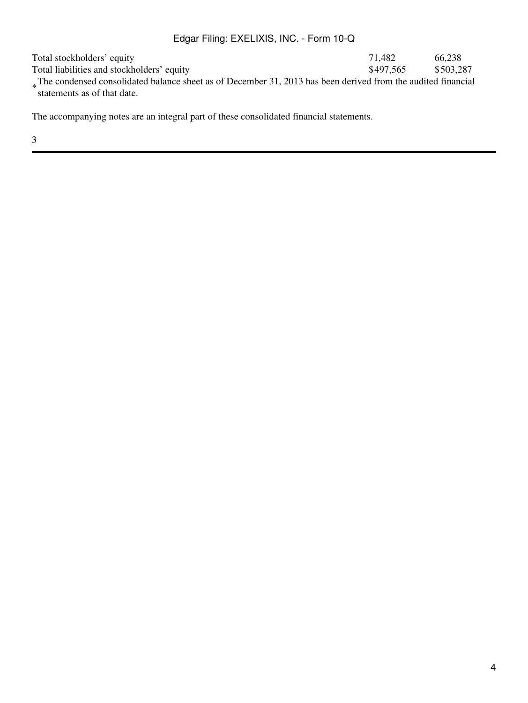Total stockholders' equity and stockholders' equity and stockholders' equity and stockholders' equity and the stockholders' equity and stockholders' equity and stockholders' equity and stockholders' equity and stockholders Total liabilities and stockholders' equity \$497,565 \$503,287 The condensed consolidated balance sheet as of December 31, 2013 has been derived from the audited financial<br>externents as of that data statements as of that date.

The accompanying notes are an integral part of these consolidated financial statements.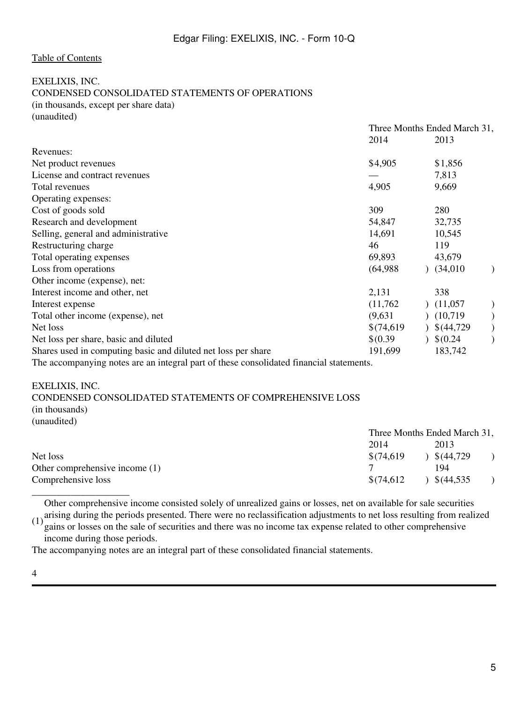<span id="page-4-0"></span>EXELIXIS, INC. CONDENSED CONSOLIDATED STATEMENTS OF OPERATIONS (in thousands, except per share data) (unaudited)

|                                                                                         | Three Months Ended March 31, |            |  |
|-----------------------------------------------------------------------------------------|------------------------------|------------|--|
|                                                                                         | 2014                         | 2013       |  |
| Revenues:                                                                               |                              |            |  |
| Net product revenues                                                                    | \$4,905                      | \$1,856    |  |
| License and contract revenues                                                           |                              | 7,813      |  |
| Total revenues                                                                          | 4,905                        | 9,669      |  |
| Operating expenses:                                                                     |                              |            |  |
| Cost of goods sold                                                                      | 309                          | 280        |  |
| Research and development                                                                | 54,847                       | 32,735     |  |
| Selling, general and administrative                                                     | 14,691                       | 10,545     |  |
| Restructuring charge                                                                    | 46                           | 119        |  |
| Total operating expenses                                                                | 69,893                       | 43,679     |  |
| Loss from operations                                                                    | (64,988)                     | (34,010)   |  |
| Other income (expense), net:                                                            |                              |            |  |
| Interest income and other, net                                                          | 2,131                        | 338        |  |
| Interest expense                                                                        | (11,762)                     | (11,057)   |  |
| Total other income (expense), net                                                       | (9,631)                      | (10,719)   |  |
| Net loss                                                                                | \$(74,619)                   | \$(44,729) |  |
| Net loss per share, basic and diluted                                                   | $$^{(0.39)}$                 | \$0.24     |  |
| Shares used in computing basic and diluted net loss per share                           | 191,699                      | 183,742    |  |
| The accompanying notes are an integral part of these consolidated financial statements. |                              |            |  |

<span id="page-4-1"></span>EXELIXIS, INC.

CONDENSED CONSOLIDATED STATEMENTS OF COMPREHENSIVE LOSS (in thousands)

(unaudited)

|                                | Three Months Ended March 31, |                       |  |
|--------------------------------|------------------------------|-----------------------|--|
|                                | 2014                         | 2013                  |  |
| Net loss                       | \$(74,619)                   | \$(44,729)            |  |
| Other comprehensive income (1) |                              | 194                   |  |
| Comprehensive loss             | \$(74,612)                   | $\frac{\$(44,535)}{}$ |  |
|                                |                              |                       |  |

Other comprehensive income consisted solely of unrealized gains or losses, net on available for sale securities

 $(1)$  arising during the periods presented. There were no reclassification adjustments to net loss resulting from realized  $(1)$  gains or losses on the sele of sequrities and there were no income to generalized to other c gains or losses on the sale of securities and there was no income tax expense related to other comprehensive income during those periods.

The accompanying notes are an integral part of these consolidated financial statements.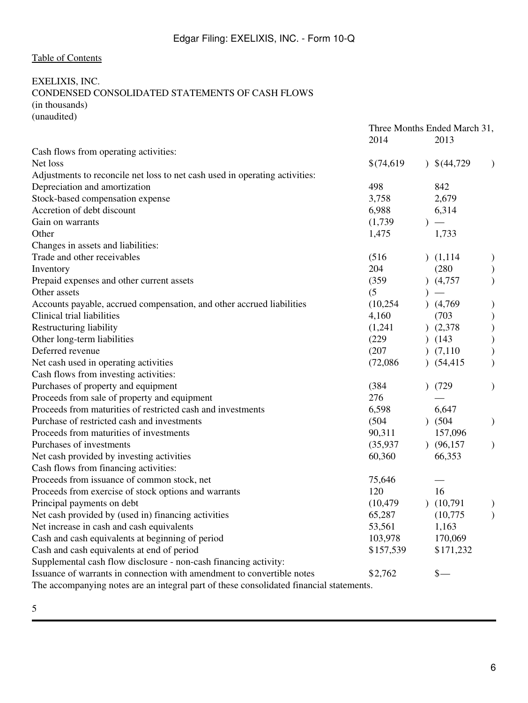## <span id="page-5-0"></span>EXELIXIS, INC. CONDENSED CONSOLIDATED STATEMENTS OF CASH FLOWS (in thousands) (unaudited)

|                                                                                         | 2014       | 2013                     | Three Months Ended March 31, |  |
|-----------------------------------------------------------------------------------------|------------|--------------------------|------------------------------|--|
| Cash flows from operating activities:                                                   |            |                          |                              |  |
| Net loss                                                                                | \$(74,619) | $\frac{1}{2}$ \$(44,729) | $\lambda$                    |  |
| Adjustments to reconcile net loss to net cash used in operating activities:             |            |                          |                              |  |
| Depreciation and amortization                                                           | 498        | 842                      |                              |  |
| Stock-based compensation expense                                                        | 3,758      | 2,679                    |                              |  |
| Accretion of debt discount                                                              | 6,988      | 6,314                    |                              |  |
| Gain on warrants                                                                        | (1,739)    | $\overline{\phantom{0}}$ |                              |  |
| Other                                                                                   | 1,475      | 1,733                    |                              |  |
| Changes in assets and liabilities:                                                      |            |                          |                              |  |
| Trade and other receivables                                                             | (516)      | (1,114)                  | $\mathcal{Y}$                |  |
| Inventory                                                                               | 204        | (280)                    |                              |  |
| Prepaid expenses and other current assets                                               | (359)      | (4,757)                  |                              |  |
| Other assets                                                                            | (5)        |                          |                              |  |
| Accounts payable, accrued compensation, and other accrued liabilities                   | (10,254)   | (4,769)                  |                              |  |
| Clinical trial liabilities                                                              | 4,160      | (703)                    | $\mathcal{E}$                |  |
| Restructuring liability                                                                 | (1,241)    | (2,378)                  |                              |  |
| Other long-term liabilities                                                             | (229)      | (143)                    |                              |  |
| Deferred revenue                                                                        | (207)      | (7,110)                  |                              |  |
| Net cash used in operating activities                                                   | (72,086)   | (54, 415)                |                              |  |
| Cash flows from investing activities:                                                   |            |                          |                              |  |
| Purchases of property and equipment                                                     | (384)      | (729)                    |                              |  |
| Proceeds from sale of property and equipment                                            | 276        |                          |                              |  |
| Proceeds from maturities of restricted cash and investments                             | 6,598      | 6,647                    |                              |  |
| Purchase of restricted cash and investments                                             | (504)      | $)$ (504)                | $\mathcal{F}$                |  |
| Proceeds from maturities of investments                                                 | 90,311     | 157,096                  |                              |  |
| Purchases of investments                                                                | (35, 937)  | (96, 157)                | $\lambda$                    |  |
| Net cash provided by investing activities                                               | 60,360     | 66,353                   |                              |  |
| Cash flows from financing activities:                                                   |            |                          |                              |  |
| Proceeds from issuance of common stock, net                                             | 75,646     |                          |                              |  |
| Proceeds from exercise of stock options and warrants                                    | 120        | 16                       |                              |  |
| Principal payments on debt                                                              | (10, 479)  | (10,791)                 |                              |  |
| Net cash provided by (used in) financing activities                                     | 65,287     | (10,775)                 |                              |  |
| Net increase in cash and cash equivalents                                               | 53,561     | 1,163                    |                              |  |
| Cash and cash equivalents at beginning of period                                        | 103,978    | 170,069                  |                              |  |
| Cash and cash equivalents at end of period                                              | \$157,539  | \$171,232                |                              |  |
| Supplemental cash flow disclosure - non-cash financing activity:                        |            |                          |                              |  |
| Issuance of warrants in connection with amendment to convertible notes                  | \$2,762    | $\frac{\S}{\S}$          |                              |  |
| The accompanying notes are an integral part of these consolidated financial statements. |            |                          |                              |  |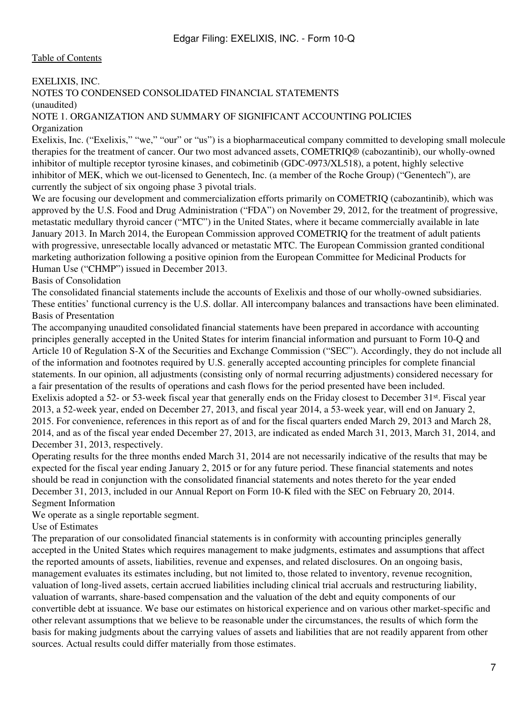## <span id="page-6-0"></span>EXELIXIS, INC.

## NOTES TO CONDENSED CONSOLIDATED FINANCIAL STATEMENTS

(unaudited)

#### NOTE 1. ORGANIZATION AND SUMMARY OF SIGNIFICANT ACCOUNTING POLICIES Organization

Exelixis, Inc. ("Exelixis," "we," "our" or "us") is a biopharmaceutical company committed to developing small molecule therapies for the treatment of cancer. Our two most advanced assets, COMETRIQ® (cabozantinib), our wholly-owned inhibitor of multiple receptor tyrosine kinases, and cobimetinib (GDC-0973/XL518), a potent, highly selective inhibitor of MEK, which we out-licensed to Genentech, Inc. (a member of the Roche Group) ("Genentech"), are currently the subject of six ongoing phase 3 pivotal trials.

We are focusing our development and commercialization efforts primarily on COMETRIQ (cabozantinib), which was approved by the U.S. Food and Drug Administration ("FDA") on November 29, 2012, for the treatment of progressive, metastatic medullary thyroid cancer ("MTC") in the United States, where it became commercially available in late January 2013. In March 2014, the European Commission approved COMETRIQ for the treatment of adult patients with progressive, unresectable locally advanced or metastatic MTC. The European Commission granted conditional marketing authorization following a positive opinion from the European Committee for Medicinal Products for Human Use ("CHMP") issued in December 2013.

Basis of Consolidation

The consolidated financial statements include the accounts of Exelixis and those of our wholly-owned subsidiaries. These entities' functional currency is the U.S. dollar. All intercompany balances and transactions have been eliminated. Basis of Presentation

The accompanying unaudited consolidated financial statements have been prepared in accordance with accounting principles generally accepted in the United States for interim financial information and pursuant to Form 10-Q and Article 10 of Regulation S-X of the Securities and Exchange Commission ("SEC"). Accordingly, they do not include all of the information and footnotes required by U.S. generally accepted accounting principles for complete financial statements. In our opinion, all adjustments (consisting only of normal recurring adjustments) considered necessary for a fair presentation of the results of operations and cash flows for the period presented have been included. Exelixis adopted a 52- or 53-week fiscal year that generally ends on the Friday closest to December 31st. Fiscal year 2013, a 52-week year, ended on December 27, 2013, and fiscal year 2014, a 53-week year, will end on January 2, 2015. For convenience, references in this report as of and for the fiscal quarters ended March 29, 2013 and March 28, 2014, and as of the fiscal year ended December 27, 2013, are indicated as ended March 31, 2013, March 31, 2014, and December 31, 2013, respectively.

Operating results for the three months ended March 31, 2014 are not necessarily indicative of the results that may be expected for the fiscal year ending January 2, 2015 or for any future period. These financial statements and notes should be read in conjunction with the consolidated financial statements and notes thereto for the year ended December 31, 2013, included in our Annual Report on Form 10-K filed with the SEC on February 20, 2014. Segment Information

We operate as a single reportable segment.

Use of Estimates

The preparation of our consolidated financial statements is in conformity with accounting principles generally accepted in the United States which requires management to make judgments, estimates and assumptions that affect the reported amounts of assets, liabilities, revenue and expenses, and related disclosures. On an ongoing basis, management evaluates its estimates including, but not limited to, those related to inventory, revenue recognition, valuation of long-lived assets, certain accrued liabilities including clinical trial accruals and restructuring liability, valuation of warrants, share-based compensation and the valuation of the debt and equity components of our convertible debt at issuance. We base our estimates on historical experience and on various other market-specific and other relevant assumptions that we believe to be reasonable under the circumstances, the results of which form the basis for making judgments about the carrying values of assets and liabilities that are not readily apparent from other sources. Actual results could differ materially from those estimates.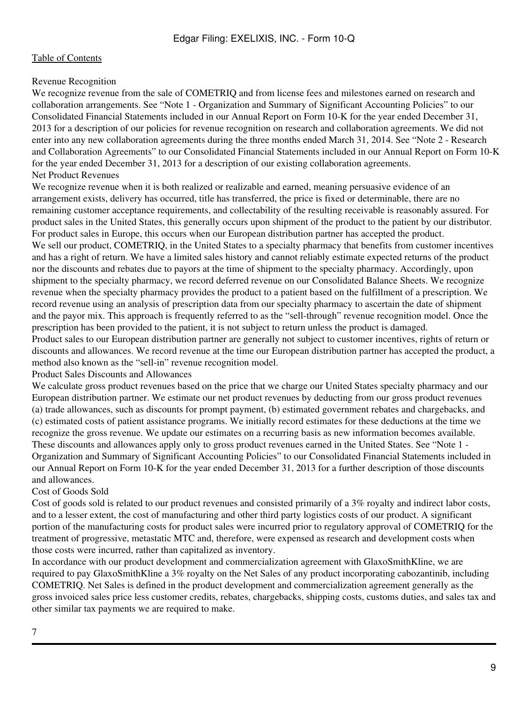## Revenue Recognition

We recognize revenue from the sale of COMETRIQ and from license fees and milestones earned on research and collaboration arrangements. See "Note 1 - Organization and Summary of Significant Accounting Policies" to our Consolidated Financial Statements included in our Annual Report on Form 10-K for the year ended December 31, 2013 for a description of our policies for revenue recognition on research and collaboration agreements. We did not enter into any new collaboration agreements during the three months ended March 31, 2014. See "Note 2 - Research and Collaboration Agreements" to our Consolidated Financial Statements included in our Annual Report on Form 10-K for the year ended December 31, 2013 for a description of our existing collaboration agreements. Net Product Revenues

We recognize revenue when it is both realized or realizable and earned, meaning persuasive evidence of an arrangement exists, delivery has occurred, title has transferred, the price is fixed or determinable, there are no remaining customer acceptance requirements, and collectability of the resulting receivable is reasonably assured. For product sales in the United States, this generally occurs upon shipment of the product to the patient by our distributor. For product sales in Europe, this occurs when our European distribution partner has accepted the product. We sell our product, COMETRIO, in the United States to a specialty pharmacy that benefits from customer incentives and has a right of return. We have a limited sales history and cannot reliably estimate expected returns of the product nor the discounts and rebates due to payors at the time of shipment to the specialty pharmacy. Accordingly, upon shipment to the specialty pharmacy, we record deferred revenue on our Consolidated Balance Sheets. We recognize revenue when the specialty pharmacy provides the product to a patient based on the fulfillment of a prescription. We record revenue using an analysis of prescription data from our specialty pharmacy to ascertain the date of shipment and the payor mix. This approach is frequently referred to as the "sell-through" revenue recognition model. Once the prescription has been provided to the patient, it is not subject to return unless the product is damaged. Product sales to our European distribution partner are generally not subject to customer incentives, rights of return or discounts and allowances. We record revenue at the time our European distribution partner has accepted the product, a method also known as the "sell-in" revenue recognition model.

#### Product Sales Discounts and Allowances

We calculate gross product revenues based on the price that we charge our United States specialty pharmacy and our European distribution partner. We estimate our net product revenues by deducting from our gross product revenues (a) trade allowances, such as discounts for prompt payment, (b) estimated government rebates and chargebacks, and (c) estimated costs of patient assistance programs. We initially record estimates for these deductions at the time we recognize the gross revenue. We update our estimates on a recurring basis as new information becomes available. These discounts and allowances apply only to gross product revenues earned in the United States. See "Note 1 - Organization and Summary of Significant Accounting Policies" to our Consolidated Financial Statements included in our Annual Report on Form 10-K for the year ended December 31, 2013 for a further description of those discounts and allowances.

## Cost of Goods Sold

Cost of goods sold is related to our product revenues and consisted primarily of a 3% royalty and indirect labor costs, and to a lesser extent, the cost of manufacturing and other third party logistics costs of our product. A significant portion of the manufacturing costs for product sales were incurred prior to regulatory approval of COMETRIQ for the treatment of progressive, metastatic MTC and, therefore, were expensed as research and development costs when those costs were incurred, rather than capitalized as inventory.

In accordance with our product development and commercialization agreement with GlaxoSmithKline, we are required to pay GlaxoSmithKline a 3% royalty on the Net Sales of any product incorporating cabozantinib, including COMETRIQ. Net Sales is defined in the product development and commercialization agreement generally as the gross invoiced sales price less customer credits, rebates, chargebacks, shipping costs, customs duties, and sales tax and other similar tax payments we are required to make.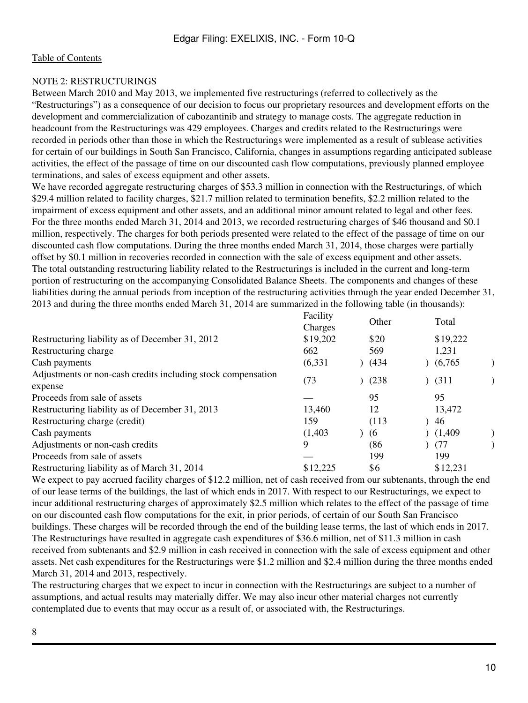## NOTE 2: RESTRUCTURINGS

Between March 2010 and May 2013, we implemented five restructurings (referred to collectively as the "Restructurings") as a consequence of our decision to focus our proprietary resources and development efforts on the development and commercialization of cabozantinib and strategy to manage costs. The aggregate reduction in headcount from the Restructurings was 429 employees. Charges and credits related to the Restructurings were recorded in periods other than those in which the Restructurings were implemented as a result of sublease activities for certain of our buildings in South San Francisco, California, changes in assumptions regarding anticipated sublease activities, the effect of the passage of time on our discounted cash flow computations, previously planned employee terminations, and sales of excess equipment and other assets.

We have recorded aggregate restructuring charges of \$53.3 million in connection with the Restructurings, of which \$29.4 million related to facility charges, \$21.7 million related to termination benefits, \$2.2 million related to the impairment of excess equipment and other assets, and an additional minor amount related to legal and other fees. For the three months ended March 31, 2014 and 2013, we recorded restructuring charges of \$46 thousand and \$0.1 million, respectively. The charges for both periods presented were related to the effect of the passage of time on our discounted cash flow computations. During the three months ended March 31, 2014, those charges were partially offset by \$0.1 million in recoveries recorded in connection with the sale of excess equipment and other assets. The total outstanding restructuring liability related to the Restructurings is included in the current and long-term portion of restructuring on the accompanying Consolidated Balance Sheets. The components and changes of these liabilities during the annual periods from inception of the restructuring activities through the year ended December 31, 2013 and during the three months ended March 31, 2014 are summarized in the following table (in thousands):

|                                                                         | Facility<br>Charges | Other | Total    |  |
|-------------------------------------------------------------------------|---------------------|-------|----------|--|
| Restructuring liability as of December 31, 2012                         | \$19,202            | \$20  | \$19,222 |  |
| Restructuring charge                                                    | 662                 | 569   | 1,231    |  |
| Cash payments                                                           | (6, 331)            | (434) | (6,765)  |  |
| Adjustments or non-cash credits including stock compensation<br>expense | (73)                | (238) | (311)    |  |
| Proceeds from sale of assets                                            |                     | 95    | 95       |  |
| Restructuring liability as of December 31, 2013                         | 13,460              | 12    | 13,472   |  |
| Restructuring charge (credit)                                           | 159                 | (113) | 46       |  |
| Cash payments                                                           | (1,403)             | (6)   | (1,409)  |  |
| Adjustments or non-cash credits                                         | 9                   | (86   | (77)     |  |
| Proceeds from sale of assets                                            |                     | 199   | 199      |  |
| Restructuring liability as of March 31, 2014                            | \$12,225            | \$6   | \$12,231 |  |

We expect to pay accrued facility charges of \$12.2 million, net of cash received from our subtenants, through the end of our lease terms of the buildings, the last of which ends in 2017. With respect to our Restructurings, we expect to incur additional restructuring charges of approximately \$2.5 million which relates to the effect of the passage of time on our discounted cash flow computations for the exit, in prior periods, of certain of our South San Francisco buildings. These charges will be recorded through the end of the building lease terms, the last of which ends in 2017. The Restructurings have resulted in aggregate cash expenditures of \$36.6 million, net of \$11.3 million in cash received from subtenants and \$2.9 million in cash received in connection with the sale of excess equipment and other assets. Net cash expenditures for the Restructurings were \$1.2 million and \$2.4 million during the three months ended March 31, 2014 and 2013, respectively.

The restructuring charges that we expect to incur in connection with the Restructurings are subject to a number of assumptions, and actual results may materially differ. We may also incur other material charges not currently contemplated due to events that may occur as a result of, or associated with, the Restructurings.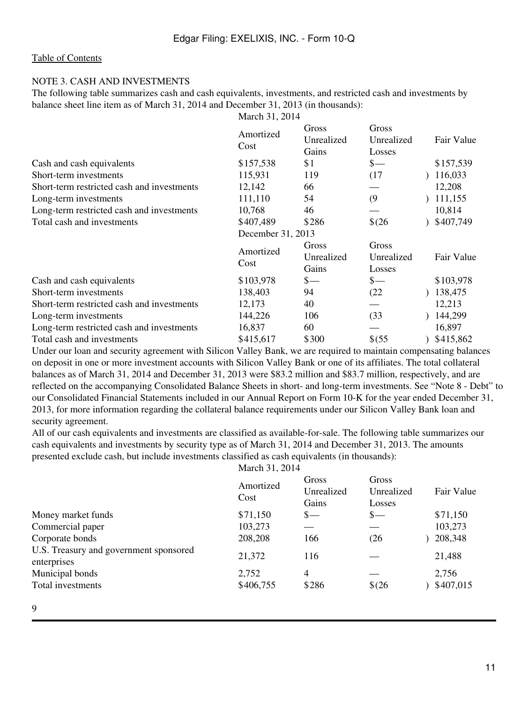### NOTE 3. CASH AND INVESTMENTS

The following table summarizes cash and cash equivalents, investments, and restricted cash and investments by balance sheet line item as of March 31, 2014 and December 31, 2013 (in thousands):

|                                            | March 31, 2014    |                              |                               |            |
|--------------------------------------------|-------------------|------------------------------|-------------------------------|------------|
|                                            | Amortized<br>Cost | Gross<br>Unrealized<br>Gains | Gross<br>Unrealized<br>Losses | Fair Value |
| Cash and cash equivalents                  | \$157,538         | \$1                          | $\frac{1}{2}$                 | \$157,539  |
| Short-term investments                     | 115,931           | 119                          | (17)                          | 116,033    |
| Short-term restricted cash and investments | 12,142            | 66                           |                               | 12,208     |
| Long-term investments                      | 111,110           | 54                           | (9)                           | 111,155    |
| Long-term restricted cash and investments  | 10,768            | 46                           |                               | 10,814     |
| Total cash and investments                 | \$407,489         | \$286                        | $$^{(26)}$                    | \$407,749  |
|                                            | December 31, 2013 |                              |                               |            |
|                                            | Amortized<br>Cost | Gross<br>Unrealized<br>Gains | Gross<br>Unrealized<br>Losses | Fair Value |
| Cash and cash equivalents                  | \$103,978         | $s-$                         | $\frac{1}{2}$                 | \$103,978  |
| Short-term investments                     | 138,403           | 94                           | (22)                          | 138,475    |
| Short-term restricted cash and investments | 12,173            | 40                           |                               | 12,213     |
| Long-term investments                      | 144,226           | 106                          | (33)                          | 144,299    |
| Long-term restricted cash and investments  | 16,837            | 60                           |                               | 16,897     |
| Total cash and investments                 | \$415,617         | \$300                        | \$ (55)                       | \$415,862  |

Under our loan and security agreement with Silicon Valley Bank, we are required to maintain compensating balances on deposit in one or more investment accounts with Silicon Valley Bank or one of its affiliates. The total collateral balances as of March 31, 2014 and December 31, 2013 were \$83.2 million and \$83.7 million, respectively, and are reflected on the accompanying Consolidated Balance Sheets in short- and long-term investments. See "Note 8 - Debt" to our Consolidated Financial Statements included in our Annual Report on Form 10-K for the year ended December 31, 2013, for more information regarding the collateral balance requirements under our Silicon Valley Bank loan and security agreement.

All of our cash equivalents and investments are classified as available-for-sale. The following table summarizes our cash equivalents and investments by security type as of March 31, 2014 and December 31, 2013. The amounts presented exclude cash, but include investments classified as cash equivalents (in thousands):

March 31, 2014

|                                                       | Amortized<br>Cost  | Gross<br>Unrealized<br>Gains | Gross<br>Unrealized<br>Losses | <b>Fair Value</b>  |
|-------------------------------------------------------|--------------------|------------------------------|-------------------------------|--------------------|
| Money market funds                                    | \$71,150           | $s-$                         | $S-$                          | \$71,150           |
| Commercial paper                                      | 103,273            |                              |                               | 103,273            |
| Corporate bonds                                       | 208,208            | 166                          | (26)                          | 208,348            |
| U.S. Treasury and government sponsored<br>enterprises | 21,372             | 116                          |                               | 21,488             |
| Municipal bonds<br>Total investments                  | 2,752<br>\$406,755 | 4<br>\$286                   | $$^{(26)}$                    | 2,756<br>\$407,015 |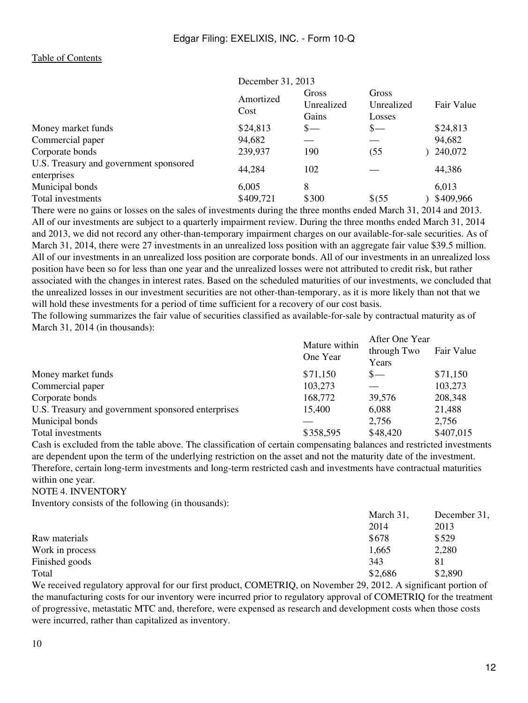|                                                       | December 31, 2013 |                              |                               |            |
|-------------------------------------------------------|-------------------|------------------------------|-------------------------------|------------|
|                                                       | Amortized<br>Cost | Gross<br>Unrealized<br>Gains | Gross<br>Unrealized<br>Losses | Fair Value |
| Money market funds                                    | \$24,813          | $s-$                         | $S-$                          | \$24,813   |
| Commercial paper                                      | 94,682            |                              |                               | 94,682     |
| Corporate bonds                                       | 239,937           | 190                          | (55)                          | 240,072    |
| U.S. Treasury and government sponsored<br>enterprises | 44,284            | 102                          |                               | 44,386     |
| Municipal bonds                                       | 6,005             | 8                            |                               | 6,013      |
| Total investments                                     | \$409,721         | \$300                        | \$ (55)                       | \$409,966  |

There were no gains or losses on the sales of investments during the three months ended March 31, 2014 and 2013. All of our investments are subject to a quarterly impairment review. During the three months ended March 31, 2014 and 2013, we did not record any other-than-temporary impairment charges on our available-for-sale securities. As of March 31, 2014, there were 27 investments in an unrealized loss position with an aggregate fair value \$39.5 million. All of our investments in an unrealized loss position are corporate bonds. All of our investments in an unrealized loss position have been so for less than one year and the unrealized losses were not attributed to credit risk, but rather associated with the changes in interest rates. Based on the scheduled maturities of our investments, we concluded that the unrealized losses in our investment securities are not other-than-temporary, as it is more likely than not that we will hold these investments for a period of time sufficient for a recovery of our cost basis.

The following summarizes the fair value of securities classified as available-for-sale by contractual maturity as of March 31, 2014 (in thousands):

|                                                    | Mature within<br>One Year | After One Year<br>through Two<br>Years | Fair Value |
|----------------------------------------------------|---------------------------|----------------------------------------|------------|
| Money market funds                                 | \$71,150                  | $S-$                                   | \$71,150   |
| Commercial paper                                   | 103,273                   |                                        | 103,273    |
| Corporate bonds                                    | 168,772                   | 39,576                                 | 208,348    |
| U.S. Treasury and government sponsored enterprises | 15,400                    | 6,088                                  | 21,488     |
| Municipal bonds                                    |                           | 2,756                                  | 2.756      |
| Total investments                                  | \$358,595                 | \$48,420                               | \$407,015  |

Cash is excluded from the table above. The classification of certain compensating balances and restricted investments are dependent upon the term of the underlying restriction on the asset and not the maturity date of the investment. Therefore, certain long-term investments and long-term restricted cash and investments have contractual maturities within one year.

NOTE 4. INVENTORY

Inventory consists of the following (in thousands):

|                 | March 31, | December 31, |
|-----------------|-----------|--------------|
|                 | 2014      | 2013         |
| Raw materials   | \$678     | \$529        |
| Work in process | 1,665     | 2,280        |
| Finished goods  | 343       | 81           |
| Total           | \$2,686   | \$2,890      |

We received regulatory approval for our first product, COMETRIQ, on November 29, 2012. A significant portion of the manufacturing costs for our inventory were incurred prior to regulatory approval of COMETRIQ for the treatment of progressive, metastatic MTC and, therefore, were expensed as research and development costs when those costs were incurred, rather than capitalized as inventory.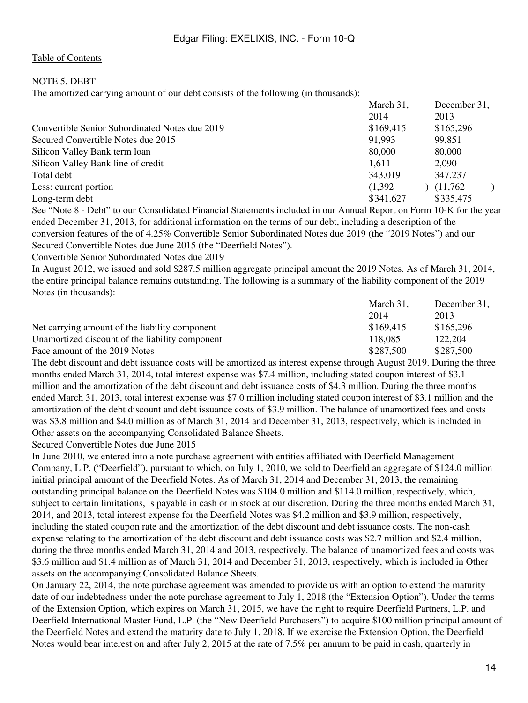## NOTE 5. DEBT

The amortized carrying amount of our debt consists of the following (in thousands):

|                                                | March 31, | December 31, |
|------------------------------------------------|-----------|--------------|
|                                                | 2014      | 2013         |
| Convertible Senior Subordinated Notes due 2019 | \$169,415 | \$165,296    |
| Secured Convertible Notes due 2015             | 91,993    | 99,851       |
| Silicon Valley Bank term loan                  | 80,000    | 80,000       |
| Silicon Valley Bank line of credit             | 1,611     | 2,090        |
| Total debt                                     | 343,019   | 347,237      |
| Less: current portion                          | (1,392)   | (11,762)     |
| Long-term debt                                 | \$341,627 | \$335,475    |

See "Note 8 - Debt" to our Consolidated Financial Statements included in our Annual Report on Form 10-K for the year ended December 31, 2013, for additional information on the terms of our debt, including a description of the conversion features of the of 4.25% Convertible Senior Subordinated Notes due 2019 (the "2019 Notes") and our Secured Convertible Notes due June 2015 (the "Deerfield Notes").

Convertible Senior Subordinated Notes due 2019

In August 2012, we issued and sold \$287.5 million aggregate principal amount the 2019 Notes. As of March 31, 2014, the entire principal balance remains outstanding. The following is a summary of the liability component of the 2019 Notes (in thousands):

|                                                 | March 31, | December 31, |
|-------------------------------------------------|-----------|--------------|
|                                                 | 2014      | 2013         |
| Net carrying amount of the liability component  | \$169,415 | \$165,296    |
| Unamortized discount of the liability component | 118.085   | 122,204      |
| Face amount of the 2019 Notes                   | \$287.500 | \$287,500    |

The debt discount and debt issuance costs will be amortized as interest expense through August 2019. During the three months ended March 31, 2014, total interest expense was \$7.4 million, including stated coupon interest of \$3.1 million and the amortization of the debt discount and debt issuance costs of \$4.3 million. During the three months ended March 31, 2013, total interest expense was \$7.0 million including stated coupon interest of \$3.1 million and the amortization of the debt discount and debt issuance costs of \$3.9 million. The balance of unamortized fees and costs was \$3.8 million and \$4.0 million as of March 31, 2014 and December 31, 2013, respectively, which is included in Other assets on the accompanying Consolidated Balance Sheets.

Secured Convertible Notes due June 2015

In June 2010, we entered into a note purchase agreement with entities affiliated with Deerfield Management Company, L.P. ("Deerfield"), pursuant to which, on July 1, 2010, we sold to Deerfield an aggregate of \$124.0 million initial principal amount of the Deerfield Notes. As of March 31, 2014 and December 31, 2013, the remaining outstanding principal balance on the Deerfield Notes was \$104.0 million and \$114.0 million, respectively, which, subject to certain limitations, is payable in cash or in stock at our discretion. During the three months ended March 31, 2014, and 2013, total interest expense for the Deerfield Notes was \$4.2 million and \$3.9 million, respectively, including the stated coupon rate and the amortization of the debt discount and debt issuance costs. The non-cash expense relating to the amortization of the debt discount and debt issuance costs was \$2.7 million and \$2.4 million, during the three months ended March 31, 2014 and 2013, respectively. The balance of unamortized fees and costs was \$3.6 million and \$1.4 million as of March 31, 2014 and December 31, 2013, respectively, which is included in Other assets on the accompanying Consolidated Balance Sheets.

On January 22, 2014, the note purchase agreement was amended to provide us with an option to extend the maturity date of our indebtedness under the note purchase agreement to July 1, 2018 (the "Extension Option"). Under the terms of the Extension Option, which expires on March 31, 2015, we have the right to require Deerfield Partners, L.P. and Deerfield International Master Fund, L.P. (the "New Deerfield Purchasers") to acquire \$100 million principal amount of the Deerfield Notes and extend the maturity date to July 1, 2018. If we exercise the Extension Option, the Deerfield Notes would bear interest on and after July 2, 2015 at the rate of 7.5% per annum to be paid in cash, quarterly in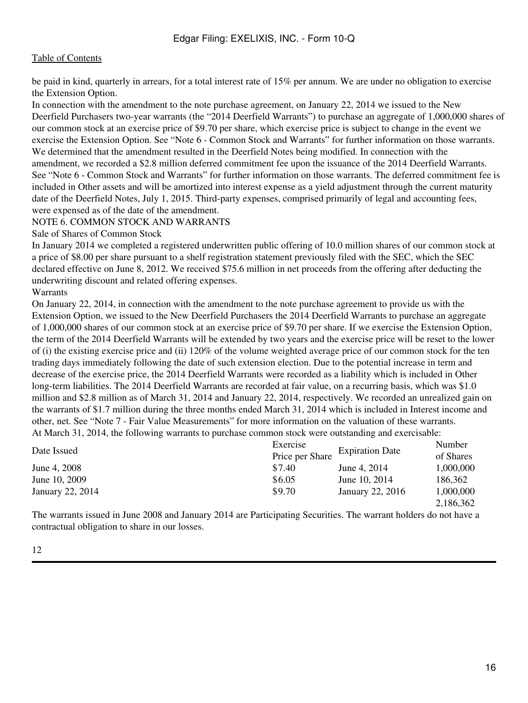be paid in kind, quarterly in arrears, for a total interest rate of 15% per annum. We are under no obligation to exercise the Extension Option.

In connection with the amendment to the note purchase agreement, on January 22, 2014 we issued to the New Deerfield Purchasers two-year warrants (the "2014 Deerfield Warrants") to purchase an aggregate of 1,000,000 shares of our common stock at an exercise price of \$9.70 per share, which exercise price is subject to change in the event we exercise the Extension Option. See "Note 6 - Common Stock and Warrants" for further information on those warrants. We determined that the amendment resulted in the Deerfield Notes being modified. In connection with the amendment, we recorded a \$2.8 million deferred commitment fee upon the issuance of the 2014 Deerfield Warrants. See "Note 6 - Common Stock and Warrants" for further information on those warrants. The deferred commitment fee is included in Other assets and will be amortized into interest expense as a yield adjustment through the current maturity date of the Deerfield Notes, July 1, 2015. Third-party expenses, comprised primarily of legal and accounting fees, were expensed as of the date of the amendment.

### NOTE 6. COMMON STOCK AND WARRANTS

Sale of Shares of Common Stock

In January 2014 we completed a registered underwritten public offering of 10.0 million shares of our common stock at a price of \$8.00 per share pursuant to a shelf registration statement previously filed with the SEC, which the SEC declared effective on June 8, 2012. We received \$75.6 million in net proceeds from the offering after deducting the underwriting discount and related offering expenses.

Warrants

On January 22, 2014, in connection with the amendment to the note purchase agreement to provide us with the Extension Option, we issued to the New Deerfield Purchasers the 2014 Deerfield Warrants to purchase an aggregate of 1,000,000 shares of our common stock at an exercise price of \$9.70 per share. If we exercise the Extension Option, the term of the 2014 Deerfield Warrants will be extended by two years and the exercise price will be reset to the lower of (i) the existing exercise price and (ii) 120% of the volume weighted average price of our common stock for the ten trading days immediately following the date of such extension election. Due to the potential increase in term and decrease of the exercise price, the 2014 Deerfield Warrants were recorded as a liability which is included in Other long-term liabilities. The 2014 Deerfield Warrants are recorded at fair value, on a recurring basis, which was \$1.0 million and \$2.8 million as of March 31, 2014 and January 22, 2014, respectively. We recorded an unrealized gain on the warrants of \$1.7 million during the three months ended March 31, 2014 which is included in Interest income and other, net. See "Note 7 - Fair Value Measurements" for more information on the valuation of these warrants. At March 31, 2014, the following warrants to purchase common stock were outstanding and exercisable:

| Date Issued      | Exercise        |                        | Number    |
|------------------|-----------------|------------------------|-----------|
|                  | Price per Share | <b>Expiration Date</b> | of Shares |
| June 4, 2008     | \$7.40          | June 4, 2014           | 1,000,000 |
| June 10, 2009    | \$6.05          | June 10, 2014          | 186.362   |
| January 22, 2014 | \$9.70          | January 22, 2016       | 1,000,000 |
|                  |                 |                        | 2.186.362 |

The warrants issued in June 2008 and January 2014 are Participating Securities. The warrant holders do not have a contractual obligation to share in our losses.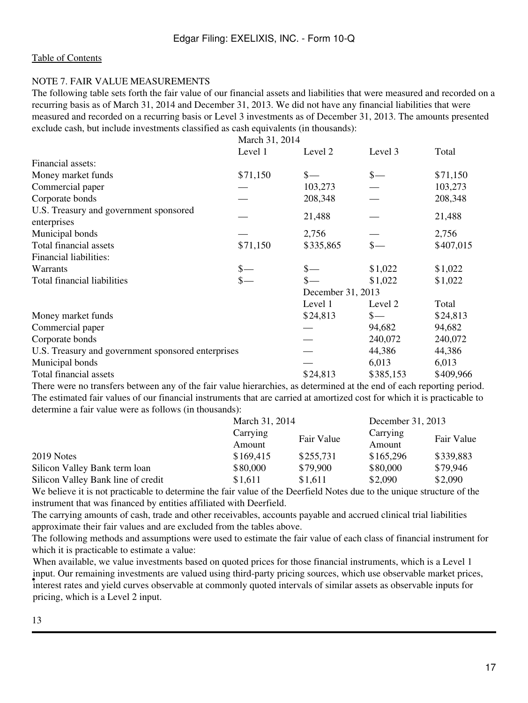#### NOTE 7. FAIR VALUE MEASUREMENTS

The following table sets forth the fair value of our financial assets and liabilities that were measured and recorded on a recurring basis as of March 31, 2014 and December 31, 2013. We did not have any financial liabilities that were measured and recorded on a recurring basis or Level 3 investments as of December 31, 2013. The amounts presented exclude cash, but include investments classified as cash equivalents (in thousands):

|                                                       | March 31, 2014 |                   |               |           |
|-------------------------------------------------------|----------------|-------------------|---------------|-----------|
|                                                       | Level 1        | Level 2           | Level 3       | Total     |
| Financial assets:                                     |                |                   |               |           |
| Money market funds                                    | \$71,150       | $_{s-}$           | $_{\rm s-}$   | \$71,150  |
| Commercial paper                                      |                | 103,273           |               | 103,273   |
| Corporate bonds                                       |                | 208,348           |               | 208,348   |
| U.S. Treasury and government sponsored<br>enterprises |                | 21,488            |               | 21,488    |
| Municipal bonds                                       |                | 2,756             |               | 2,756     |
| Total financial assets                                | \$71,150       | \$335,865         |               | \$407,015 |
| Financial liabilities:                                |                |                   |               |           |
| Warrants                                              |                |                   | \$1,022       | \$1,022   |
| Total financial liabilities                           |                |                   | \$1,022       | \$1,022   |
|                                                       |                | December 31, 2013 |               |           |
|                                                       |                | Level 1           | Level 2       | Total     |
| Money market funds                                    |                | \$24,813          | $\frac{1}{2}$ | \$24,813  |
| Commercial paper                                      |                |                   | 94,682        | 94,682    |
| Corporate bonds                                       |                |                   | 240,072       | 240,072   |
| U.S. Treasury and government sponsored enterprises    |                |                   | 44,386        | 44,386    |
| Municipal bonds                                       |                |                   | 6,013         | 6,013     |
| Total financial assets                                |                | \$24,813          | \$385,153     | \$409,966 |

There were no transfers between any of the fair value hierarchies, as determined at the end of each reporting period. The estimated fair values of our financial instruments that are carried at amortized cost for which it is practicable to determine a fair value were as follows (in thousands):

|                                    | March 31, 2014                   |           | December 31, 2013 |            |
|------------------------------------|----------------------------------|-----------|-------------------|------------|
|                                    | Carrying<br>Fair Value<br>Amount |           | Carrying          | Fair Value |
|                                    |                                  | Amount    |                   |            |
| 2019 Notes                         | \$169,415                        | \$255,731 | \$165,296         | \$339,883  |
| Silicon Valley Bank term loan      | \$80,000                         | \$79,900  | \$80,000          | \$79,946   |
| Silicon Valley Bank line of credit | \$1,611                          | \$1,611   | \$2,090           | \$2,090    |

We believe it is not practicable to determine the fair value of the Deerfield Notes due to the unique structure of the instrument that was financed by entities affiliated with Deerfield.

The carrying amounts of cash, trade and other receivables, accounts payable and accrued clinical trial liabilities approximate their fair values and are excluded from the tables above.

The following methods and assumptions were used to estimate the fair value of each class of financial instrument for which it is practicable to estimate a value:

• interest rates and yield curves observable at commonly quoted intervals of similar assets as observable inputs for When available, we value investments based on quoted prices for those financial instruments, which is a Level 1 input. Our remaining investments are valued using third-party pricing sources, which use observable market prices, pricing, which is a Level 2 input.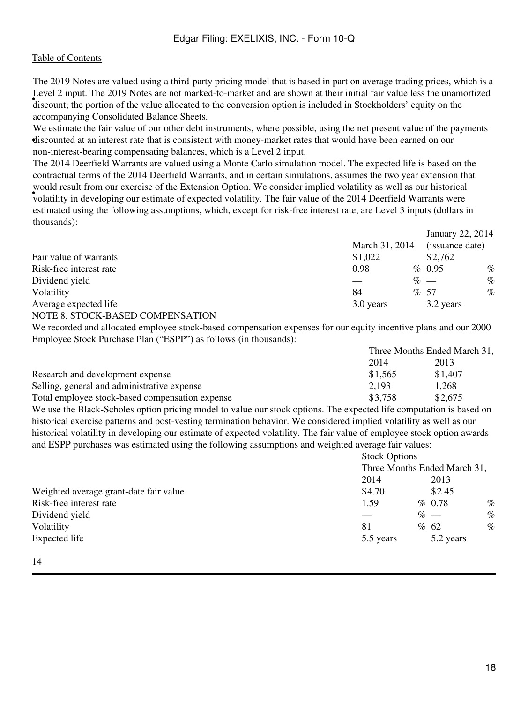• discount; the portion of the value allocated to the conversion option is included in Stockholders' equity on the The 2019 Notes are valued using a third-party pricing model that is based in part on average trading prices, which is a Level 2 input. The 2019 Notes are not marked-to-market and are shown at their initial fair value less the unamortized accompanying Consolidated Balance Sheets.

• discounted at an interest rate that is consistent with money-market rates that would have been earned on our We estimate the fair value of our other debt instruments, where possible, using the net present value of the payments non-interest-bearing compensating balances, which is a Level 2 input.

• volatility in developing our estimate of expected volatility. The fair value of the 2014 Deerfield Warrants were The 2014 Deerfield Warrants are valued using a Monte Carlo simulation model. The expected life is based on the contractual terms of the 2014 Deerfield Warrants, and in certain simulations, assumes the two year extension that would result from our exercise of the Extension Option. We consider implied volatility as well as our historical estimated using the following assumptions, which, except for risk-free interest rate, are Level 3 inputs (dollars in thousands):

|                                  |                | January 22, 2014 |      |
|----------------------------------|----------------|------------------|------|
|                                  | March 31, 2014 | (issuance date)  |      |
| Fair value of warrants           | \$1,022        | \$2,762          |      |
| Risk-free interest rate          | 0.98           | % 0.95           | $\%$ |
| Dividend yield                   |                | $\%$ —           | $\%$ |
| Volatility                       | 84             | %57              | $\%$ |
| Average expected life            | 3.0 years      | 3.2 years        |      |
| NOTE 8. STOCK-BASED COMPENSATION |                |                  |      |

We recorded and allocated employee stock-based compensation expenses for our equity incentive plans and our 2000 Employee Stock Purchase Plan ("ESPP") as follows (in thousands):

|                                                 | Three Months Ended March 31, |         |  |
|-------------------------------------------------|------------------------------|---------|--|
|                                                 | 2014                         | 2013    |  |
| Research and development expense                | \$1.565                      | \$1.407 |  |
| Selling, general and administrative expense     | 2,193                        | 1,268   |  |
| Total employee stock-based compensation expense | \$3,758                      | \$2,675 |  |

We use the Black-Scholes option pricing model to value our stock options. The expected life computation is based on historical exercise patterns and post-vesting termination behavior. We considered implied volatility as well as our historical volatility in developing our estimate of expected volatility. The fair value of employee stock option awards and ESPP purchases was estimated using the following assumptions and weighted average fair values:

|                                        |           | <b>Stock Options</b><br>Three Months Ended March 31, |           |      |
|----------------------------------------|-----------|------------------------------------------------------|-----------|------|
|                                        |           |                                                      |           |      |
|                                        | 2014      |                                                      | 2013      |      |
| Weighted average grant-date fair value | \$4.70    |                                                      | \$2.45    |      |
| Risk-free interest rate                | 1.59      |                                                      | % 0.78    | $\%$ |
| Dividend yield                         |           |                                                      | $\%$ —    | $\%$ |
| Volatility                             | 81        |                                                      | % 62      | $\%$ |
| Expected life                          | 5.5 years |                                                      | 5.2 years |      |
|                                        |           |                                                      |           |      |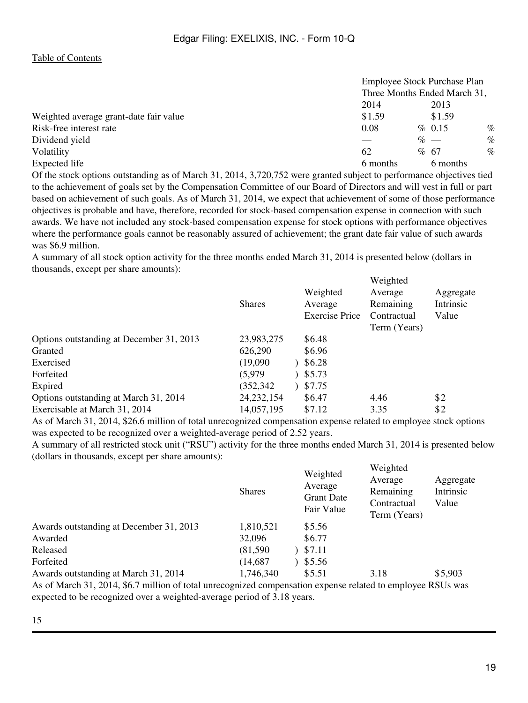|                                        | Employee Stock Purchase Plan<br>Three Months Ended March 31, |          |      |
|----------------------------------------|--------------------------------------------------------------|----------|------|
|                                        |                                                              |          |      |
|                                        | 2014                                                         | 2013     |      |
| Weighted average grant-date fair value | \$1.59                                                       | \$1.59   |      |
| Risk-free interest rate                | 0.08                                                         | % 0.15   | $\%$ |
| Dividend yield                         |                                                              | $\%$ —   | $\%$ |
| Volatility                             | 62                                                           | % 67     | $\%$ |
| Expected life                          | 6 months                                                     | 6 months |      |

Of the stock options outstanding as of March 31, 2014, 3,720,752 were granted subject to performance objectives tied to the achievement of goals set by the Compensation Committee of our Board of Directors and will vest in full or part based on achievement of such goals. As of March 31, 2014, we expect that achievement of some of those performance objectives is probable and have, therefore, recorded for stock-based compensation expense in connection with such awards. We have not included any stock-based compensation expense for stock options with performance objectives where the performance goals cannot be reasonably assured of achievement; the grant date fair value of such awards was \$6.9 million.

A summary of all stock option activity for the three months ended March 31, 2014 is presented below (dollars in thousands, except per share amounts):  $\cdots$ 

| Contractual | Intrinsic<br>Value        |
|-------------|---------------------------|
|             |                           |
|             |                           |
|             |                           |
|             |                           |
|             |                           |
| 4.46        | \$2                       |
| 3.35        | \$2                       |
|             | Remaining<br>Term (Years) |

As of March 31, 2014, \$26.6 million of total unrecognized compensation expense related to employee stock options was expected to be recognized over a weighted-average period of 2.52 years.

A summary of all restricted stock unit ("RSU") activity for the three months ended March 31, 2014 is presented below (dollars in thousands, except per share amounts):

|                                         | <b>Shares</b> | Weighted<br>Average<br><b>Grant Date</b><br>Fair Value | Weighted<br>Average<br>Remaining<br>Contractual<br>Term (Years) | Aggregate<br>Intrinsic<br>Value |
|-----------------------------------------|---------------|--------------------------------------------------------|-----------------------------------------------------------------|---------------------------------|
| Awards outstanding at December 31, 2013 | 1,810,521     | \$5.56                                                 |                                                                 |                                 |
| Awarded                                 | 32,096        | \$6.77                                                 |                                                                 |                                 |
| Released                                | (81,590)      | \$7.11                                                 |                                                                 |                                 |
| Forfeited                               | (14, 687)     | \$5.56                                                 |                                                                 |                                 |
| Awards outstanding at March 31, 2014    | 1,746,340     | \$5.51                                                 | 3.18                                                            | \$5,903                         |
|                                         |               |                                                        |                                                                 |                                 |

As of March 31, 2014, \$6.7 million of total unrecognized compensation expense related to employee RSUs was expected to be recognized over a weighted-average period of 3.18 years.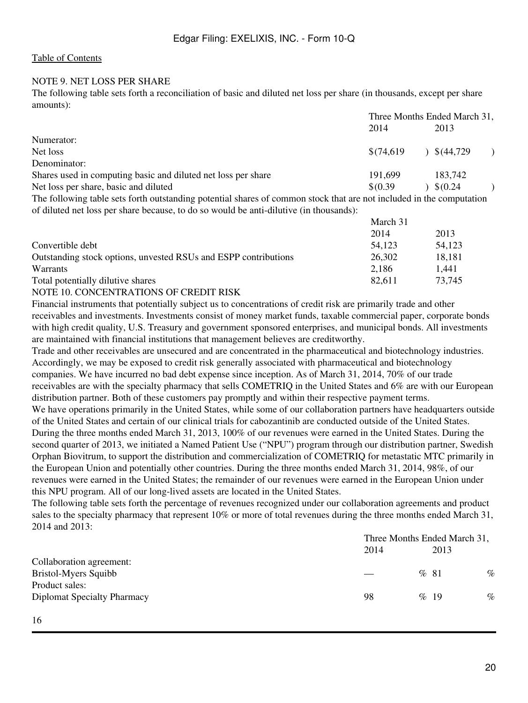## NOTE 9. NET LOSS PER SHARE

The following table sets forth a reconciliation of basic and diluted net loss per share (in thousands, except per share amounts):

|                                                                                                                     |          | Three Months Ended March 31, |  |  |
|---------------------------------------------------------------------------------------------------------------------|----------|------------------------------|--|--|
|                                                                                                                     | 2014     | 2013                         |  |  |
| Numerator:                                                                                                          |          |                              |  |  |
| Net loss                                                                                                            |          | $$(74,619) \quad $(44,729)$  |  |  |
| Denominator:                                                                                                        |          |                              |  |  |
| Shares used in computing basic and diluted net loss per share                                                       | 191.699  | 183.742                      |  |  |
| Net loss per share, basic and diluted                                                                               | \$(0.39) | $\sqrt{6.24}$                |  |  |
| The following table esta feath outstanding notatiol shape of common stools that are not included in the commutation |          |                              |  |  |

The following table sets forth outstanding potential shares of common stock that are not included in the computation of diluted net loss per share because, to do so would be anti-dilutive (in thousands):

|                                                                 | March 31 |        |
|-----------------------------------------------------------------|----------|--------|
|                                                                 | 2014     | 2013   |
| Convertible debt                                                | 54,123   | 54,123 |
| Outstanding stock options, unvested RSUs and ESPP contributions | 26,302   | 18,181 |
| <b>Warrants</b>                                                 | 2,186    | 1.441  |
| Total potentially dilutive shares                               | 82.611   | 73,745 |
|                                                                 |          |        |

### NOTE 10. CONCENTRATIONS OF CREDIT RISK

Financial instruments that potentially subject us to concentrations of credit risk are primarily trade and other receivables and investments. Investments consist of money market funds, taxable commercial paper, corporate bonds with high credit quality, U.S. Treasury and government sponsored enterprises, and municipal bonds. All investments are maintained with financial institutions that management believes are creditworthy.

Trade and other receivables are unsecured and are concentrated in the pharmaceutical and biotechnology industries. Accordingly, we may be exposed to credit risk generally associated with pharmaceutical and biotechnology companies. We have incurred no bad debt expense since inception. As of March 31, 2014, 70% of our trade receivables are with the specialty pharmacy that sells COMETRIQ in the United States and 6% are with our European distribution partner. Both of these customers pay promptly and within their respective payment terms. We have operations primarily in the United States, while some of our collaboration partners have headquarters outside of the United States and certain of our clinical trials for cabozantinib are conducted outside of the United States. During the three months ended March 31, 2013, 100% of our revenues were earned in the United States. During the second quarter of 2013, we initiated a Named Patient Use ("NPU") program through our distribution partner, Swedish Orphan Biovitrum, to support the distribution and commercialization of COMETRIQ for metastatic MTC primarily in the European Union and potentially other countries. During the three months ended March 31, 2014, 98%, of our revenues were earned in the United States; the remainder of our revenues were earned in the European Union under this NPU program. All of our long-lived assets are located in the United States.

The following table sets forth the percentage of revenues recognized under our collaboration agreements and product sales to the specialty pharmacy that represent 10% or more of total revenues during the three months ended March 31, 2014 and 2013:

|                                    |      | Three Months Ended March 31, |      |
|------------------------------------|------|------------------------------|------|
|                                    | 2014 | 2013                         |      |
| Collaboration agreement:           |      |                              |      |
| Bristol-Myers Squibb               |      | %81                          | $\%$ |
| Product sales:                     |      |                              |      |
| <b>Diplomat Specialty Pharmacy</b> | 98   | $\%$ 19                      | $\%$ |
|                                    |      |                              |      |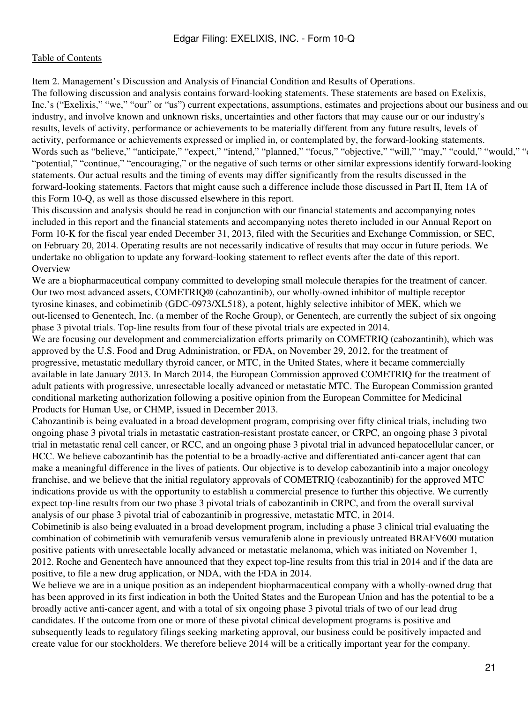<span id="page-20-0"></span>Item 2. Management's Discussion and Analysis of Financial Condition and Results of Operations.

The following discussion and analysis contains forward-looking statements. These statements are based on Exelixis, Inc.'s ("Exelixis," "we," "our" or "us") current expectations, assumptions, estimates and projections about our business and our industry, and involve known and unknown risks, uncertainties and other factors that may cause our or our industry's results, levels of activity, performance or achievements to be materially different from any future results, levels of activity, performance or achievements expressed or implied in, or contemplated by, the forward-looking statements. Words such as "believe," "anticipate," "expect," "intend," "planned," "focus," "objective," "will," "may," "could," "would," " "potential," "continue," "encouraging," or the negative of such terms or other similar expressions identify forward-looking statements. Our actual results and the timing of events may differ significantly from the results discussed in the forward-looking statements. Factors that might cause such a difference include those discussed in Part II, Item 1A of this Form 10-Q, as well as those discussed elsewhere in this report.

This discussion and analysis should be read in conjunction with our financial statements and accompanying notes included in this report and the financial statements and accompanying notes thereto included in our Annual Report on Form 10-K for the fiscal year ended December 31, 2013, filed with the Securities and Exchange Commission, or SEC, on February 20, 2014. Operating results are not necessarily indicative of results that may occur in future periods. We undertake no obligation to update any forward-looking statement to reflect events after the date of this report. Overview

We are a biopharmaceutical company committed to developing small molecule therapies for the treatment of cancer. Our two most advanced assets, COMETRIQ® (cabozantinib), our wholly-owned inhibitor of multiple receptor tyrosine kinases, and cobimetinib (GDC-0973/XL518), a potent, highly selective inhibitor of MEK, which we out-licensed to Genentech, Inc. (a member of the Roche Group), or Genentech, are currently the subject of six ongoing phase 3 pivotal trials. Top-line results from four of these pivotal trials are expected in 2014.

We are focusing our development and commercialization efforts primarily on COMETRIQ (cabozantinib), which was approved by the U.S. Food and Drug Administration, or FDA, on November 29, 2012, for the treatment of progressive, metastatic medullary thyroid cancer, or MTC, in the United States, where it became commercially available in late January 2013. In March 2014, the European Commission approved COMETRIQ for the treatment of adult patients with progressive, unresectable locally advanced or metastatic MTC. The European Commission granted conditional marketing authorization following a positive opinion from the European Committee for Medicinal Products for Human Use, or CHMP, issued in December 2013.

Cabozantinib is being evaluated in a broad development program, comprising over fifty clinical trials, including two ongoing phase 3 pivotal trials in metastatic castration-resistant prostate cancer, or CRPC, an ongoing phase 3 pivotal trial in metastatic renal cell cancer, or RCC, and an ongoing phase 3 pivotal trial in advanced hepatocellular cancer, or HCC. We believe cabozantinib has the potential to be a broadly-active and differentiated anti-cancer agent that can make a meaningful difference in the lives of patients. Our objective is to develop cabozantinib into a major oncology franchise, and we believe that the initial regulatory approvals of COMETRIQ (cabozantinib) for the approved MTC indications provide us with the opportunity to establish a commercial presence to further this objective. We currently expect top-line results from our two phase 3 pivotal trials of cabozantinib in CRPC, and from the overall survival analysis of our phase 3 pivotal trial of cabozantinib in progressive, metastatic MTC, in 2014.

Cobimetinib is also being evaluated in a broad development program, including a phase 3 clinical trial evaluating the combination of cobimetinib with vemurafenib versus vemurafenib alone in previously untreated BRAFV600 mutation positive patients with unresectable locally advanced or metastatic melanoma, which was initiated on November 1, 2012. Roche and Genentech have announced that they expect top-line results from this trial in 2014 and if the data are positive, to file a new drug application, or NDA, with the FDA in 2014.

We believe we are in a unique position as an independent biopharmaceutical company with a wholly-owned drug that has been approved in its first indication in both the United States and the European Union and has the potential to be a broadly active anti-cancer agent, and with a total of six ongoing phase 3 pivotal trials of two of our lead drug candidates. If the outcome from one or more of these pivotal clinical development programs is positive and subsequently leads to regulatory filings seeking marketing approval, our business could be positively impacted and create value for our stockholders. We therefore believe 2014 will be a critically important year for the company.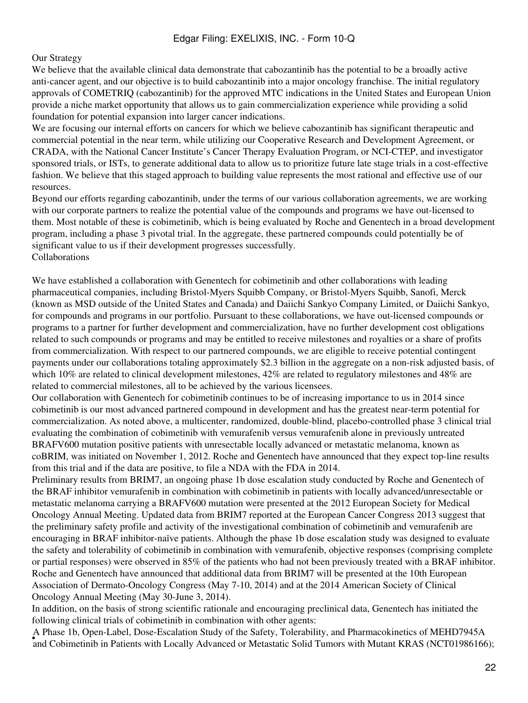#### Our Strategy

We believe that the available clinical data demonstrate that cabozantinib has the potential to be a broadly active anti-cancer agent, and our objective is to build cabozantinib into a major oncology franchise. The initial regulatory approvals of COMETRIQ (cabozantinib) for the approved MTC indications in the United States and European Union provide a niche market opportunity that allows us to gain commercialization experience while providing a solid foundation for potential expansion into larger cancer indications.

We are focusing our internal efforts on cancers for which we believe cabozantinib has significant therapeutic and commercial potential in the near term, while utilizing our Cooperative Research and Development Agreement, or CRADA, with the National Cancer Institute's Cancer Therapy Evaluation Program, or NCI-CTEP, and investigator sponsored trials, or ISTs, to generate additional data to allow us to prioritize future late stage trials in a cost-effective fashion. We believe that this staged approach to building value represents the most rational and effective use of our resources.

Beyond our efforts regarding cabozantinib, under the terms of our various collaboration agreements, we are working with our corporate partners to realize the potential value of the compounds and programs we have out-licensed to them. Most notable of these is cobimetinib, which is being evaluated by Roche and Genentech in a broad development program, including a phase 3 pivotal trial. In the aggregate, these partnered compounds could potentially be of significant value to us if their development progresses successfully. Collaborations

We have established a collaboration with Genentech for cobimetinib and other collaborations with leading pharmaceutical companies, including Bristol-Myers Squibb Company, or Bristol-Myers Squibb, Sanofi, Merck (known as MSD outside of the United States and Canada) and Daiichi Sankyo Company Limited, or Daiichi Sankyo, for compounds and programs in our portfolio. Pursuant to these collaborations, we have out-licensed compounds or programs to a partner for further development and commercialization, have no further development cost obligations related to such compounds or programs and may be entitled to receive milestones and royalties or a share of profits from commercialization. With respect to our partnered compounds, we are eligible to receive potential contingent payments under our collaborations totaling approximately \$2.3 billion in the aggregate on a non-risk adjusted basis, of which 10% are related to clinical development milestones, 42% are related to regulatory milestones and 48% are related to commercial milestones, all to be achieved by the various licensees.

Our collaboration with Genentech for cobimetinib continues to be of increasing importance to us in 2014 since cobimetinib is our most advanced partnered compound in development and has the greatest near-term potential for commercialization. As noted above, a multicenter, randomized, double-blind, placebo-controlled phase 3 clinical trial evaluating the combination of cobimetinib with vemurafenib versus vemurafenib alone in previously untreated BRAFV600 mutation positive patients with unresectable locally advanced or metastatic melanoma, known as coBRIM, was initiated on November 1, 2012. Roche and Genentech have announced that they expect top-line results from this trial and if the data are positive, to file a NDA with the FDA in 2014.

Preliminary results from BRIM7, an ongoing phase 1b dose escalation study conducted by Roche and Genentech of the BRAF inhibitor vemurafenib in combination with cobimetinib in patients with locally advanced/unresectable or metastatic melanoma carrying a BRAFV600 mutation were presented at the 2012 European Society for Medical Oncology Annual Meeting. Updated data from BRIM7 reported at the European Cancer Congress 2013 suggest that the preliminary safety profile and activity of the investigational combination of cobimetinib and vemurafenib are encouraging in BRAF inhibitor-naïve patients. Although the phase 1b dose escalation study was designed to evaluate the safety and tolerability of cobimetinib in combination with vemurafenib, objective responses (comprising complete or partial responses) were observed in 85% of the patients who had not been previously treated with a BRAF inhibitor. Roche and Genentech have announced that additional data from BRIM7 will be presented at the 10th European Association of Dermato-Oncology Congress (May 7-10, 2014) and at the 2014 American Society of Clinical Oncology Annual Meeting (May 30-June 3, 2014).

In addition, on the basis of strong scientific rationale and encouraging preclinical data, Genentech has initiated the following clinical trials of cobimetinib in combination with other agents:

A Phase 1b, Open-Label, Dose-Escalation Study of the Safety, Tolerability, and Pharmacokinetics of MEHD7945A<br>and Cohimatinih in Petiants with Locally Advanced or Meteotatio Solid Tymors with Mutant KBAS (NGT01086166 and Cobimetinib in Patients with Locally Advanced or Metastatic Solid Tumors with Mutant KRAS (NCT01986166);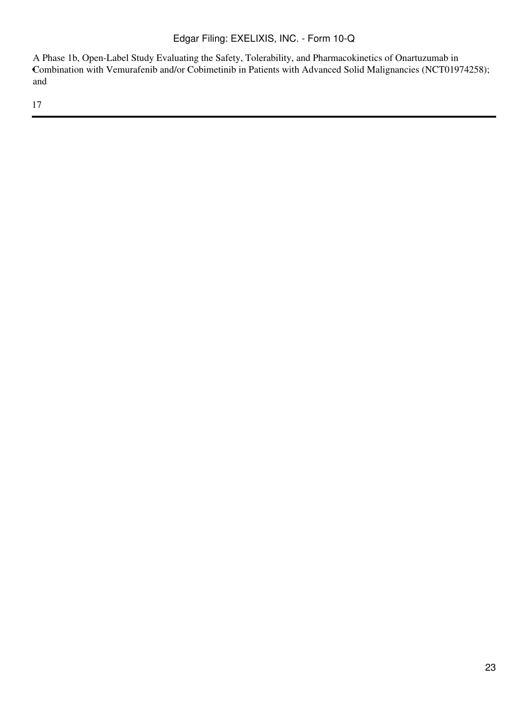• Combination with Vemurafenib and/or Cobimetinib in Patients with Advanced Solid Malignancies (NCT01974258); A Phase 1b, Open-Label Study Evaluating the Safety, Tolerability, and Pharmacokinetics of Onartuzumab in and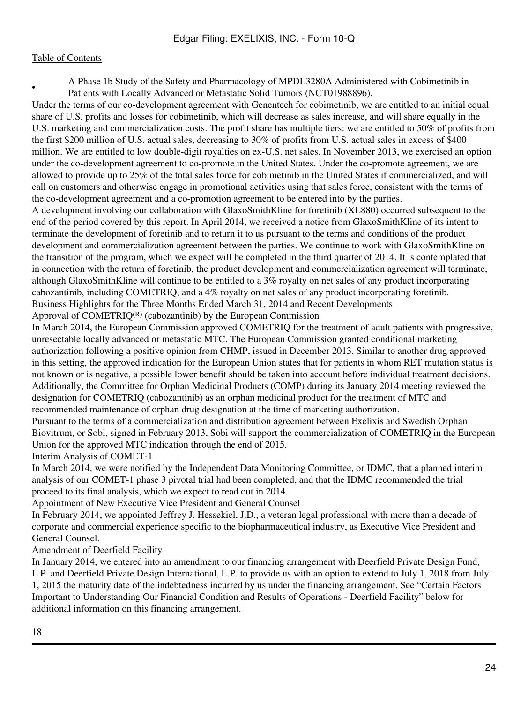•

A Phase 1b Study of the Safety and Pharmacology of MPDL3280A Administered with Cobimetinib in Patients with Locally Advanced or Metastatic Solid Tumors (NCT01988896).

Under the terms of our co-development agreement with Genentech for cobimetinib, we are entitled to an initial equal share of U.S. profits and losses for cobimetinib, which will decrease as sales increase, and will share equally in the U.S. marketing and commercialization costs. The profit share has multiple tiers: we are entitled to 50% of profits from the first \$200 million of U.S. actual sales, decreasing to 30% of profits from U.S. actual sales in excess of \$400 million. We are entitled to low double-digit royalties on ex-U.S. net sales. In November 2013, we exercised an option under the co-development agreement to co-promote in the United States. Under the co-promote agreement, we are allowed to provide up to 25% of the total sales force for cobimetinib in the United States if commercialized, and will call on customers and otherwise engage in promotional activities using that sales force, consistent with the terms of the co-development agreement and a co-promotion agreement to be entered into by the parties.

A development involving our collaboration with GlaxoSmithKline for foretinib (XL880) occurred subsequent to the end of the period covered by this report. In April 2014, we received a notice from GlaxoSmithKline of its intent to terminate the development of foretinib and to return it to us pursuant to the terms and conditions of the product development and commercialization agreement between the parties. We continue to work with GlaxoSmithKline on the transition of the program, which we expect will be completed in the third quarter of 2014. It is contemplated that in connection with the return of foretinib, the product development and commercialization agreement will terminate, although GlaxoSmithKline will continue to be entitled to a 3% royalty on net sales of any product incorporating cabozantinib, including COMETRIQ, and a 4% royalty on net sales of any product incorporating foretinib. Business Highlights for the Three Months Ended March 31, 2014 and Recent Developments Approval of  $COMETRIO^{(R)}$  (cabozantinib) by the European Commission

In March 2014, the European Commission approved COMETRIQ for the treatment of adult patients with progressive, unresectable locally advanced or metastatic MTC. The European Commission granted conditional marketing authorization following a positive opinion from CHMP, issued in December 2013. Similar to another drug approved in this setting, the approved indication for the European Union states that for patients in whom RET mutation status is not known or is negative, a possible lower benefit should be taken into account before individual treatment decisions. Additionally, the Committee for Orphan Medicinal Products (COMP) during its January 2014 meeting reviewed the designation for COMETRIQ (cabozantinib) as an orphan medicinal product for the treatment of MTC and recommended maintenance of orphan drug designation at the time of marketing authorization.

Pursuant to the terms of a commercialization and distribution agreement between Exelixis and Swedish Orphan Biovitrum, or Sobi, signed in February 2013, Sobi will support the commercialization of COMETRIQ in the European Union for the approved MTC indication through the end of 2015.

Interim Analysis of COMET-1

In March 2014, we were notified by the Independent Data Monitoring Committee, or IDMC, that a planned interim analysis of our COMET-1 phase 3 pivotal trial had been completed, and that the IDMC recommended the trial proceed to its final analysis, which we expect to read out in 2014.

Appointment of New Executive Vice President and General Counsel

In February 2014, we appointed Jeffrey J. Hessekiel, J.D., a veteran legal professional with more than a decade of corporate and commercial experience specific to the biopharmaceutical industry, as Executive Vice President and General Counsel.

## Amendment of Deerfield Facility

In January 2014, we entered into an amendment to our financing arrangement with Deerfield Private Design Fund, L.P. and Deerfield Private Design International, L.P. to provide us with an option to extend to July 1, 2018 from July 1, 2015 the maturity date of the indebtedness incurred by us under the financing arrangement. See "Certain Factors Important to Understanding Our Financial Condition and Results of Operations - Deerfield Facility" below for additional information on this financing arrangement.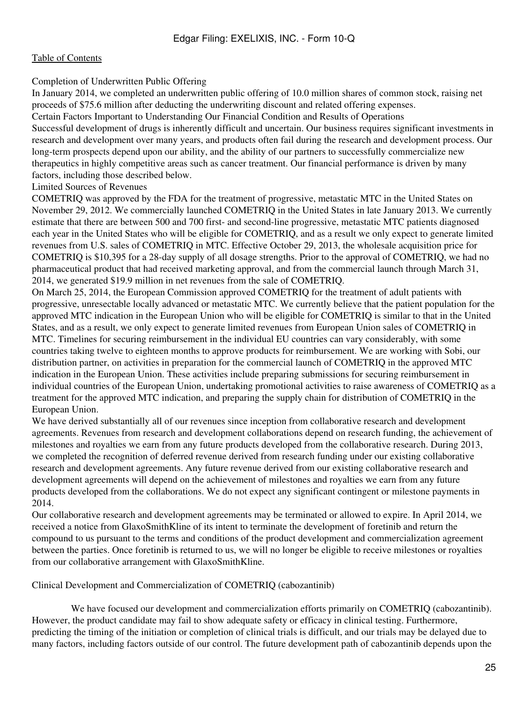#### Completion of Underwritten Public Offering

In January 2014, we completed an underwritten public offering of 10.0 million shares of common stock, raising net proceeds of \$75.6 million after deducting the underwriting discount and related offering expenses.

Certain Factors Important to Understanding Our Financial Condition and Results of Operations

Successful development of drugs is inherently difficult and uncertain. Our business requires significant investments in research and development over many years, and products often fail during the research and development process. Our long-term prospects depend upon our ability, and the ability of our partners to successfully commercialize new therapeutics in highly competitive areas such as cancer treatment. Our financial performance is driven by many factors, including those described below.

#### Limited Sources of Revenues

COMETRIQ was approved by the FDA for the treatment of progressive, metastatic MTC in the United States on November 29, 2012. We commercially launched COMETRIQ in the United States in late January 2013. We currently estimate that there are between 500 and 700 first- and second-line progressive, metastatic MTC patients diagnosed each year in the United States who will be eligible for COMETRIQ, and as a result we only expect to generate limited revenues from U.S. sales of COMETRIQ in MTC. Effective October 29, 2013, the wholesale acquisition price for COMETRIQ is \$10,395 for a 28-day supply of all dosage strengths. Prior to the approval of COMETRIQ, we had no pharmaceutical product that had received marketing approval, and from the commercial launch through March 31, 2014, we generated \$19.9 million in net revenues from the sale of COMETRIQ.

On March 25, 2014, the European Commission approved COMETRIQ for the treatment of adult patients with progressive, unresectable locally advanced or metastatic MTC. We currently believe that the patient population for the approved MTC indication in the European Union who will be eligible for COMETRIQ is similar to that in the United States, and as a result, we only expect to generate limited revenues from European Union sales of COMETRIQ in MTC. Timelines for securing reimbursement in the individual EU countries can vary considerably, with some countries taking twelve to eighteen months to approve products for reimbursement. We are working with Sobi, our distribution partner, on activities in preparation for the commercial launch of COMETRIQ in the approved MTC indication in the European Union. These activities include preparing submissions for securing reimbursement in individual countries of the European Union, undertaking promotional activities to raise awareness of COMETRIQ as a treatment for the approved MTC indication, and preparing the supply chain for distribution of COMETRIQ in the European Union.

We have derived substantially all of our revenues since inception from collaborative research and development agreements. Revenues from research and development collaborations depend on research funding, the achievement of milestones and royalties we earn from any future products developed from the collaborative research. During 2013, we completed the recognition of deferred revenue derived from research funding under our existing collaborative research and development agreements. Any future revenue derived from our existing collaborative research and development agreements will depend on the achievement of milestones and royalties we earn from any future products developed from the collaborations. We do not expect any significant contingent or milestone payments in 2014.

Our collaborative research and development agreements may be terminated or allowed to expire. In April 2014, we received a notice from GlaxoSmithKline of its intent to terminate the development of foretinib and return the compound to us pursuant to the terms and conditions of the product development and commercialization agreement between the parties. Once foretinib is returned to us, we will no longer be eligible to receive milestones or royalties from our collaborative arrangement with GlaxoSmithKline.

Clinical Development and Commercialization of COMETRIQ (cabozantinib)

 We have focused our development and commercialization efforts primarily on COMETRIQ (cabozantinib). However, the product candidate may fail to show adequate safety or efficacy in clinical testing. Furthermore, predicting the timing of the initiation or completion of clinical trials is difficult, and our trials may be delayed due to many factors, including factors outside of our control. The future development path of cabozantinib depends upon the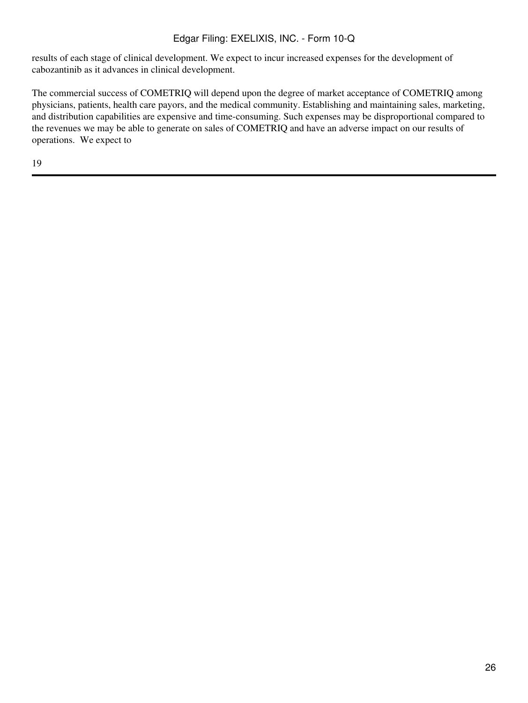results of each stage of clinical development. We expect to incur increased expenses for the development of cabozantinib as it advances in clinical development.

The commercial success of COMETRIQ will depend upon the degree of market acceptance of COMETRIQ among physicians, patients, health care payors, and the medical community. Establishing and maintaining sales, marketing, and distribution capabilities are expensive and time-consuming. Such expenses may be disproportional compared to the revenues we may be able to generate on sales of COMETRIQ and have an adverse impact on our results of operations. We expect to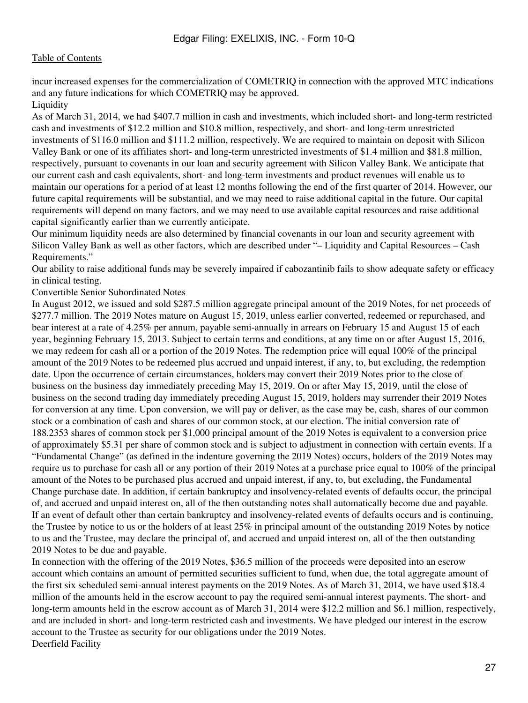incur increased expenses for the commercialization of COMETRIQ in connection with the approved MTC indications and any future indications for which COMETRIQ may be approved. Liquidity

As of March 31, 2014, we had \$407.7 million in cash and investments, which included short- and long-term restricted cash and investments of \$12.2 million and \$10.8 million, respectively, and short- and long-term unrestricted investments of \$116.0 million and \$111.2 million, respectively. We are required to maintain on deposit with Silicon Valley Bank or one of its affiliates short- and long-term unrestricted investments of \$1.4 million and \$81.8 million, respectively, pursuant to covenants in our loan and security agreement with Silicon Valley Bank. We anticipate that our current cash and cash equivalents, short- and long-term investments and product revenues will enable us to maintain our operations for a period of at least 12 months following the end of the first quarter of 2014. However, our future capital requirements will be substantial, and we may need to raise additional capital in the future. Our capital requirements will depend on many factors, and we may need to use available capital resources and raise additional capital significantly earlier than we currently anticipate.

Our minimum liquidity needs are also determined by financial covenants in our loan and security agreement with Silicon Valley Bank as well as other factors, which are described under "– Liquidity and Capital Resources – Cash Requirements."

Our ability to raise additional funds may be severely impaired if cabozantinib fails to show adequate safety or efficacy in clinical testing.

Convertible Senior Subordinated Notes

In August 2012, we issued and sold \$287.5 million aggregate principal amount of the 2019 Notes, for net proceeds of \$277.7 million. The 2019 Notes mature on August 15, 2019, unless earlier converted, redeemed or repurchased, and bear interest at a rate of 4.25% per annum, payable semi-annually in arrears on February 15 and August 15 of each year, beginning February 15, 2013. Subject to certain terms and conditions, at any time on or after August 15, 2016, we may redeem for cash all or a portion of the 2019 Notes. The redemption price will equal 100% of the principal amount of the 2019 Notes to be redeemed plus accrued and unpaid interest, if any, to, but excluding, the redemption date. Upon the occurrence of certain circumstances, holders may convert their 2019 Notes prior to the close of business on the business day immediately preceding May 15, 2019. On or after May 15, 2019, until the close of business on the second trading day immediately preceding August 15, 2019, holders may surrender their 2019 Notes for conversion at any time. Upon conversion, we will pay or deliver, as the case may be, cash, shares of our common stock or a combination of cash and shares of our common stock, at our election. The initial conversion rate of 188.2353 shares of common stock per \$1,000 principal amount of the 2019 Notes is equivalent to a conversion price of approximately \$5.31 per share of common stock and is subject to adjustment in connection with certain events. If a "Fundamental Change" (as defined in the indenture governing the 2019 Notes) occurs, holders of the 2019 Notes may require us to purchase for cash all or any portion of their 2019 Notes at a purchase price equal to 100% of the principal amount of the Notes to be purchased plus accrued and unpaid interest, if any, to, but excluding, the Fundamental Change purchase date. In addition, if certain bankruptcy and insolvency-related events of defaults occur, the principal of, and accrued and unpaid interest on, all of the then outstanding notes shall automatically become due and payable. If an event of default other than certain bankruptcy and insolvency-related events of defaults occurs and is continuing, the Trustee by notice to us or the holders of at least 25% in principal amount of the outstanding 2019 Notes by notice to us and the Trustee, may declare the principal of, and accrued and unpaid interest on, all of the then outstanding 2019 Notes to be due and payable.

In connection with the offering of the 2019 Notes, \$36.5 million of the proceeds were deposited into an escrow account which contains an amount of permitted securities sufficient to fund, when due, the total aggregate amount of the first six scheduled semi-annual interest payments on the 2019 Notes. As of March 31, 2014, we have used \$18.4 million of the amounts held in the escrow account to pay the required semi-annual interest payments. The short- and long-term amounts held in the escrow account as of March 31, 2014 were \$12.2 million and \$6.1 million, respectively, and are included in short- and long-term restricted cash and investments. We have pledged our interest in the escrow account to the Trustee as security for our obligations under the 2019 Notes. Deerfield Facility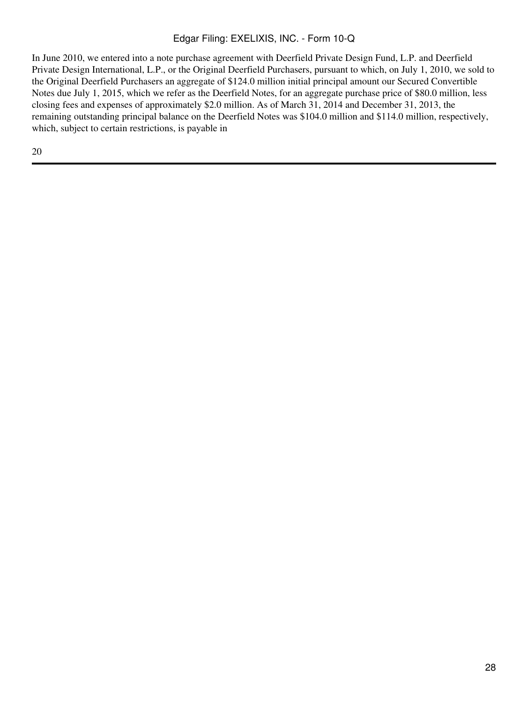In June 2010, we entered into a note purchase agreement with Deerfield Private Design Fund, L.P. and Deerfield Private Design International, L.P., or the Original Deerfield Purchasers, pursuant to which, on July 1, 2010, we sold to the Original Deerfield Purchasers an aggregate of \$124.0 million initial principal amount our Secured Convertible Notes due July 1, 2015, which we refer as the Deerfield Notes, for an aggregate purchase price of \$80.0 million, less closing fees and expenses of approximately \$2.0 million. As of March 31, 2014 and December 31, 2013, the remaining outstanding principal balance on the Deerfield Notes was \$104.0 million and \$114.0 million, respectively, which, subject to certain restrictions, is payable in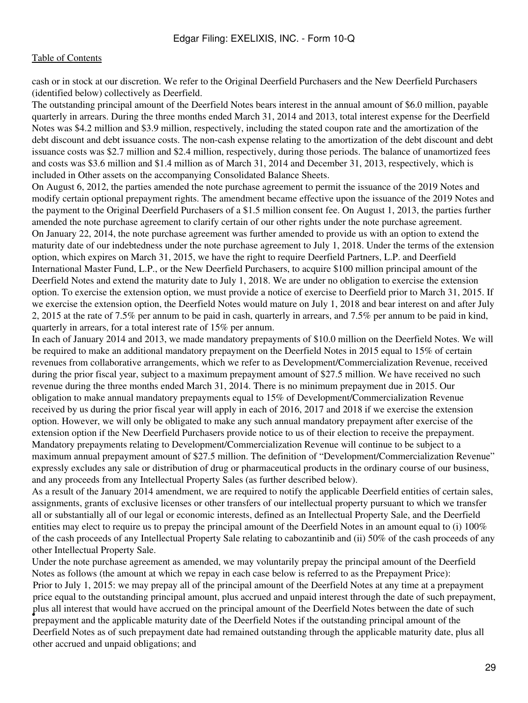cash or in stock at our discretion. We refer to the Original Deerfield Purchasers and the New Deerfield Purchasers (identified below) collectively as Deerfield.

The outstanding principal amount of the Deerfield Notes bears interest in the annual amount of \$6.0 million, payable quarterly in arrears. During the three months ended March 31, 2014 and 2013, total interest expense for the Deerfield Notes was \$4.2 million and \$3.9 million, respectively, including the stated coupon rate and the amortization of the debt discount and debt issuance costs. The non-cash expense relating to the amortization of the debt discount and debt issuance costs was \$2.7 million and \$2.4 million, respectively, during those periods. The balance of unamortized fees and costs was \$3.6 million and \$1.4 million as of March 31, 2014 and December 31, 2013, respectively, which is included in Other assets on the accompanying Consolidated Balance Sheets.

On August 6, 2012, the parties amended the note purchase agreement to permit the issuance of the 2019 Notes and modify certain optional prepayment rights. The amendment became effective upon the issuance of the 2019 Notes and the payment to the Original Deerfield Purchasers of a \$1.5 million consent fee. On August 1, 2013, the parties further amended the note purchase agreement to clarify certain of our other rights under the note purchase agreement. On January 22, 2014, the note purchase agreement was further amended to provide us with an option to extend the maturity date of our indebtedness under the note purchase agreement to July 1, 2018. Under the terms of the extension option, which expires on March 31, 2015, we have the right to require Deerfield Partners, L.P. and Deerfield International Master Fund, L.P., or the New Deerfield Purchasers, to acquire \$100 million principal amount of the Deerfield Notes and extend the maturity date to July 1, 2018. We are under no obligation to exercise the extension option. To exercise the extension option, we must provide a notice of exercise to Deerfield prior to March 31, 2015. If we exercise the extension option, the Deerfield Notes would mature on July 1, 2018 and bear interest on and after July 2, 2015 at the rate of 7.5% per annum to be paid in cash, quarterly in arrears, and 7.5% per annum to be paid in kind, quarterly in arrears, for a total interest rate of 15% per annum.

In each of January 2014 and 2013, we made mandatory prepayments of \$10.0 million on the Deerfield Notes. We will be required to make an additional mandatory prepayment on the Deerfield Notes in 2015 equal to 15% of certain revenues from collaborative arrangements, which we refer to as Development/Commercialization Revenue, received during the prior fiscal year, subject to a maximum prepayment amount of \$27.5 million. We have received no such revenue during the three months ended March 31, 2014. There is no minimum prepayment due in 2015. Our obligation to make annual mandatory prepayments equal to 15% of Development/Commercialization Revenue received by us during the prior fiscal year will apply in each of 2016, 2017 and 2018 if we exercise the extension option. However, we will only be obligated to make any such annual mandatory prepayment after exercise of the extension option if the New Deerfield Purchasers provide notice to us of their election to receive the prepayment. Mandatory prepayments relating to Development/Commercialization Revenue will continue to be subject to a maximum annual prepayment amount of \$27.5 million. The definition of "Development/Commercialization Revenue" expressly excludes any sale or distribution of drug or pharmaceutical products in the ordinary course of our business, and any proceeds from any Intellectual Property Sales (as further described below).

As a result of the January 2014 amendment, we are required to notify the applicable Deerfield entities of certain sales, assignments, grants of exclusive licenses or other transfers of our intellectual property pursuant to which we transfer all or substantially all of our legal or economic interests, defined as an Intellectual Property Sale, and the Deerfield entities may elect to require us to prepay the principal amount of the Deerfield Notes in an amount equal to (i) 100% of the cash proceeds of any Intellectual Property Sale relating to cabozantinib and (ii) 50% of the cash proceeds of any other Intellectual Property Sale.

Under the note purchase agreement as amended, we may voluntarily prepay the principal amount of the Deerfield Notes as follows (the amount at which we repay in each case below is referred to as the Prepayment Price): • prepayment and the applicable maturity date of the Deerfield Notes if the outstanding principal amount of the Prior to July 1, 2015: we may prepay all of the principal amount of the Deerfield Notes at any time at a prepayment price equal to the outstanding principal amount, plus accrued and unpaid interest through the date of such prepayment, plus all interest that would have accrued on the principal amount of the Deerfield Notes between the date of such Deerfield Notes as of such prepayment date had remained outstanding through the applicable maturity date, plus all other accrued and unpaid obligations; and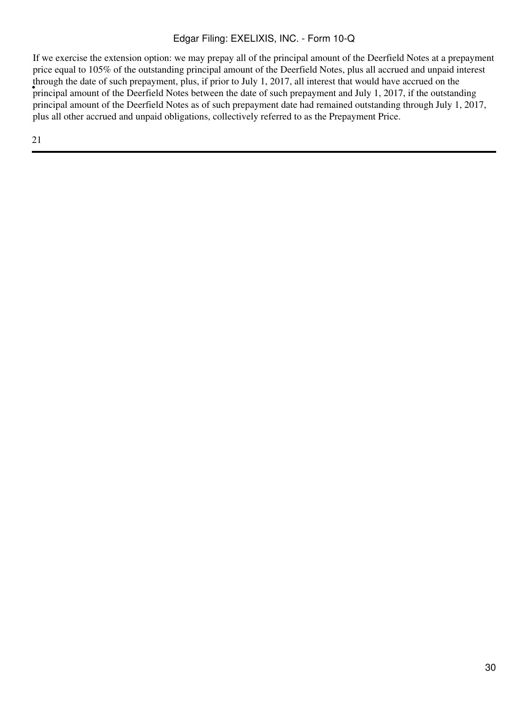in ough the date of such prepayment, plus, if prior to sury 1, 2017, an interest that would have accruded on the principal amount of the Deerfield Notes between the date of such prepayment and July 1, 2017, if the outstand If we exercise the extension option: we may prepay all of the principal amount of the Deerfield Notes at a prepayment price equal to 105% of the outstanding principal amount of the Deerfield Notes, plus all accrued and unpaid interest through the date of such prepayment, plus, if prior to July 1, 2017, all interest that would have accrued on the principal amount of the Deerfield Notes as of such prepayment date had remained outstanding through July 1, 2017, plus all other accrued and unpaid obligations, collectively referred to as the Prepayment Price.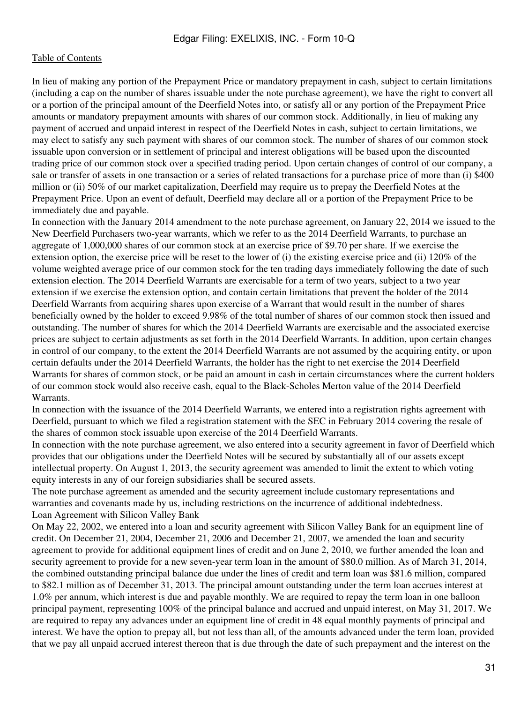In lieu of making any portion of the Prepayment Price or mandatory prepayment in cash, subject to certain limitations (including a cap on the number of shares issuable under the note purchase agreement), we have the right to convert all or a portion of the principal amount of the Deerfield Notes into, or satisfy all or any portion of the Prepayment Price amounts or mandatory prepayment amounts with shares of our common stock. Additionally, in lieu of making any payment of accrued and unpaid interest in respect of the Deerfield Notes in cash, subject to certain limitations, we may elect to satisfy any such payment with shares of our common stock. The number of shares of our common stock issuable upon conversion or in settlement of principal and interest obligations will be based upon the discounted trading price of our common stock over a specified trading period. Upon certain changes of control of our company, a sale or transfer of assets in one transaction or a series of related transactions for a purchase price of more than (i) \$400 million or (ii) 50% of our market capitalization, Deerfield may require us to prepay the Deerfield Notes at the Prepayment Price. Upon an event of default, Deerfield may declare all or a portion of the Prepayment Price to be immediately due and payable.

In connection with the January 2014 amendment to the note purchase agreement, on January 22, 2014 we issued to the New Deerfield Purchasers two-year warrants, which we refer to as the 2014 Deerfield Warrants, to purchase an aggregate of 1,000,000 shares of our common stock at an exercise price of \$9.70 per share. If we exercise the extension option, the exercise price will be reset to the lower of (i) the existing exercise price and (ii) 120% of the volume weighted average price of our common stock for the ten trading days immediately following the date of such extension election. The 2014 Deerfield Warrants are exercisable for a term of two years, subject to a two year extension if we exercise the extension option, and contain certain limitations that prevent the holder of the 2014 Deerfield Warrants from acquiring shares upon exercise of a Warrant that would result in the number of shares beneficially owned by the holder to exceed 9.98% of the total number of shares of our common stock then issued and outstanding. The number of shares for which the 2014 Deerfield Warrants are exercisable and the associated exercise prices are subject to certain adjustments as set forth in the 2014 Deerfield Warrants. In addition, upon certain changes in control of our company, to the extent the 2014 Deerfield Warrants are not assumed by the acquiring entity, or upon certain defaults under the 2014 Deerfield Warrants, the holder has the right to net exercise the 2014 Deerfield Warrants for shares of common stock, or be paid an amount in cash in certain circumstances where the current holders of our common stock would also receive cash, equal to the Black-Scholes Merton value of the 2014 Deerfield Warrants.

In connection with the issuance of the 2014 Deerfield Warrants, we entered into a registration rights agreement with Deerfield, pursuant to which we filed a registration statement with the SEC in February 2014 covering the resale of the shares of common stock issuable upon exercise of the 2014 Deerfield Warrants.

In connection with the note purchase agreement, we also entered into a security agreement in favor of Deerfield which provides that our obligations under the Deerfield Notes will be secured by substantially all of our assets except intellectual property. On August 1, 2013, the security agreement was amended to limit the extent to which voting equity interests in any of our foreign subsidiaries shall be secured assets.

The note purchase agreement as amended and the security agreement include customary representations and warranties and covenants made by us, including restrictions on the incurrence of additional indebtedness. Loan Agreement with Silicon Valley Bank

On May 22, 2002, we entered into a loan and security agreement with Silicon Valley Bank for an equipment line of credit. On December 21, 2004, December 21, 2006 and December 21, 2007, we amended the loan and security agreement to provide for additional equipment lines of credit and on June 2, 2010, we further amended the loan and security agreement to provide for a new seven-year term loan in the amount of \$80.0 million. As of March 31, 2014, the combined outstanding principal balance due under the lines of credit and term loan was \$81.6 million, compared to \$82.1 million as of December 31, 2013. The principal amount outstanding under the term loan accrues interest at 1.0% per annum, which interest is due and payable monthly. We are required to repay the term loan in one balloon principal payment, representing 100% of the principal balance and accrued and unpaid interest, on May 31, 2017. We are required to repay any advances under an equipment line of credit in 48 equal monthly payments of principal and interest. We have the option to prepay all, but not less than all, of the amounts advanced under the term loan, provided that we pay all unpaid accrued interest thereon that is due through the date of such prepayment and the interest on the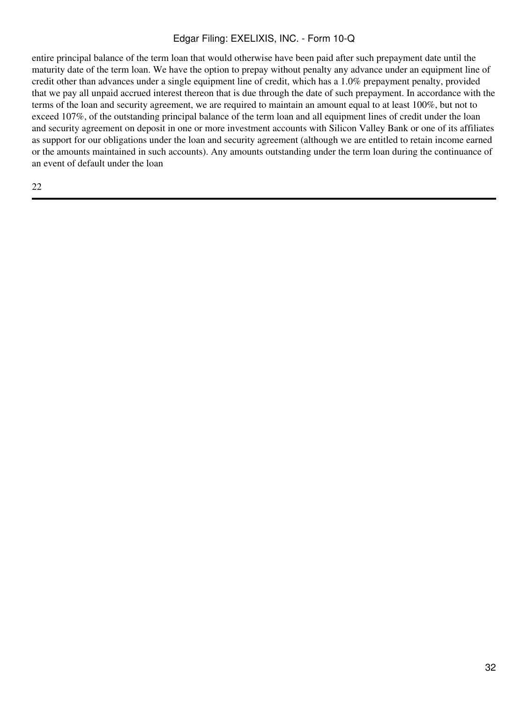entire principal balance of the term loan that would otherwise have been paid after such prepayment date until the maturity date of the term loan. We have the option to prepay without penalty any advance under an equipment line of credit other than advances under a single equipment line of credit, which has a 1.0% prepayment penalty, provided that we pay all unpaid accrued interest thereon that is due through the date of such prepayment. In accordance with the terms of the loan and security agreement, we are required to maintain an amount equal to at least 100%, but not to exceed 107%, of the outstanding principal balance of the term loan and all equipment lines of credit under the loan and security agreement on deposit in one or more investment accounts with Silicon Valley Bank or one of its affiliates as support for our obligations under the loan and security agreement (although we are entitled to retain income earned or the amounts maintained in such accounts). Any amounts outstanding under the term loan during the continuance of an event of default under the loan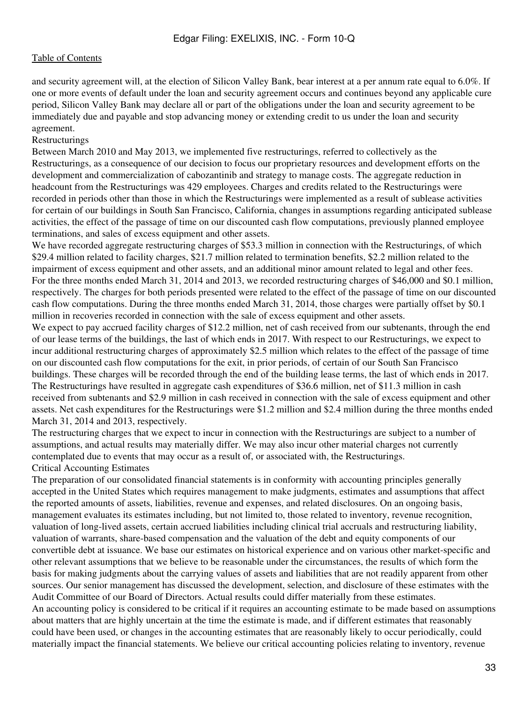and security agreement will, at the election of Silicon Valley Bank, bear interest at a per annum rate equal to 6.0%. If one or more events of default under the loan and security agreement occurs and continues beyond any applicable cure period, Silicon Valley Bank may declare all or part of the obligations under the loan and security agreement to be immediately due and payable and stop advancing money or extending credit to us under the loan and security agreement.

#### Restructurings

Between March 2010 and May 2013, we implemented five restructurings, referred to collectively as the Restructurings, as a consequence of our decision to focus our proprietary resources and development efforts on the development and commercialization of cabozantinib and strategy to manage costs. The aggregate reduction in headcount from the Restructurings was 429 employees. Charges and credits related to the Restructurings were recorded in periods other than those in which the Restructurings were implemented as a result of sublease activities for certain of our buildings in South San Francisco, California, changes in assumptions regarding anticipated sublease activities, the effect of the passage of time on our discounted cash flow computations, previously planned employee terminations, and sales of excess equipment and other assets.

We have recorded aggregate restructuring charges of \$53.3 million in connection with the Restructurings, of which \$29.4 million related to facility charges, \$21.7 million related to termination benefits, \$2.2 million related to the impairment of excess equipment and other assets, and an additional minor amount related to legal and other fees. For the three months ended March 31, 2014 and 2013, we recorded restructuring charges of \$46,000 and \$0.1 million, respectively. The charges for both periods presented were related to the effect of the passage of time on our discounted cash flow computations. During the three months ended March 31, 2014, those charges were partially offset by \$0.1 million in recoveries recorded in connection with the sale of excess equipment and other assets.

We expect to pay accrued facility charges of \$12.2 million, net of cash received from our subtenants, through the end of our lease terms of the buildings, the last of which ends in 2017. With respect to our Restructurings, we expect to incur additional restructuring charges of approximately \$2.5 million which relates to the effect of the passage of time on our discounted cash flow computations for the exit, in prior periods, of certain of our South San Francisco buildings. These charges will be recorded through the end of the building lease terms, the last of which ends in 2017. The Restructurings have resulted in aggregate cash expenditures of \$36.6 million, net of \$11.3 million in cash received from subtenants and \$2.9 million in cash received in connection with the sale of excess equipment and other assets. Net cash expenditures for the Restructurings were \$1.2 million and \$2.4 million during the three months ended March 31, 2014 and 2013, respectively.

The restructuring charges that we expect to incur in connection with the Restructurings are subject to a number of assumptions, and actual results may materially differ. We may also incur other material charges not currently contemplated due to events that may occur as a result of, or associated with, the Restructurings. Critical Accounting Estimates

The preparation of our consolidated financial statements is in conformity with accounting principles generally accepted in the United States which requires management to make judgments, estimates and assumptions that affect the reported amounts of assets, liabilities, revenue and expenses, and related disclosures. On an ongoing basis, management evaluates its estimates including, but not limited to, those related to inventory, revenue recognition, valuation of long-lived assets, certain accrued liabilities including clinical trial accruals and restructuring liability, valuation of warrants, share-based compensation and the valuation of the debt and equity components of our convertible debt at issuance. We base our estimates on historical experience and on various other market-specific and other relevant assumptions that we believe to be reasonable under the circumstances, the results of which form the basis for making judgments about the carrying values of assets and liabilities that are not readily apparent from other sources. Our senior management has discussed the development, selection, and disclosure of these estimates with the Audit Committee of our Board of Directors. Actual results could differ materially from these estimates. An accounting policy is considered to be critical if it requires an accounting estimate to be made based on assumptions about matters that are highly uncertain at the time the estimate is made, and if different estimates that reasonably could have been used, or changes in the accounting estimates that are reasonably likely to occur periodically, could materially impact the financial statements. We believe our critical accounting policies relating to inventory, revenue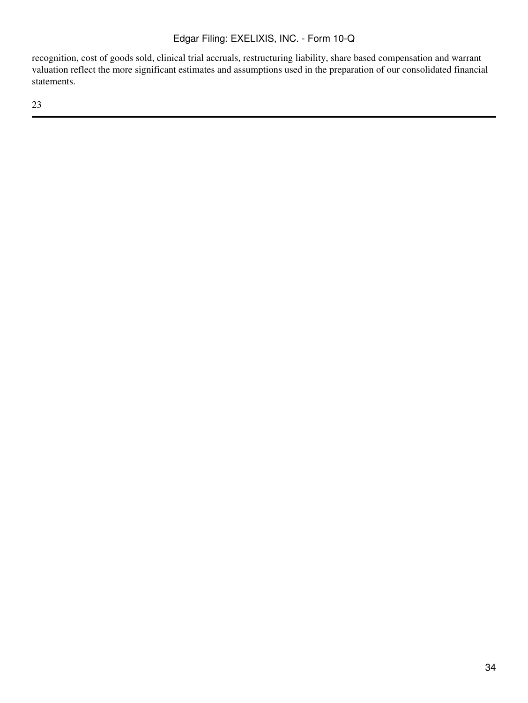recognition, cost of goods sold, clinical trial accruals, restructuring liability, share based compensation and warrant valuation reflect the more significant estimates and assumptions used in the preparation of our consolidated financial statements.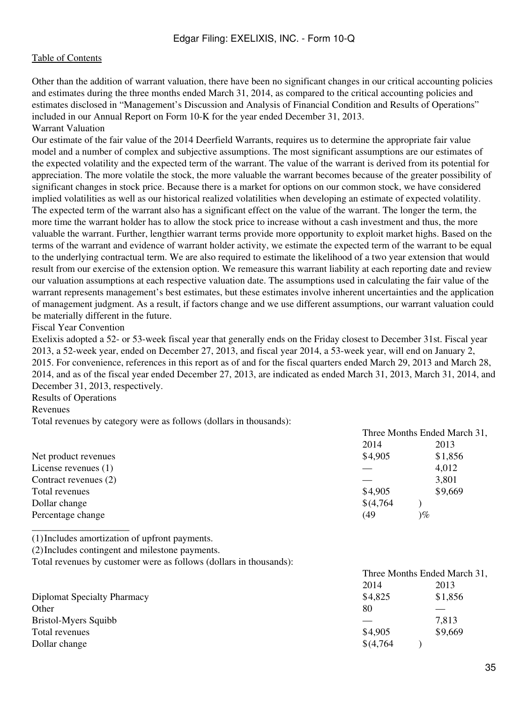Other than the addition of warrant valuation, there have been no significant changes in our critical accounting policies and estimates during the three months ended March 31, 2014, as compared to the critical accounting policies and estimates disclosed in "Management's Discussion and Analysis of Financial Condition and Results of Operations" included in our Annual Report on Form 10-K for the year ended December 31, 2013. Warrant Valuation

Our estimate of the fair value of the 2014 Deerfield Warrants, requires us to determine the appropriate fair value model and a number of complex and subjective assumptions. The most significant assumptions are our estimates of the expected volatility and the expected term of the warrant. The value of the warrant is derived from its potential for appreciation. The more volatile the stock, the more valuable the warrant becomes because of the greater possibility of significant changes in stock price. Because there is a market for options on our common stock, we have considered implied volatilities as well as our historical realized volatilities when developing an estimate of expected volatility. The expected term of the warrant also has a significant effect on the value of the warrant. The longer the term, the more time the warrant holder has to allow the stock price to increase without a cash investment and thus, the more valuable the warrant. Further, lengthier warrant terms provide more opportunity to exploit market highs. Based on the terms of the warrant and evidence of warrant holder activity, we estimate the expected term of the warrant to be equal to the underlying contractual term. We are also required to estimate the likelihood of a two year extension that would result from our exercise of the extension option. We remeasure this warrant liability at each reporting date and review our valuation assumptions at each respective valuation date. The assumptions used in calculating the fair value of the warrant represents management's best estimates, but these estimates involve inherent uncertainties and the application of management judgment. As a result, if factors change and we use different assumptions, our warrant valuation could be materially different in the future.

#### Fiscal Year Convention

Exelixis adopted a 52- or 53-week fiscal year that generally ends on the Friday closest to December 31st. Fiscal year 2013, a 52-week year, ended on December 27, 2013, and fiscal year 2014, a 53-week year, will end on January 2, 2015. For convenience, references in this report as of and for the fiscal quarters ended March 29, 2013 and March 28, 2014, and as of the fiscal year ended December 27, 2013, are indicated as ended March 31, 2013, March 31, 2014, and December 31, 2013, respectively.

Results of Operations

Revenues

Total revenues by category were as follows (dollars in thousands):

|                                                                    | Three Months Ended March 31, |         |
|--------------------------------------------------------------------|------------------------------|---------|
|                                                                    | 2014                         | 2013    |
| Net product revenues                                               | \$4,905                      | \$1,856 |
| License revenues $(1)$                                             |                              | 4,012   |
| Contract revenues (2)                                              |                              | 3,801   |
| Total revenues                                                     | \$4,905                      | \$9,669 |
| Dollar change                                                      | \$(4,764)                    |         |
| Percentage change                                                  | (49                          | $)\%$   |
| (1) Includes amortization of upfront payments.                     |                              |         |
| (2) Includes contingent and milestone payments.                    |                              |         |
| Total revenues by customer were as follows (dollars in thousands): |                              |         |
|                                                                    | Three Months Ended March 31. |         |

|                                    | 2014      | 2013    |  |
|------------------------------------|-----------|---------|--|
| <b>Diplomat Specialty Pharmacy</b> | \$4,825   | \$1,856 |  |
| Other                              | 80        |         |  |
| Bristol-Myers Squibb               |           | 7,813   |  |
| Total revenues                     | \$4,905   | \$9,669 |  |
| Dollar change                      | \$(4,764) |         |  |
|                                    |           |         |  |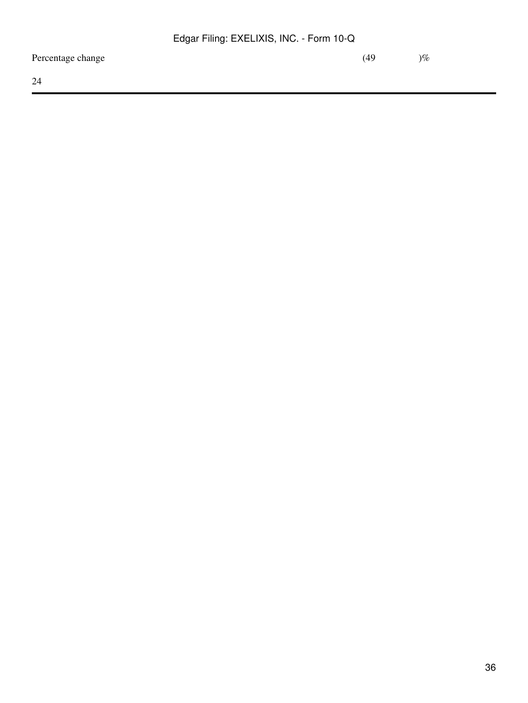Percentage change (49 )  $\%$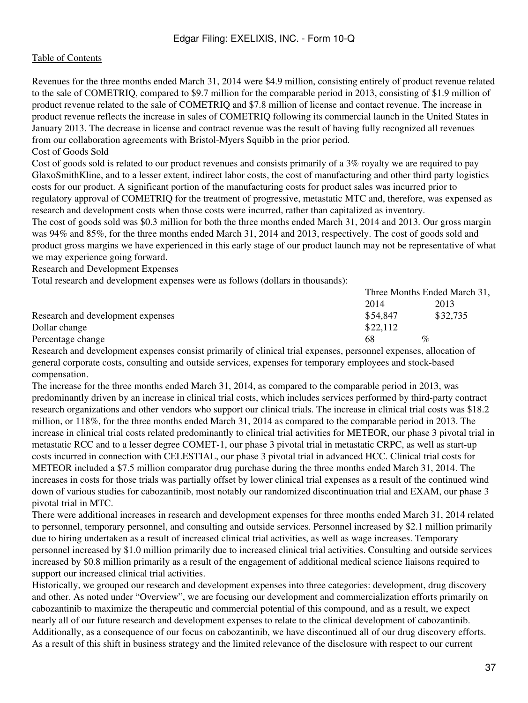#### [Table of Contents](#page-1-0)

Revenues for the three months ended March 31, 2014 were \$4.9 million, consisting entirely of product revenue related to the sale of COMETRIQ, compared to \$9.7 million for the comparable period in 2013, consisting of \$1.9 million of product revenue related to the sale of COMETRIQ and \$7.8 million of license and contact revenue. The increase in product revenue reflects the increase in sales of COMETRIQ following its commercial launch in the United States in January 2013. The decrease in license and contract revenue was the result of having fully recognized all revenues from our collaboration agreements with Bristol-Myers Squibb in the prior period.

#### Cost of Goods Sold

Cost of goods sold is related to our product revenues and consists primarily of a 3% royalty we are required to pay GlaxoSmithKline, and to a lesser extent, indirect labor costs, the cost of manufacturing and other third party logistics costs for our product. A significant portion of the manufacturing costs for product sales was incurred prior to regulatory approval of COMETRIQ for the treatment of progressive, metastatic MTC and, therefore, was expensed as research and development costs when those costs were incurred, rather than capitalized as inventory.

The cost of goods sold was \$0.3 million for both the three months ended March 31, 2014 and 2013. Our gross margin was 94% and 85%, for the three months ended March 31, 2014 and 2013, respectively. The cost of goods sold and product gross margins we have experienced in this early stage of our product launch may not be representative of what we may experience going forward.

Research and Development Expenses

Total research and development expenses were as follows (dollars in thousands):

|                                   | Three Months Ended March 31, |          |  |
|-----------------------------------|------------------------------|----------|--|
|                                   | 2014                         | 2013     |  |
| Research and development expenses | \$54.847                     | \$32,735 |  |
| Dollar change                     | \$22,112                     |          |  |
| Percentage change                 | 68                           | $\%$     |  |

Research and development expenses consist primarily of clinical trial expenses, personnel expenses, allocation of general corporate costs, consulting and outside services, expenses for temporary employees and stock-based compensation.

The increase for the three months ended March 31, 2014, as compared to the comparable period in 2013, was predominantly driven by an increase in clinical trial costs, which includes services performed by third-party contract research organizations and other vendors who support our clinical trials. The increase in clinical trial costs was \$18.2 million, or 118%, for the three months ended March 31, 2014 as compared to the comparable period in 2013. The increase in clinical trial costs related predominantly to clinical trial activities for METEOR, our phase 3 pivotal trial in metastatic RCC and to a lesser degree COMET-1, our phase 3 pivotal trial in metastatic CRPC, as well as start-up costs incurred in connection with CELESTIAL, our phase 3 pivotal trial in advanced HCC. Clinical trial costs for METEOR included a \$7.5 million comparator drug purchase during the three months ended March 31, 2014. The increases in costs for those trials was partially offset by lower clinical trial expenses as a result of the continued wind down of various studies for cabozantinib, most notably our randomized discontinuation trial and EXAM, our phase 3 pivotal trial in MTC.

There were additional increases in research and development expenses for three months ended March 31, 2014 related to personnel, temporary personnel, and consulting and outside services. Personnel increased by \$2.1 million primarily due to hiring undertaken as a result of increased clinical trial activities, as well as wage increases. Temporary personnel increased by \$1.0 million primarily due to increased clinical trial activities. Consulting and outside services increased by \$0.8 million primarily as a result of the engagement of additional medical science liaisons required to support our increased clinical trial activities.

Historically, we grouped our research and development expenses into three categories: development, drug discovery and other. As noted under "Overview", we are focusing our development and commercialization efforts primarily on cabozantinib to maximize the therapeutic and commercial potential of this compound, and as a result, we expect nearly all of our future research and development expenses to relate to the clinical development of cabozantinib. Additionally, as a consequence of our focus on cabozantinib, we have discontinued all of our drug discovery efforts. As a result of this shift in business strategy and the limited relevance of the disclosure with respect to our current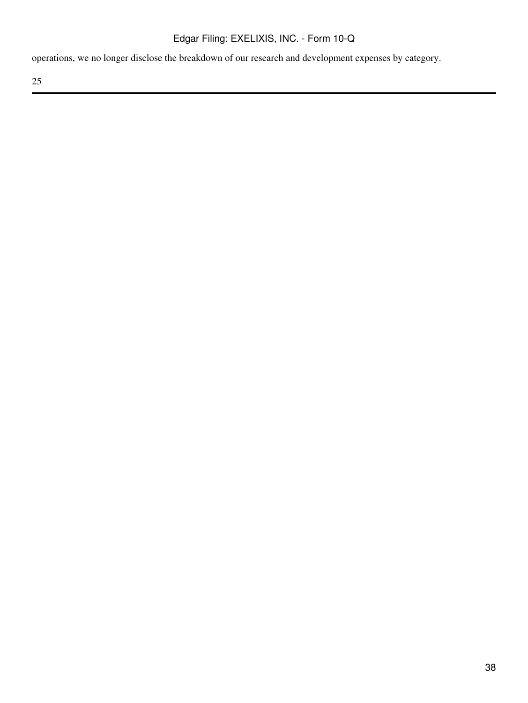operations, we no longer disclose the breakdown of our research and development expenses by category.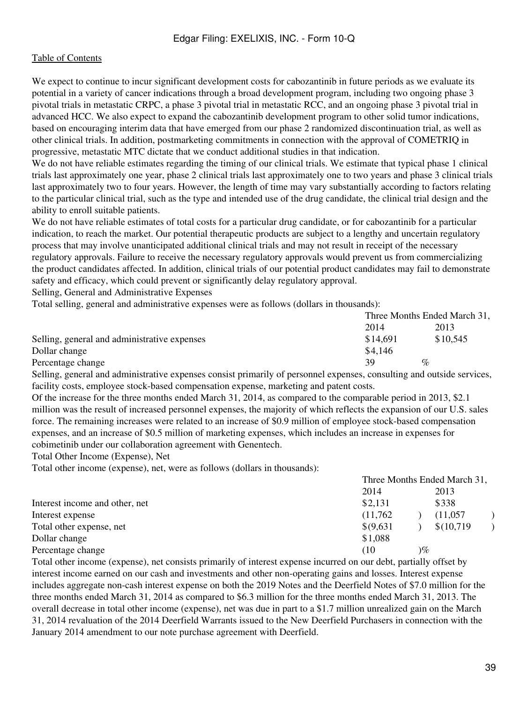We expect to continue to incur significant development costs for cabozantinib in future periods as we evaluate its potential in a variety of cancer indications through a broad development program, including two ongoing phase 3 pivotal trials in metastatic CRPC, a phase 3 pivotal trial in metastatic RCC, and an ongoing phase 3 pivotal trial in advanced HCC. We also expect to expand the cabozantinib development program to other solid tumor indications, based on encouraging interim data that have emerged from our phase 2 randomized discontinuation trial, as well as other clinical trials. In addition, postmarketing commitments in connection with the approval of COMETRIQ in progressive, metastatic MTC dictate that we conduct additional studies in that indication.

We do not have reliable estimates regarding the timing of our clinical trials. We estimate that typical phase 1 clinical trials last approximately one year, phase 2 clinical trials last approximately one to two years and phase 3 clinical trials last approximately two to four years. However, the length of time may vary substantially according to factors relating to the particular clinical trial, such as the type and intended use of the drug candidate, the clinical trial design and the ability to enroll suitable patients.

We do not have reliable estimates of total costs for a particular drug candidate, or for cabozantinib for a particular indication, to reach the market. Our potential therapeutic products are subject to a lengthy and uncertain regulatory process that may involve unanticipated additional clinical trials and may not result in receipt of the necessary regulatory approvals. Failure to receive the necessary regulatory approvals would prevent us from commercializing the product candidates affected. In addition, clinical trials of our potential product candidates may fail to demonstrate safety and efficacy, which could prevent or significantly delay regulatory approval.

Selling, General and Administrative Expenses

Total selling, general and administrative expenses were as follows (dollars in thousands):

|                                              | Three Months Ended March 31, |          |  |
|----------------------------------------------|------------------------------|----------|--|
|                                              | 2014                         | 2013     |  |
| Selling, general and administrative expenses | \$14.691                     | \$10,545 |  |
| Dollar change                                | \$4,146                      |          |  |
| Percentage change                            | 39                           | $\%$     |  |
|                                              |                              |          |  |

Selling, general and administrative expenses consist primarily of personnel expenses, consulting and outside services, facility costs, employee stock-based compensation expense, marketing and patent costs.

Of the increase for the three months ended March 31, 2014, as compared to the comparable period in 2013, \$2.1 million was the result of increased personnel expenses, the majority of which reflects the expansion of our U.S. sales force. The remaining increases were related to an increase of \$0.9 million of employee stock-based compensation expenses, and an increase of \$0.5 million of marketing expenses, which includes an increase in expenses for cobimetinib under our collaboration agreement with Genentech.

Total Other Income (Expense), Net

Total other income (expense), net, were as follows (dollars in thousands):

|                                | Three Months Ended March 31, |      |            |  |
|--------------------------------|------------------------------|------|------------|--|
|                                | 2014                         |      | 2013       |  |
| Interest income and other, net | \$2,131                      |      | \$338      |  |
| Interest expense               | (11,762)                     |      | (11,057)   |  |
| Total other expense, net       | \$(9,631)                    |      | \$(10,719) |  |
| Dollar change                  | \$1,088                      |      |            |  |
| Percentage change              | (10                          | $\%$ |            |  |

Total other income (expense), net consists primarily of interest expense incurred on our debt, partially offset by interest income earned on our cash and investments and other non-operating gains and losses. Interest expense includes aggregate non-cash interest expense on both the 2019 Notes and the Deerfield Notes of \$7.0 million for the three months ended March 31, 2014 as compared to \$6.3 million for the three months ended March 31, 2013. The overall decrease in total other income (expense), net was due in part to a \$1.7 million unrealized gain on the March 31, 2014 revaluation of the 2014 Deerfield Warrants issued to the New Deerfield Purchasers in connection with the January 2014 amendment to our note purchase agreement with Deerfield.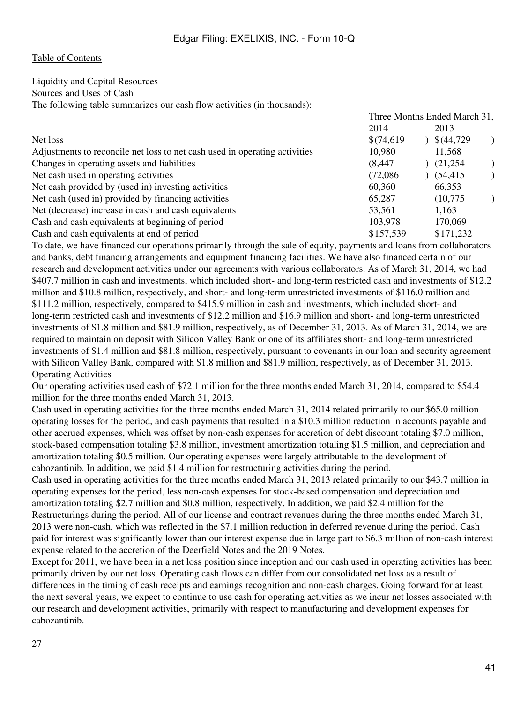#### Liquidity and Capital Resources

Sources and Uses of Cash

The following table summarizes our cash flow activities (in thousands):

|                                                                            | Three Months Ended March 31, |                       |  |
|----------------------------------------------------------------------------|------------------------------|-----------------------|--|
|                                                                            | 2014                         | 2013                  |  |
| Net loss                                                                   | \$(74,619)                   | $\frac{\$(44,729)}{}$ |  |
| Adjustments to reconcile net loss to net cash used in operating activities | 10,980                       | 11,568                |  |
| Changes in operating assets and liabilities                                | (8, 447)                     | (21,254)              |  |
| Net cash used in operating activities                                      | (72,086)                     | (54, 415)             |  |
| Net cash provided by (used in) investing activities                        | 60,360                       | 66,353                |  |
| Net cash (used in) provided by financing activities                        | 65,287                       | (10,775)              |  |
| Net (decrease) increase in cash and cash equivalents                       | 53,561                       | 1,163                 |  |
| Cash and cash equivalents at beginning of period                           | 103,978                      | 170,069               |  |
| Cash and cash equivalents at end of period                                 | \$157,539                    | \$171,232             |  |

To date, we have financed our operations primarily through the sale of equity, payments and loans from collaborators and banks, debt financing arrangements and equipment financing facilities. We have also financed certain of our research and development activities under our agreements with various collaborators. As of March 31, 2014, we had \$407.7 million in cash and investments, which included short- and long-term restricted cash and investments of \$12.2 million and \$10.8 million, respectively, and short- and long-term unrestricted investments of \$116.0 million and \$111.2 million, respectively, compared to \$415.9 million in cash and investments, which included short- and long-term restricted cash and investments of \$12.2 million and \$16.9 million and short- and long-term unrestricted investments of \$1.8 million and \$81.9 million, respectively, as of December 31, 2013. As of March 31, 2014, we are required to maintain on deposit with Silicon Valley Bank or one of its affiliates short- and long-term unrestricted investments of \$1.4 million and \$81.8 million, respectively, pursuant to covenants in our loan and security agreement with Silicon Valley Bank, compared with \$1.8 million and \$81.9 million, respectively, as of December 31, 2013. Operating Activities

Our operating activities used cash of \$72.1 million for the three months ended March 31, 2014, compared to \$54.4 million for the three months ended March 31, 2013.

Cash used in operating activities for the three months ended March 31, 2014 related primarily to our \$65.0 million operating losses for the period, and cash payments that resulted in a \$10.3 million reduction in accounts payable and other accrued expenses, which was offset by non-cash expenses for accretion of debt discount totaling \$7.0 million, stock-based compensation totaling \$3.8 million, investment amortization totaling \$1.5 million, and depreciation and amortization totaling \$0.5 million. Our operating expenses were largely attributable to the development of cabozantinib. In addition, we paid \$1.4 million for restructuring activities during the period.

Cash used in operating activities for the three months ended March 31, 2013 related primarily to our \$43.7 million in operating expenses for the period, less non-cash expenses for stock-based compensation and depreciation and amortization totaling \$2.7 million and \$0.8 million, respectively. In addition, we paid \$2.4 million for the Restructurings during the period. All of our license and contract revenues during the three months ended March 31, 2013 were non-cash, which was reflected in the \$7.1 million reduction in deferred revenue during the period. Cash paid for interest was significantly lower than our interest expense due in large part to \$6.3 million of non-cash interest expense related to the accretion of the Deerfield Notes and the 2019 Notes.

Except for 2011, we have been in a net loss position since inception and our cash used in operating activities has been primarily driven by our net loss. Operating cash flows can differ from our consolidated net loss as a result of differences in the timing of cash receipts and earnings recognition and non-cash charges. Going forward for at least the next several years, we expect to continue to use cash for operating activities as we incur net losses associated with our research and development activities, primarily with respect to manufacturing and development expenses for cabozantinib.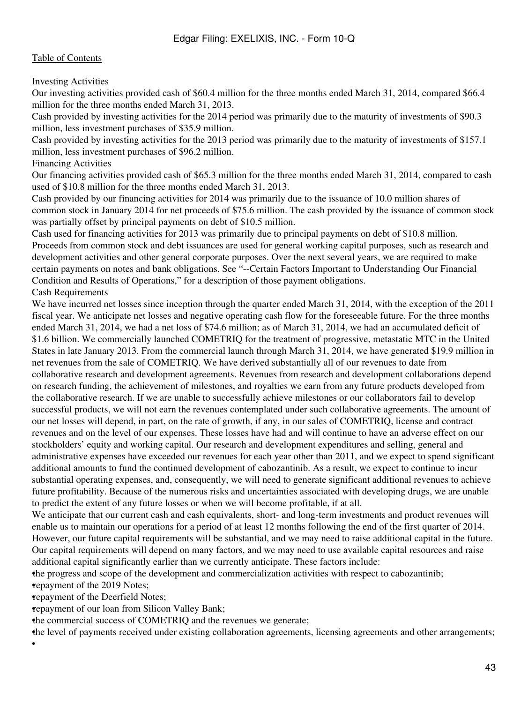Investing Activities

Our investing activities provided cash of \$60.4 million for the three months ended March 31, 2014, compared \$66.4 million for the three months ended March 31, 2013.

Cash provided by investing activities for the 2014 period was primarily due to the maturity of investments of \$90.3 million, less investment purchases of \$35.9 million.

Cash provided by investing activities for the 2013 period was primarily due to the maturity of investments of \$157.1 million, less investment purchases of \$96.2 million.

Financing Activities

Our financing activities provided cash of \$65.3 million for the three months ended March 31, 2014, compared to cash used of \$10.8 million for the three months ended March 31, 2013.

Cash provided by our financing activities for 2014 was primarily due to the issuance of 10.0 million shares of common stock in January 2014 for net proceeds of \$75.6 million. The cash provided by the issuance of common stock was partially offset by principal payments on debt of \$10.5 million.

Cash used for financing activities for 2013 was primarily due to principal payments on debt of \$10.8 million. Proceeds from common stock and debt issuances are used for general working capital purposes, such as research and development activities and other general corporate purposes. Over the next several years, we are required to make certain payments on notes and bank obligations. See "--Certain Factors Important to Understanding Our Financial Condition and Results of Operations," for a description of those payment obligations.

Cash Requirements

We have incurred net losses since inception through the quarter ended March 31, 2014, with the exception of the 2011 fiscal year. We anticipate net losses and negative operating cash flow for the foreseeable future. For the three months ended March 31, 2014, we had a net loss of \$74.6 million; as of March 31, 2014, we had an accumulated deficit of \$1.6 billion. We commercially launched COMETRIQ for the treatment of progressive, metastatic MTC in the United States in late January 2013. From the commercial launch through March 31, 2014, we have generated \$19.9 million in net revenues from the sale of COMETRIQ. We have derived substantially all of our revenues to date from collaborative research and development agreements. Revenues from research and development collaborations depend on research funding, the achievement of milestones, and royalties we earn from any future products developed from the collaborative research. If we are unable to successfully achieve milestones or our collaborators fail to develop successful products, we will not earn the revenues contemplated under such collaborative agreements. The amount of our net losses will depend, in part, on the rate of growth, if any, in our sales of COMETRIQ, license and contract revenues and on the level of our expenses. These losses have had and will continue to have an adverse effect on our stockholders' equity and working capital. Our research and development expenditures and selling, general and administrative expenses have exceeded our revenues for each year other than 2011, and we expect to spend significant additional amounts to fund the continued development of cabozantinib. As a result, we expect to continue to incur substantial operating expenses, and, consequently, we will need to generate significant additional revenues to achieve future profitability. Because of the numerous risks and uncertainties associated with developing drugs, we are unable to predict the extent of any future losses or when we will become profitable, if at all.

We anticipate that our current cash and cash equivalents, short- and long-term investments and product revenues will enable us to maintain our operations for a period of at least 12 months following the end of the first quarter of 2014. However, our future capital requirements will be substantial, and we may need to raise additional capital in the future. Our capital requirements will depend on many factors, and we may need to use available capital resources and raise additional capital significantly earlier than we currently anticipate. These factors include:

•the progress and scope of the development and commercialization activities with respect to cabozantinib; •repayment of the 2019 Notes;

•repayment of the Deerfield Notes;

•

•repayment of our loan from Silicon Valley Bank;

the commercial success of COMETRIQ and the revenues we generate;

•the level of payments received under existing collaboration agreements, licensing agreements and other arrangements;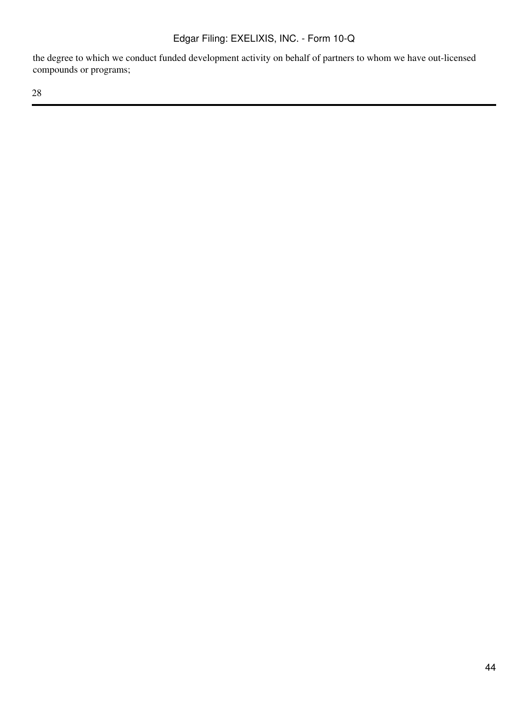the degree to which we conduct funded development activity on behalf of partners to whom we have out-licensed compounds or programs;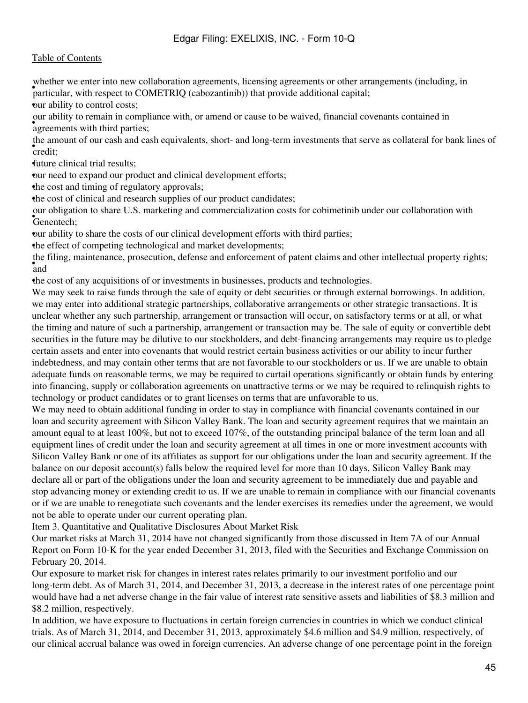whener we enter the new condomation agreements, needsing agreements or other and particular, with respect to COMETRIQ (cabozantinib)) that provide additional capital; whether we enter into new collaboration agreements, licensing agreements or other arrangements (including, in •our ability to control costs;

• agreements with third parties; our ability to remain in compliance with, or amend or cause to be waived, financial covenants contained in

• credit; the amount of our cash and cash equivalents, short- and long-term investments that serve as collateral for bank lines of

•future clinical trial results;

our need to expand our product and clinical development efforts;

•the cost and timing of regulatory approvals;

the cost of clinical and research supplies of our product candidates;

• Genentech; our obligation to share U.S. marketing and commercialization costs for cobimetinib under our collaboration with

•our ability to share the costs of our clinical development efforts with third parties;

the effect of competing technological and market developments;

• and the filing, maintenance, prosecution, defense and enforcement of patent claims and other intellectual property rights;

•the cost of any acquisitions of or investments in businesses, products and technologies.

We may seek to raise funds through the sale of equity or debt securities or through external borrowings. In addition, we may enter into additional strategic partnerships, collaborative arrangements or other strategic transactions. It is unclear whether any such partnership, arrangement or transaction will occur, on satisfactory terms or at all, or what the timing and nature of such a partnership, arrangement or transaction may be. The sale of equity or convertible debt securities in the future may be dilutive to our stockholders, and debt-financing arrangements may require us to pledge certain assets and enter into covenants that would restrict certain business activities or our ability to incur further indebtedness, and may contain other terms that are not favorable to our stockholders or us. If we are unable to obtain adequate funds on reasonable terms, we may be required to curtail operations significantly or obtain funds by entering into financing, supply or collaboration agreements on unattractive terms or we may be required to relinquish rights to technology or product candidates or to grant licenses on terms that are unfavorable to us.

We may need to obtain additional funding in order to stay in compliance with financial covenants contained in our loan and security agreement with Silicon Valley Bank. The loan and security agreement requires that we maintain an amount equal to at least 100%, but not to exceed 107%, of the outstanding principal balance of the term loan and all equipment lines of credit under the loan and security agreement at all times in one or more investment accounts with Silicon Valley Bank or one of its affiliates as support for our obligations under the loan and security agreement. If the balance on our deposit account(s) falls below the required level for more than 10 days, Silicon Valley Bank may declare all or part of the obligations under the loan and security agreement to be immediately due and payable and stop advancing money or extending credit to us. If we are unable to remain in compliance with our financial covenants or if we are unable to renegotiate such covenants and the lender exercises its remedies under the agreement, we would not be able to operate under our current operating plan.

Item 3. Quantitative and Qualitative Disclosures About Market Risk

Our market risks at March 31, 2014 have not changed significantly from those discussed in Item 7A of our Annual Report on Form 10-K for the year ended December 31, 2013, filed with the Securities and Exchange Commission on February 20, 2014.

Our exposure to market risk for changes in interest rates relates primarily to our investment portfolio and our long-term debt. As of March 31, 2014, and December 31, 2013, a decrease in the interest rates of one percentage point would have had a net adverse change in the fair value of interest rate sensitive assets and liabilities of \$8.3 million and \$8.2 million, respectively.

In addition, we have exposure to fluctuations in certain foreign currencies in countries in which we conduct clinical trials. As of March 31, 2014, and December 31, 2013, approximately \$4.6 million and \$4.9 million, respectively, of our clinical accrual balance was owed in foreign currencies. An adverse change of one percentage point in the foreign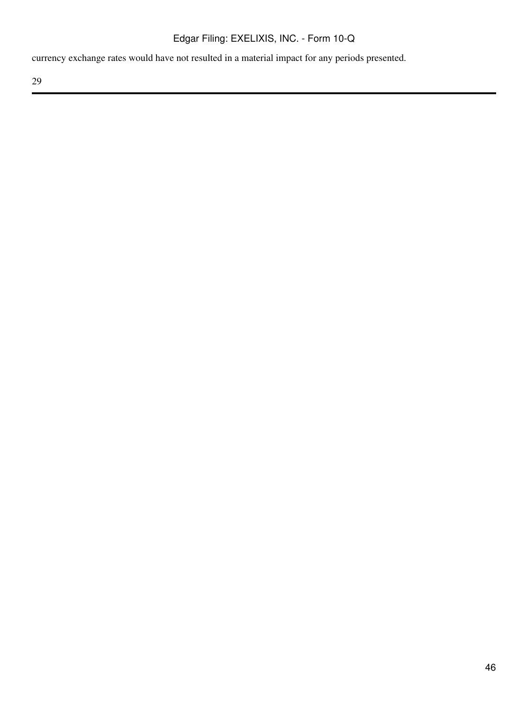currency exchange rates would have not resulted in a material impact for any periods presented.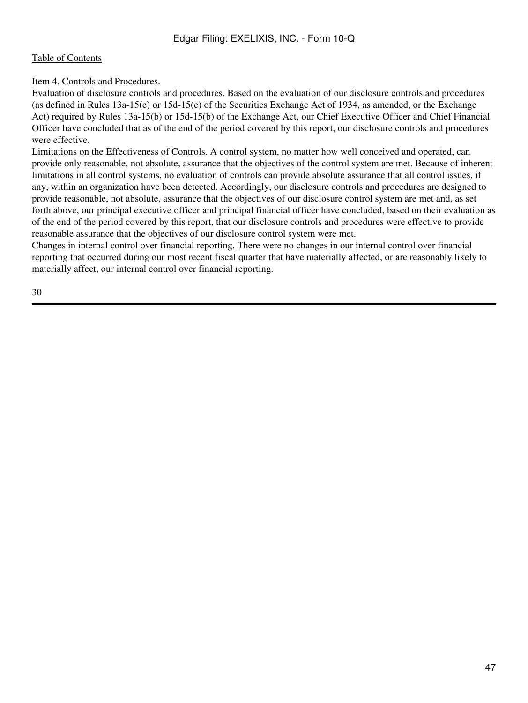Item 4. Controls and Procedures.

Evaluation of disclosure controls and procedures. Based on the evaluation of our disclosure controls and procedures (as defined in Rules 13a-15(e) or 15d-15(e) of the Securities Exchange Act of 1934, as amended, or the Exchange Act) required by Rules 13a-15(b) or 15d-15(b) of the Exchange Act, our Chief Executive Officer and Chief Financial Officer have concluded that as of the end of the period covered by this report, our disclosure controls and procedures were effective.

Limitations on the Effectiveness of Controls. A control system, no matter how well conceived and operated, can provide only reasonable, not absolute, assurance that the objectives of the control system are met. Because of inherent limitations in all control systems, no evaluation of controls can provide absolute assurance that all control issues, if any, within an organization have been detected. Accordingly, our disclosure controls and procedures are designed to provide reasonable, not absolute, assurance that the objectives of our disclosure control system are met and, as set forth above, our principal executive officer and principal financial officer have concluded, based on their evaluation as of the end of the period covered by this report, that our disclosure controls and procedures were effective to provide reasonable assurance that the objectives of our disclosure control system were met.

Changes in internal control over financial reporting. There were no changes in our internal control over financial reporting that occurred during our most recent fiscal quarter that have materially affected, or are reasonably likely to materially affect, our internal control over financial reporting.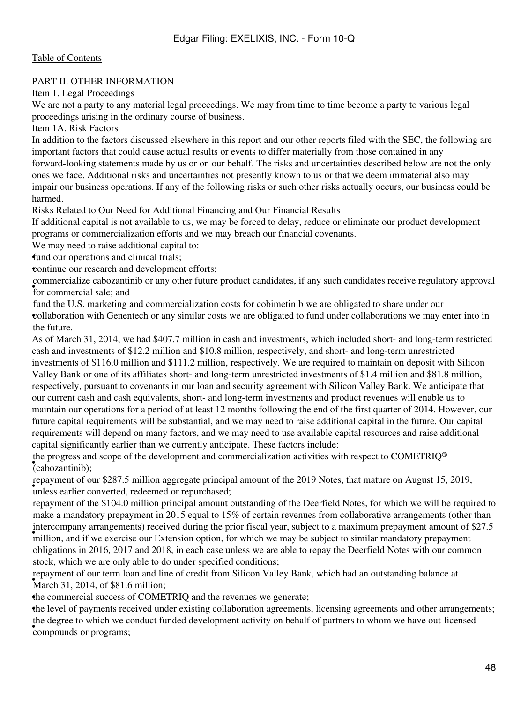#### PART II. OTHER INFORMATION

Item 1. Legal Proceedings

We are not a party to any material legal proceedings. We may from time to time become a party to various legal proceedings arising in the ordinary course of business.

Item 1A. Risk Factors

In addition to the factors discussed elsewhere in this report and our other reports filed with the SEC, the following are important factors that could cause actual results or events to differ materially from those contained in any forward-looking statements made by us or on our behalf. The risks and uncertainties described below are not the only ones we face. Additional risks and uncertainties not presently known to us or that we deem immaterial also may impair our business operations. If any of the following risks or such other risks actually occurs, our business could be harmed.

Risks Related to Our Need for Additional Financing and Our Financial Results

If additional capital is not available to us, we may be forced to delay, reduce or eliminate our product development programs or commercialization efforts and we may breach our financial covenants.

We may need to raise additional capital to:

fund our operations and clinical trials;

•continue our research and development efforts;

for commercial sale; and commercialize cabozantinib or any other future product candidates, if any such candidates receive regulatory approval

• collaboration with Genentech or any similar costs we are obligated to fund under collaborations we may enter into in fund the U.S. marketing and commercialization costs for cobimetinib we are obligated to share under our the future.

As of March 31, 2014, we had \$407.7 million in cash and investments, which included short- and long-term restricted cash and investments of \$12.2 million and \$10.8 million, respectively, and short- and long-term unrestricted investments of \$116.0 million and \$111.2 million, respectively. We are required to maintain on deposit with Silicon Valley Bank or one of its affiliates short- and long-term unrestricted investments of \$1.4 million and \$81.8 million, respectively, pursuant to covenants in our loan and security agreement with Silicon Valley Bank. We anticipate that our current cash and cash equivalents, short- and long-term investments and product revenues will enable us to maintain our operations for a period of at least 12 months following the end of the first quarter of 2014. However, our future capital requirements will be substantial, and we may need to raise additional capital in the future. Our capital requirements will depend on many factors, and we may need to use available capital resources and raise additional capital significantly earlier than we currently anticipate. These factors include:

• (cabozantinib); the progress and scope of the development and commercialization activities with respect to COMETRIQ®

epayment of our \$207.9 minion aggregate principal repayment of our \$287.5 million aggregate principal amount of the 2019 Notes, that mature on August 15, 2019,

million, and if we exercise our Extension option, for which we may be subject to similar mandatory prepayment million, and if we exercise our Extension option, for which we may be subject to similar mandatory prepayment repayment of the \$104.0 million principal amount outstanding of the Deerfield Notes, for which we will be required to make a mandatory prepayment in 2015 equal to 15% of certain revenues from collaborative arrangements (other than intercompany arrangements) received during the prior fiscal year, subject to a maximum prepayment amount of \$27.5 obligations in 2016, 2017 and 2018, in each case unless we are able to repay the Deerfield Notes with our common stock, which we are only able to do under specified conditions;

• March 31, 2014, of \$81.6 million; repayment of our term loan and line of credit from Silicon Valley Bank, which had an outstanding balance at

the commercial success of COMETRIQ and the revenues we generate;

•the level of payments received under existing collaboration agreements, licensing agreements and other arrangements; **COMPOUNDS** or programs; the degree to which we conduct funded development activity on behalf of partners to whom we have out-licensed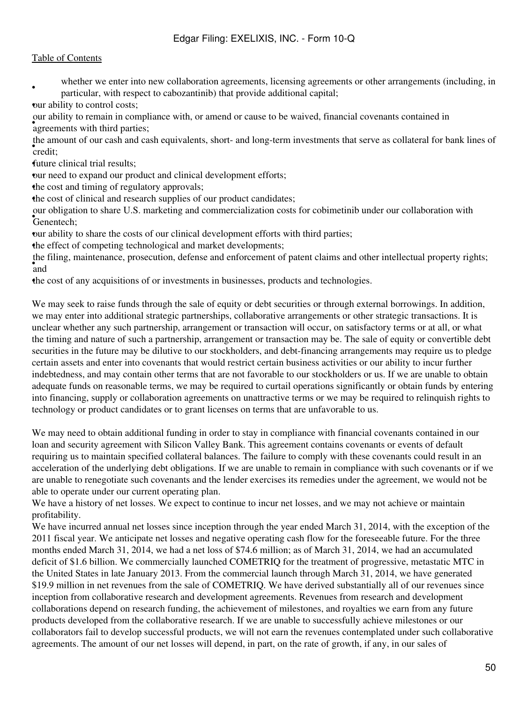### [Table of Contents](#page-1-0)

• whether we enter into new collaboration agreements, licensing agreements or other arrangements (including, in particular, with respect to cabozantinib) that provide additional capital;

•our ability to control costs;

• agreements with third parties; our ability to remain in compliance with, or amend or cause to be waived, financial covenants contained in

• credit; the amount of our cash and cash equivalents, short- and long-term investments that serve as collateral for bank lines of

•future clinical trial results;

our need to expand our product and clinical development efforts;

•the cost and timing of regulatory approvals;

•the cost of clinical and research supplies of our product candidates;

• Genentech; our obligation to share U.S. marketing and commercialization costs for cobimetinib under our collaboration with

•our ability to share the costs of our clinical development efforts with third parties;

the effect of competing technological and market developments;

• and the filing, maintenance, prosecution, defense and enforcement of patent claims and other intellectual property rights;

•the cost of any acquisitions of or investments in businesses, products and technologies.

We may seek to raise funds through the sale of equity or debt securities or through external borrowings. In addition, we may enter into additional strategic partnerships, collaborative arrangements or other strategic transactions. It is unclear whether any such partnership, arrangement or transaction will occur, on satisfactory terms or at all, or what the timing and nature of such a partnership, arrangement or transaction may be. The sale of equity or convertible debt securities in the future may be dilutive to our stockholders, and debt-financing arrangements may require us to pledge certain assets and enter into covenants that would restrict certain business activities or our ability to incur further indebtedness, and may contain other terms that are not favorable to our stockholders or us. If we are unable to obtain adequate funds on reasonable terms, we may be required to curtail operations significantly or obtain funds by entering into financing, supply or collaboration agreements on unattractive terms or we may be required to relinquish rights to technology or product candidates or to grant licenses on terms that are unfavorable to us.

We may need to obtain additional funding in order to stay in compliance with financial covenants contained in our loan and security agreement with Silicon Valley Bank. This agreement contains covenants or events of default requiring us to maintain specified collateral balances. The failure to comply with these covenants could result in an acceleration of the underlying debt obligations. If we are unable to remain in compliance with such covenants or if we are unable to renegotiate such covenants and the lender exercises its remedies under the agreement, we would not be able to operate under our current operating plan.

We have a history of net losses. We expect to continue to incur net losses, and we may not achieve or maintain profitability.

We have incurred annual net losses since inception through the year ended March 31, 2014, with the exception of the 2011 fiscal year. We anticipate net losses and negative operating cash flow for the foreseeable future. For the three months ended March 31, 2014, we had a net loss of \$74.6 million; as of March 31, 2014, we had an accumulated deficit of \$1.6 billion. We commercially launched COMETRIQ for the treatment of progressive, metastatic MTC in the United States in late January 2013. From the commercial launch through March 31, 2014, we have generated \$19.9 million in net revenues from the sale of COMETRIQ. We have derived substantially all of our revenues since inception from collaborative research and development agreements. Revenues from research and development collaborations depend on research funding, the achievement of milestones, and royalties we earn from any future products developed from the collaborative research. If we are unable to successfully achieve milestones or our collaborators fail to develop successful products, we will not earn the revenues contemplated under such collaborative agreements. The amount of our net losses will depend, in part, on the rate of growth, if any, in our sales of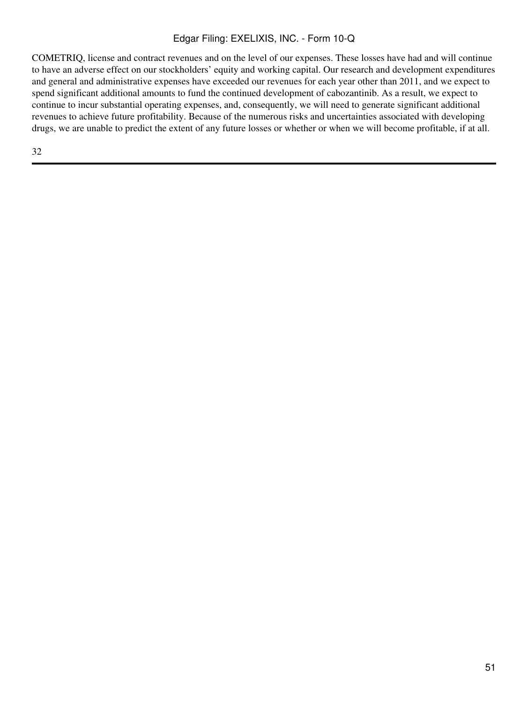COMETRIQ, license and contract revenues and on the level of our expenses. These losses have had and will continue to have an adverse effect on our stockholders' equity and working capital. Our research and development expenditures and general and administrative expenses have exceeded our revenues for each year other than 2011, and we expect to spend significant additional amounts to fund the continued development of cabozantinib. As a result, we expect to continue to incur substantial operating expenses, and, consequently, we will need to generate significant additional revenues to achieve future profitability. Because of the numerous risks and uncertainties associated with developing drugs, we are unable to predict the extent of any future losses or whether or when we will become profitable, if at all.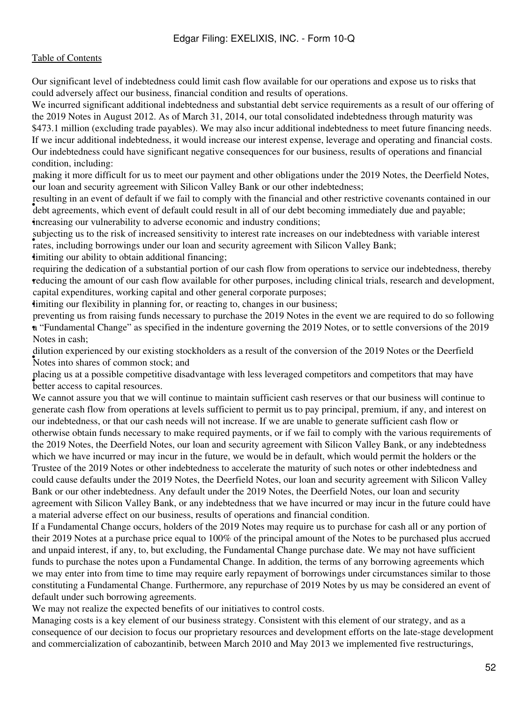Our significant level of indebtedness could limit cash flow available for our operations and expose us to risks that could adversely affect our business, financial condition and results of operations.

We incurred significant additional indebtedness and substantial debt service requirements as a result of our offering of the 2019 Notes in August 2012. As of March 31, 2014, our total consolidated indebtedness through maturity was \$473.1 million (excluding trade payables). We may also incur additional indebtedness to meet future financing needs. If we incur additional indebtedness, it would increase our interest expense, leverage and operating and financial costs. Our indebtedness could have significant negative consequences for our business, results of operations and financial condition, including:

Fluxing R more difficult for us to meet our payment and other oongations ander the 2<br>our loan and security agreement with Silicon Valley Bank or our other indebtedness; making it more difficult for us to meet our payment and other obligations under the 2019 Notes, the Deerfield Notes,

Fourth of default in we have compared in all of our debt becoming immediately due and payable; resulting in an event of default if we fail to comply with the financial and other restrictive covenants contained in our •increasing our vulnerability to adverse economic and industry conditions;

subjecting as to the risk of increased sensitivity to interest rate increases on our indeptedness rates, including borrowings under our loan and security agreement with Silicon Valley Bank; subjecting us to the risk of increased sensitivity to interest rate increases on our indebtedness with variable interest

imiting our ability to obtain additional financing;

reducing the amount of our cash flow available for other purposes, including clinical trials, research and development, requiring the dedication of a substantial portion of our cash flow from operations to service our indebtedness, thereby capital expenditures, working capital and other general corporate purposes;

•limiting our flexibility in planning for, or reacting to, changes in our business;

• a "Fundamental Change" as specified in the indenture governing the 2019 Notes, or to settle conversions of the 2019 preventing us from raising funds necessary to purchase the 2019 Notes in the event we are required to do so following Notes in cash;

• Notes into shares of common stock; and dilution experienced by our existing stockholders as a result of the conversion of the 2019 Notes or the Deerfield

• better access to capital resources. placing us at a possible competitive disadvantage with less leveraged competitors and competitors that may have

We cannot assure you that we will continue to maintain sufficient cash reserves or that our business will continue to generate cash flow from operations at levels sufficient to permit us to pay principal, premium, if any, and interest on our indebtedness, or that our cash needs will not increase. If we are unable to generate sufficient cash flow or otherwise obtain funds necessary to make required payments, or if we fail to comply with the various requirements of the 2019 Notes, the Deerfield Notes, our loan and security agreement with Silicon Valley Bank, or any indebtedness which we have incurred or may incur in the future, we would be in default, which would permit the holders or the Trustee of the 2019 Notes or other indebtedness to accelerate the maturity of such notes or other indebtedness and could cause defaults under the 2019 Notes, the Deerfield Notes, our loan and security agreement with Silicon Valley Bank or our other indebtedness. Any default under the 2019 Notes, the Deerfield Notes, our loan and security agreement with Silicon Valley Bank, or any indebtedness that we have incurred or may incur in the future could have a material adverse effect on our business, results of operations and financial condition.

If a Fundamental Change occurs, holders of the 2019 Notes may require us to purchase for cash all or any portion of their 2019 Notes at a purchase price equal to 100% of the principal amount of the Notes to be purchased plus accrued and unpaid interest, if any, to, but excluding, the Fundamental Change purchase date. We may not have sufficient funds to purchase the notes upon a Fundamental Change. In addition, the terms of any borrowing agreements which we may enter into from time to time may require early repayment of borrowings under circumstances similar to those constituting a Fundamental Change. Furthermore, any repurchase of 2019 Notes by us may be considered an event of default under such borrowing agreements.

We may not realize the expected benefits of our initiatives to control costs.

Managing costs is a key element of our business strategy. Consistent with this element of our strategy, and as a consequence of our decision to focus our proprietary resources and development efforts on the late-stage development and commercialization of cabozantinib, between March 2010 and May 2013 we implemented five restructurings,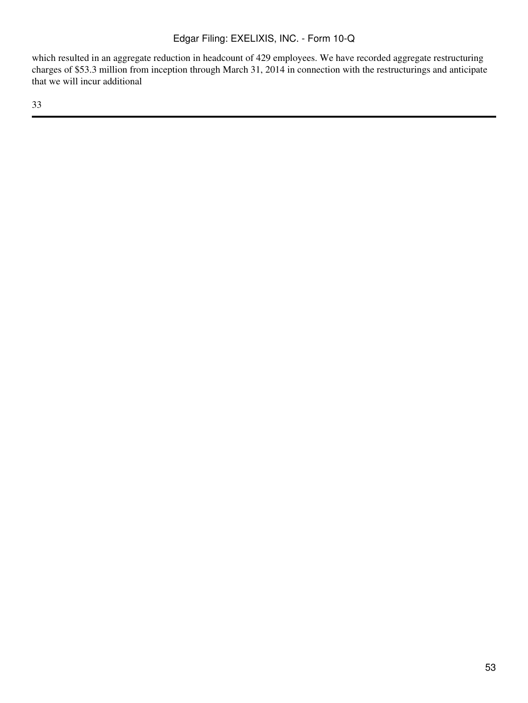which resulted in an aggregate reduction in headcount of 429 employees. We have recorded aggregate restructuring charges of \$53.3 million from inception through March 31, 2014 in connection with the restructurings and anticipate that we will incur additional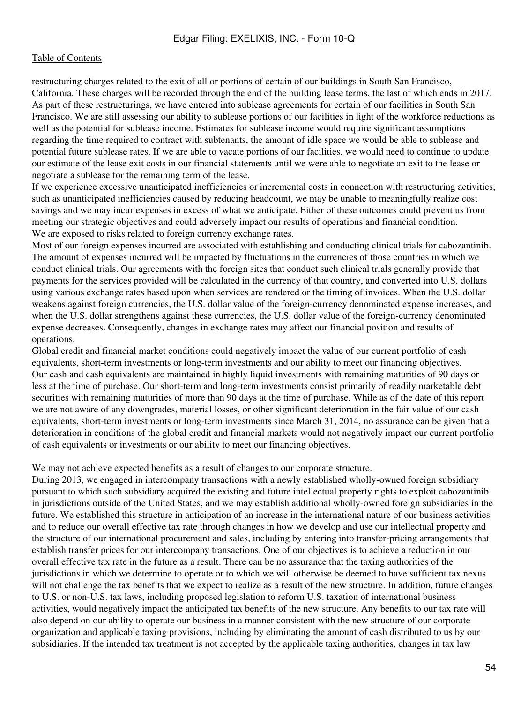restructuring charges related to the exit of all or portions of certain of our buildings in South San Francisco, California. These charges will be recorded through the end of the building lease terms, the last of which ends in 2017. As part of these restructurings, we have entered into sublease agreements for certain of our facilities in South San Francisco. We are still assessing our ability to sublease portions of our facilities in light of the workforce reductions as well as the potential for sublease income. Estimates for sublease income would require significant assumptions regarding the time required to contract with subtenants, the amount of idle space we would be able to sublease and potential future sublease rates. If we are able to vacate portions of our facilities, we would need to continue to update our estimate of the lease exit costs in our financial statements until we were able to negotiate an exit to the lease or negotiate a sublease for the remaining term of the lease.

If we experience excessive unanticipated inefficiencies or incremental costs in connection with restructuring activities, such as unanticipated inefficiencies caused by reducing headcount, we may be unable to meaningfully realize cost savings and we may incur expenses in excess of what we anticipate. Either of these outcomes could prevent us from meeting our strategic objectives and could adversely impact our results of operations and financial condition. We are exposed to risks related to foreign currency exchange rates.

Most of our foreign expenses incurred are associated with establishing and conducting clinical trials for cabozantinib. The amount of expenses incurred will be impacted by fluctuations in the currencies of those countries in which we conduct clinical trials. Our agreements with the foreign sites that conduct such clinical trials generally provide that payments for the services provided will be calculated in the currency of that country, and converted into U.S. dollars using various exchange rates based upon when services are rendered or the timing of invoices. When the U.S. dollar weakens against foreign currencies, the U.S. dollar value of the foreign-currency denominated expense increases, and when the U.S. dollar strengthens against these currencies, the U.S. dollar value of the foreign-currency denominated expense decreases. Consequently, changes in exchange rates may affect our financial position and results of operations.

Global credit and financial market conditions could negatively impact the value of our current portfolio of cash equivalents, short-term investments or long-term investments and our ability to meet our financing objectives. Our cash and cash equivalents are maintained in highly liquid investments with remaining maturities of 90 days or less at the time of purchase. Our short-term and long-term investments consist primarily of readily marketable debt securities with remaining maturities of more than 90 days at the time of purchase. While as of the date of this report we are not aware of any downgrades, material losses, or other significant deterioration in the fair value of our cash equivalents, short-term investments or long-term investments since March 31, 2014, no assurance can be given that a deterioration in conditions of the global credit and financial markets would not negatively impact our current portfolio of cash equivalents or investments or our ability to meet our financing objectives.

We may not achieve expected benefits as a result of changes to our corporate structure.

During 2013, we engaged in intercompany transactions with a newly established wholly-owned foreign subsidiary pursuant to which such subsidiary acquired the existing and future intellectual property rights to exploit cabozantinib in jurisdictions outside of the United States, and we may establish additional wholly-owned foreign subsidiaries in the future. We established this structure in anticipation of an increase in the international nature of our business activities and to reduce our overall effective tax rate through changes in how we develop and use our intellectual property and the structure of our international procurement and sales, including by entering into transfer-pricing arrangements that establish transfer prices for our intercompany transactions. One of our objectives is to achieve a reduction in our overall effective tax rate in the future as a result. There can be no assurance that the taxing authorities of the jurisdictions in which we determine to operate or to which we will otherwise be deemed to have sufficient tax nexus will not challenge the tax benefits that we expect to realize as a result of the new structure. In addition, future changes to U.S. or non-U.S. tax laws, including proposed legislation to reform U.S. taxation of international business activities, would negatively impact the anticipated tax benefits of the new structure. Any benefits to our tax rate will also depend on our ability to operate our business in a manner consistent with the new structure of our corporate organization and applicable taxing provisions, including by eliminating the amount of cash distributed to us by our subsidiaries. If the intended tax treatment is not accepted by the applicable taxing authorities, changes in tax law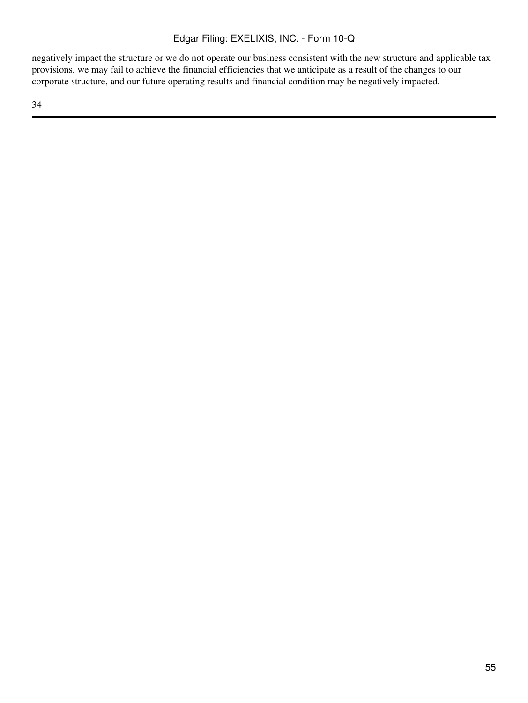negatively impact the structure or we do not operate our business consistent with the new structure and applicable tax provisions, we may fail to achieve the financial efficiencies that we anticipate as a result of the changes to our corporate structure, and our future operating results and financial condition may be negatively impacted.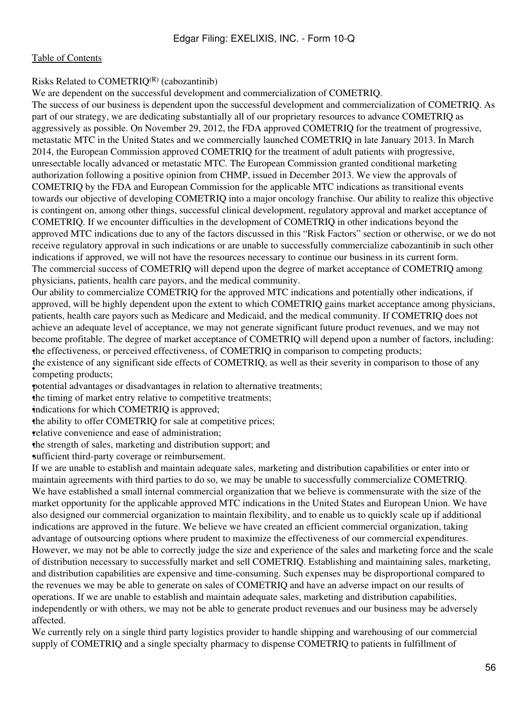#### Risks Related to  $COMETRIO^{(R)}$  (cabozantinib)

We are dependent on the successful development and commercialization of COMETRIQ.

The success of our business is dependent upon the successful development and commercialization of COMETRIQ. As part of our strategy, we are dedicating substantially all of our proprietary resources to advance COMETRIQ as aggressively as possible. On November 29, 2012, the FDA approved COMETRIQ for the treatment of progressive, metastatic MTC in the United States and we commercially launched COMETRIQ in late January 2013. In March 2014, the European Commission approved COMETRIQ for the treatment of adult patients with progressive, unresectable locally advanced or metastatic MTC. The European Commission granted conditional marketing authorization following a positive opinion from CHMP, issued in December 2013. We view the approvals of COMETRIQ by the FDA and European Commission for the applicable MTC indications as transitional events towards our objective of developing COMETRIQ into a major oncology franchise. Our ability to realize this objective is contingent on, among other things, successful clinical development, regulatory approval and market acceptance of COMETRIQ. If we encounter difficulties in the development of COMETRIQ in other indications beyond the approved MTC indications due to any of the factors discussed in this "Risk Factors" section or otherwise, or we do not receive regulatory approval in such indications or are unable to successfully commercialize cabozantinib in such other indications if approved, we will not have the resources necessary to continue our business in its current form. The commercial success of COMETRIQ will depend upon the degree of market acceptance of COMETRIQ among physicians, patients, health care payors, and the medical community.

Our ability to commercialize COMETRIQ for the approved MTC indications and potentially other indications, if approved, will be highly dependent upon the extent to which COMETRIQ gains market acceptance among physicians, patients, health care payors such as Medicare and Medicaid, and the medical community. If COMETRIQ does not achieve an adequate level of acceptance, we may not generate significant future product revenues, and we may not become profitable. The degree of market acceptance of COMETRIQ will depend upon a number of factors, including: •the effectiveness, or perceived effectiveness, of COMETRIQ in comparison to competing products;

**COMPETER** products; the existence of any significant side effects of COMETRIQ, as well as their severity in comparison to those of any

•potential advantages or disadvantages in relation to alternative treatments;

the timing of market entry relative to competitive treatments;

indications for which COMETRIQ is approved;

the ability to offer COMETRIO for sale at competitive prices;

relative convenience and ease of administration;

•the strength of sales, marketing and distribution support; and

sufficient third-party coverage or reimbursement.

If we are unable to establish and maintain adequate sales, marketing and distribution capabilities or enter into or maintain agreements with third parties to do so, we may be unable to successfully commercialize COMETRIQ. We have established a small internal commercial organization that we believe is commensurate with the size of the market opportunity for the applicable approved MTC indications in the United States and European Union. We have also designed our commercial organization to maintain flexibility, and to enable us to quickly scale up if additional indications are approved in the future. We believe we have created an efficient commercial organization, taking advantage of outsourcing options where prudent to maximize the effectiveness of our commercial expenditures. However, we may not be able to correctly judge the size and experience of the sales and marketing force and the scale of distribution necessary to successfully market and sell COMETRIQ. Establishing and maintaining sales, marketing, and distribution capabilities are expensive and time-consuming. Such expenses may be disproportional compared to the revenues we may be able to generate on sales of COMETRIQ and have an adverse impact on our results of operations. If we are unable to establish and maintain adequate sales, marketing and distribution capabilities, independently or with others, we may not be able to generate product revenues and our business may be adversely affected.

We currently rely on a single third party logistics provider to handle shipping and warehousing of our commercial supply of COMETRIQ and a single specialty pharmacy to dispense COMETRIQ to patients in fulfillment of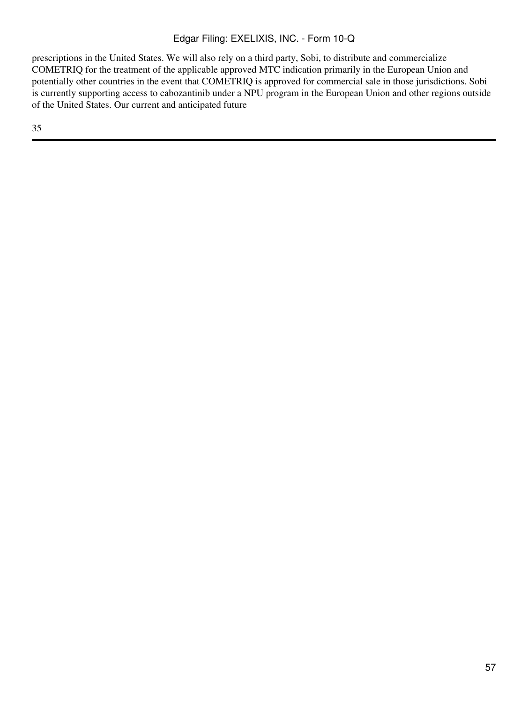prescriptions in the United States. We will also rely on a third party, Sobi, to distribute and commercialize COMETRIQ for the treatment of the applicable approved MTC indication primarily in the European Union and potentially other countries in the event that COMETRIQ is approved for commercial sale in those jurisdictions. Sobi is currently supporting access to cabozantinib under a NPU program in the European Union and other regions outside of the United States. Our current and anticipated future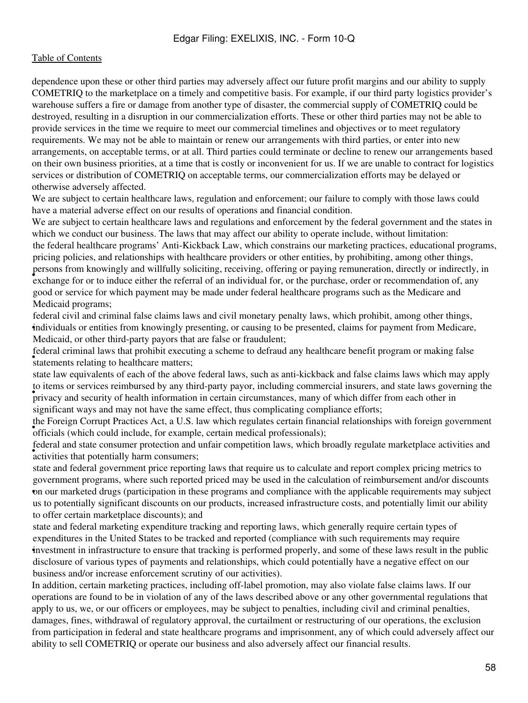dependence upon these or other third parties may adversely affect our future profit margins and our ability to supply COMETRIQ to the marketplace on a timely and competitive basis. For example, if our third party logistics provider's warehouse suffers a fire or damage from another type of disaster, the commercial supply of COMETRIQ could be destroyed, resulting in a disruption in our commercialization efforts. These or other third parties may not be able to provide services in the time we require to meet our commercial timelines and objectives or to meet regulatory requirements. We may not be able to maintain or renew our arrangements with third parties, or enter into new arrangements, on acceptable terms, or at all. Third parties could terminate or decline to renew our arrangements based on their own business priorities, at a time that is costly or inconvenient for us. If we are unable to contract for logistics services or distribution of COMETRIQ on acceptable terms, our commercialization efforts may be delayed or otherwise adversely affected.

We are subject to certain healthcare laws, regulation and enforcement; our failure to comply with those laws could have a material adverse effect on our results of operations and financial condition.

We are subject to certain healthcare laws and regulations and enforcement by the federal government and the states in which we conduct our business. The laws that may affect our ability to operate include, without limitation: persons from knowingry and withdry soliciting, receiving, ordering or paying remaneration, ancelly or maneerly, exchange for or to induce either the referral of an individual for, or the purchase, order or recommendation o the federal healthcare programs' Anti-Kickback Law, which constrains our marketing practices, educational programs, pricing policies, and relationships with healthcare providers or other entities, by prohibiting, among other things, persons from knowingly and willfully soliciting, receiving, offering or paying remuneration, directly or indirectly, in good or service for which payment may be made under federal healthcare programs such as the Medicare and Medicaid programs;

• individuals or entities from knowingly presenting, or causing to be presented, claims for payment from Medicare, federal civil and criminal false claims laws and civil monetary penalty laws, which prohibit, among other things, Medicaid, or other third-party payors that are false or fraudulent;

statements relating to healthcare matters; federal criminal laws that prohibit executing a scheme to defraud any healthcare benefit program or making false

privacy and security of health information in certain circumstances, many of which differ from each other in state law equivalents of each of the above federal laws, such as anti-kickback and false claims laws which may apply to items or services reimbursed by any third-party payor, including commercial insurers, and state laws governing the significant ways and may not have the same effect, thus complicating compliance efforts;

officials (which could include, for example, certain medical professionals); the Foreign Corrupt Practices Act, a U.S. law which regulates certain financial relationships with foreign government

ederal and state consumer protection and activities that potentially harm consumers; federal and state consumer protection and unfair competition laws, which broadly regulate marketplace activities and

• on our marketed drugs (participation in these programs and compliance with the applicable requirements may subject state and federal government price reporting laws that require us to calculate and report complex pricing metrics to government programs, where such reported priced may be used in the calculation of reimbursement and/or discounts us to potentially significant discounts on our products, increased infrastructure costs, and potentially limit our ability to offer certain marketplace discounts); and

• investment in infrastructure to ensure that tracking is performed properly, and some of these laws result in the public state and federal marketing expenditure tracking and reporting laws, which generally require certain types of expenditures in the United States to be tracked and reported (compliance with such requirements may require disclosure of various types of payments and relationships, which could potentially have a negative effect on our business and/or increase enforcement scrutiny of our activities).

In addition, certain marketing practices, including off-label promotion, may also violate false claims laws. If our operations are found to be in violation of any of the laws described above or any other governmental regulations that apply to us, we, or our officers or employees, may be subject to penalties, including civil and criminal penalties, damages, fines, withdrawal of regulatory approval, the curtailment or restructuring of our operations, the exclusion from participation in federal and state healthcare programs and imprisonment, any of which could adversely affect our ability to sell COMETRIQ or operate our business and also adversely affect our financial results.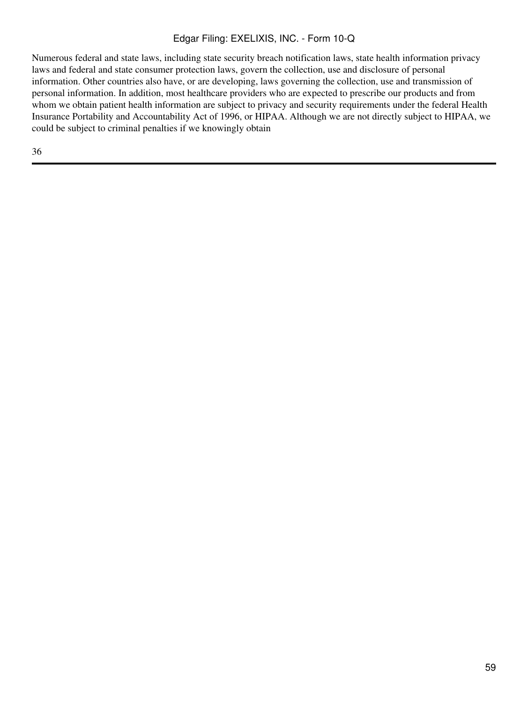Numerous federal and state laws, including state security breach notification laws, state health information privacy laws and federal and state consumer protection laws, govern the collection, use and disclosure of personal information. Other countries also have, or are developing, laws governing the collection, use and transmission of personal information. In addition, most healthcare providers who are expected to prescribe our products and from whom we obtain patient health information are subject to privacy and security requirements under the federal Health Insurance Portability and Accountability Act of 1996, or HIPAA. Although we are not directly subject to HIPAA, we could be subject to criminal penalties if we knowingly obtain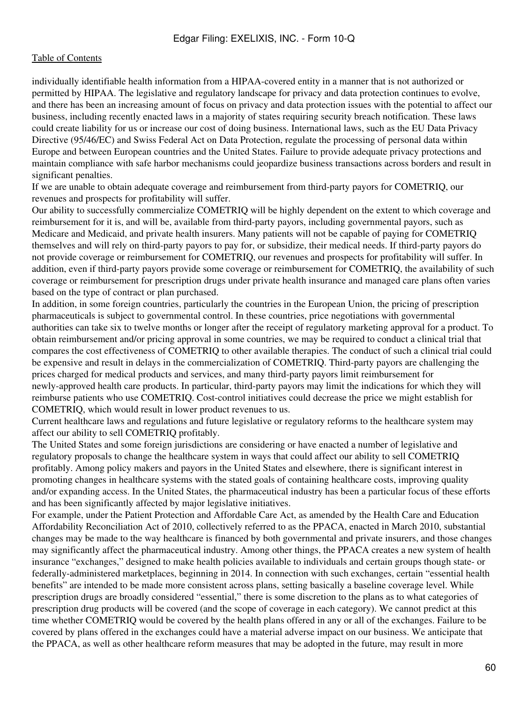individually identifiable health information from a HIPAA-covered entity in a manner that is not authorized or permitted by HIPAA. The legislative and regulatory landscape for privacy and data protection continues to evolve, and there has been an increasing amount of focus on privacy and data protection issues with the potential to affect our business, including recently enacted laws in a majority of states requiring security breach notification. These laws could create liability for us or increase our cost of doing business. International laws, such as the EU Data Privacy Directive (95/46/EC) and Swiss Federal Act on Data Protection, regulate the processing of personal data within Europe and between European countries and the United States. Failure to provide adequate privacy protections and maintain compliance with safe harbor mechanisms could jeopardize business transactions across borders and result in significant penalties.

If we are unable to obtain adequate coverage and reimbursement from third-party payors for COMETRIQ, our revenues and prospects for profitability will suffer.

Our ability to successfully commercialize COMETRIQ will be highly dependent on the extent to which coverage and reimbursement for it is, and will be, available from third-party payors, including governmental payors, such as Medicare and Medicaid, and private health insurers. Many patients will not be capable of paying for COMETRIQ themselves and will rely on third-party payors to pay for, or subsidize, their medical needs. If third-party payors do not provide coverage or reimbursement for COMETRIQ, our revenues and prospects for profitability will suffer. In addition, even if third-party payors provide some coverage or reimbursement for COMETRIQ, the availability of such coverage or reimbursement for prescription drugs under private health insurance and managed care plans often varies based on the type of contract or plan purchased.

In addition, in some foreign countries, particularly the countries in the European Union, the pricing of prescription pharmaceuticals is subject to governmental control. In these countries, price negotiations with governmental authorities can take six to twelve months or longer after the receipt of regulatory marketing approval for a product. To obtain reimbursement and/or pricing approval in some countries, we may be required to conduct a clinical trial that compares the cost effectiveness of COMETRIQ to other available therapies. The conduct of such a clinical trial could be expensive and result in delays in the commercialization of COMETRIQ. Third-party payors are challenging the prices charged for medical products and services, and many third-party payors limit reimbursement for newly-approved health care products. In particular, third-party payors may limit the indications for which they will reimburse patients who use COMETRIQ. Cost-control initiatives could decrease the price we might establish for COMETRIQ, which would result in lower product revenues to us.

Current healthcare laws and regulations and future legislative or regulatory reforms to the healthcare system may affect our ability to sell COMETRIQ profitably.

The United States and some foreign jurisdictions are considering or have enacted a number of legislative and regulatory proposals to change the healthcare system in ways that could affect our ability to sell COMETRIQ profitably. Among policy makers and payors in the United States and elsewhere, there is significant interest in promoting changes in healthcare systems with the stated goals of containing healthcare costs, improving quality and/or expanding access. In the United States, the pharmaceutical industry has been a particular focus of these efforts and has been significantly affected by major legislative initiatives.

For example, under the Patient Protection and Affordable Care Act, as amended by the Health Care and Education Affordability Reconciliation Act of 2010, collectively referred to as the PPACA, enacted in March 2010, substantial changes may be made to the way healthcare is financed by both governmental and private insurers, and those changes may significantly affect the pharmaceutical industry. Among other things, the PPACA creates a new system of health insurance "exchanges," designed to make health policies available to individuals and certain groups though state- or federally-administered marketplaces, beginning in 2014. In connection with such exchanges, certain "essential health benefits" are intended to be made more consistent across plans, setting basically a baseline coverage level. While prescription drugs are broadly considered "essential," there is some discretion to the plans as to what categories of prescription drug products will be covered (and the scope of coverage in each category). We cannot predict at this time whether COMETRIQ would be covered by the health plans offered in any or all of the exchanges. Failure to be covered by plans offered in the exchanges could have a material adverse impact on our business. We anticipate that the PPACA, as well as other healthcare reform measures that may be adopted in the future, may result in more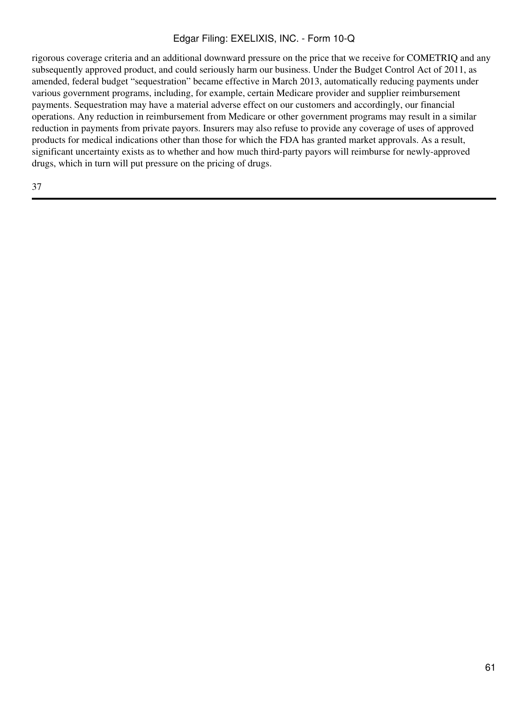rigorous coverage criteria and an additional downward pressure on the price that we receive for COMETRIQ and any subsequently approved product, and could seriously harm our business. Under the Budget Control Act of 2011, as amended, federal budget "sequestration" became effective in March 2013, automatically reducing payments under various government programs, including, for example, certain Medicare provider and supplier reimbursement payments. Sequestration may have a material adverse effect on our customers and accordingly, our financial operations. Any reduction in reimbursement from Medicare or other government programs may result in a similar reduction in payments from private payors. Insurers may also refuse to provide any coverage of uses of approved products for medical indications other than those for which the FDA has granted market approvals. As a result, significant uncertainty exists as to whether and how much third-party payors will reimburse for newly-approved drugs, which in turn will put pressure on the pricing of drugs.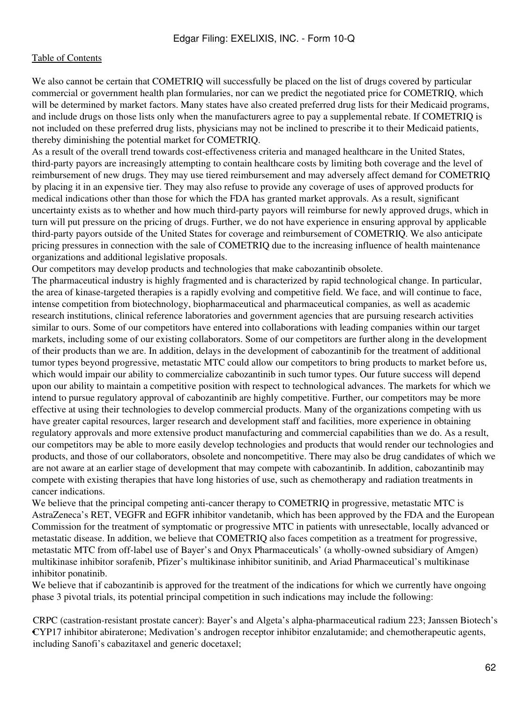We also cannot be certain that COMETRIQ will successfully be placed on the list of drugs covered by particular commercial or government health plan formularies, nor can we predict the negotiated price for COMETRIQ, which will be determined by market factors. Many states have also created preferred drug lists for their Medicaid programs, and include drugs on those lists only when the manufacturers agree to pay a supplemental rebate. If COMETRIQ is not included on these preferred drug lists, physicians may not be inclined to prescribe it to their Medicaid patients, thereby diminishing the potential market for COMETRIQ.

As a result of the overall trend towards cost-effectiveness criteria and managed healthcare in the United States, third-party payors are increasingly attempting to contain healthcare costs by limiting both coverage and the level of reimbursement of new drugs. They may use tiered reimbursement and may adversely affect demand for COMETRIQ by placing it in an expensive tier. They may also refuse to provide any coverage of uses of approved products for medical indications other than those for which the FDA has granted market approvals. As a result, significant uncertainty exists as to whether and how much third-party payors will reimburse for newly approved drugs, which in turn will put pressure on the pricing of drugs. Further, we do not have experience in ensuring approval by applicable third-party payors outside of the United States for coverage and reimbursement of COMETRIQ. We also anticipate pricing pressures in connection with the sale of COMETRIQ due to the increasing influence of health maintenance organizations and additional legislative proposals.

Our competitors may develop products and technologies that make cabozantinib obsolete.

The pharmaceutical industry is highly fragmented and is characterized by rapid technological change. In particular, the area of kinase-targeted therapies is a rapidly evolving and competitive field. We face, and will continue to face, intense competition from biotechnology, biopharmaceutical and pharmaceutical companies, as well as academic research institutions, clinical reference laboratories and government agencies that are pursuing research activities similar to ours. Some of our competitors have entered into collaborations with leading companies within our target markets, including some of our existing collaborators. Some of our competitors are further along in the development of their products than we are. In addition, delays in the development of cabozantinib for the treatment of additional tumor types beyond progressive, metastatic MTC could allow our competitors to bring products to market before us, which would impair our ability to commercialize cabozantinib in such tumor types. Our future success will depend upon our ability to maintain a competitive position with respect to technological advances. The markets for which we intend to pursue regulatory approval of cabozantinib are highly competitive. Further, our competitors may be more effective at using their technologies to develop commercial products. Many of the organizations competing with us have greater capital resources, larger research and development staff and facilities, more experience in obtaining regulatory approvals and more extensive product manufacturing and commercial capabilities than we do. As a result, our competitors may be able to more easily develop technologies and products that would render our technologies and products, and those of our collaborators, obsolete and noncompetitive. There may also be drug candidates of which we are not aware at an earlier stage of development that may compete with cabozantinib. In addition, cabozantinib may compete with existing therapies that have long histories of use, such as chemotherapy and radiation treatments in cancer indications.

We believe that the principal competing anti-cancer therapy to COMETRIQ in progressive, metastatic MTC is AstraZeneca's RET, VEGFR and EGFR inhibitor vandetanib, which has been approved by the FDA and the European Commission for the treatment of symptomatic or progressive MTC in patients with unresectable, locally advanced or metastatic disease. In addition, we believe that COMETRIQ also faces competition as a treatment for progressive, metastatic MTC from off-label use of Bayer's and Onyx Pharmaceuticals' (a wholly-owned subsidiary of Amgen) multikinase inhibitor sorafenib, Pfizer's multikinase inhibitor sunitinib, and Ariad Pharmaceutical's multikinase inhibitor ponatinib.

We believe that if cabozantinib is approved for the treatment of the indications for which we currently have ongoing phase 3 pivotal trials, its potential principal competition in such indications may include the following:

• CYP17 inhibitor abiraterone; Medivation's androgen receptor inhibitor enzalutamide; and chemotherapeutic agents, CRPC (castration-resistant prostate cancer): Bayer's and Algeta's alpha-pharmaceutical radium 223; Janssen Biotech's including Sanofi's cabazitaxel and generic docetaxel;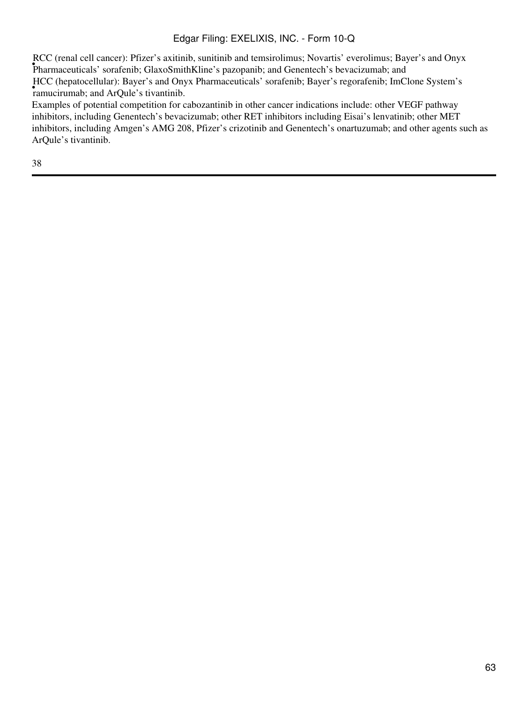• Pharmaceuticals' sorafenib; GlaxoSmithKline's pazopanib; and Genentech's bevacizumab; and RCC (renal cell cancer): Pfizer's axitinib, sunitinib and temsirolimus; Novartis' everolimus; Bayer's and Onyx race (hepatoeentalar). Bayer's and On.<br>ramucirumab; and ArQule's tivantinib. HCC (hepatocellular): Bayer's and Onyx Pharmaceuticals' sorafenib; Bayer's regorafenib; ImClone System's

Examples of potential competition for cabozantinib in other cancer indications include: other VEGF pathway inhibitors, including Genentech's bevacizumab; other RET inhibitors including Eisai's lenvatinib; other MET inhibitors, including Amgen's AMG 208, Pfizer's crizotinib and Genentech's onartuzumab; and other agents such as ArQule's tivantinib.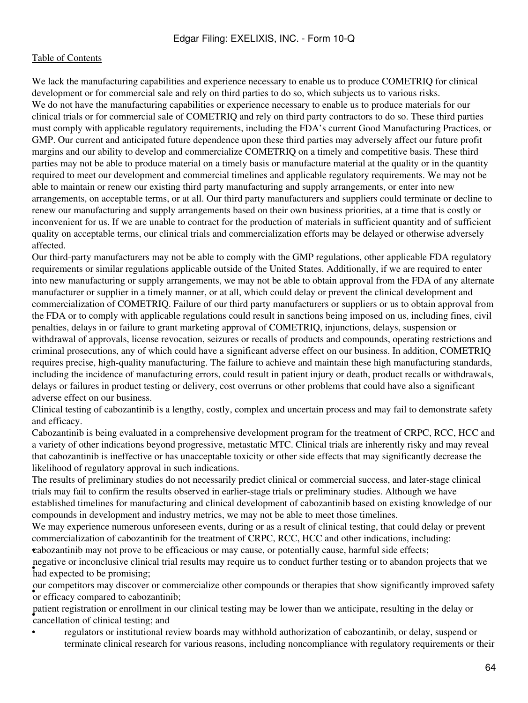We lack the manufacturing capabilities and experience necessary to enable us to produce COMETRIQ for clinical development or for commercial sale and rely on third parties to do so, which subjects us to various risks. We do not have the manufacturing capabilities or experience necessary to enable us to produce materials for our clinical trials or for commercial sale of COMETRIQ and rely on third party contractors to do so. These third parties must comply with applicable regulatory requirements, including the FDA's current Good Manufacturing Practices, or GMP. Our current and anticipated future dependence upon these third parties may adversely affect our future profit margins and our ability to develop and commercialize COMETRIQ on a timely and competitive basis. These third parties may not be able to produce material on a timely basis or manufacture material at the quality or in the quantity required to meet our development and commercial timelines and applicable regulatory requirements. We may not be able to maintain or renew our existing third party manufacturing and supply arrangements, or enter into new arrangements, on acceptable terms, or at all. Our third party manufacturers and suppliers could terminate or decline to renew our manufacturing and supply arrangements based on their own business priorities, at a time that is costly or inconvenient for us. If we are unable to contract for the production of materials in sufficient quantity and of sufficient quality on acceptable terms, our clinical trials and commercialization efforts may be delayed or otherwise adversely affected.

Our third-party manufacturers may not be able to comply with the GMP regulations, other applicable FDA regulatory requirements or similar regulations applicable outside of the United States. Additionally, if we are required to enter into new manufacturing or supply arrangements, we may not be able to obtain approval from the FDA of any alternate manufacturer or supplier in a timely manner, or at all, which could delay or prevent the clinical development and commercialization of COMETRIQ. Failure of our third party manufacturers or suppliers or us to obtain approval from the FDA or to comply with applicable regulations could result in sanctions being imposed on us, including fines, civil penalties, delays in or failure to grant marketing approval of COMETRIQ, injunctions, delays, suspension or withdrawal of approvals, license revocation, seizures or recalls of products and compounds, operating restrictions and criminal prosecutions, any of which could have a significant adverse effect on our business. In addition, COMETRIQ requires precise, high-quality manufacturing. The failure to achieve and maintain these high manufacturing standards, including the incidence of manufacturing errors, could result in patient injury or death, product recalls or withdrawals, delays or failures in product testing or delivery, cost overruns or other problems that could have also a significant adverse effect on our business.

Clinical testing of cabozantinib is a lengthy, costly, complex and uncertain process and may fail to demonstrate safety and efficacy.

Cabozantinib is being evaluated in a comprehensive development program for the treatment of CRPC, RCC, HCC and a variety of other indications beyond progressive, metastatic MTC. Clinical trials are inherently risky and may reveal that cabozantinib is ineffective or has unacceptable toxicity or other side effects that may significantly decrease the likelihood of regulatory approval in such indications.

The results of preliminary studies do not necessarily predict clinical or commercial success, and later-stage clinical trials may fail to confirm the results observed in earlier-stage trials or preliminary studies. Although we have established timelines for manufacturing and clinical development of cabozantinib based on existing knowledge of our compounds in development and industry metrics, we may not be able to meet those timelines.

We may experience numerous unforeseen events, during or as a result of clinical testing, that could delay or prevent commercialization of cabozantinib for the treatment of CRPC, RCC, HCC and other indications, including: •cabozantinib may not prove to be efficacious or may cause, or potentially cause, harmful side effects;

**had expected to be promising;** negative or inconclusive clinical trial results may require us to conduct further testing or to abandon projects that we

our compensors may discover or comour competitors may discover or commercialize other compounds or therapies that show significantly improved safety

• cancellation of clinical testing; and patient registration or enrollment in our clinical testing may be lower than we anticipate, resulting in the delay or

• regulators or institutional review boards may withhold authorization of cabozantinib, or delay, suspend or terminate clinical research for various reasons, including noncompliance with regulatory requirements or their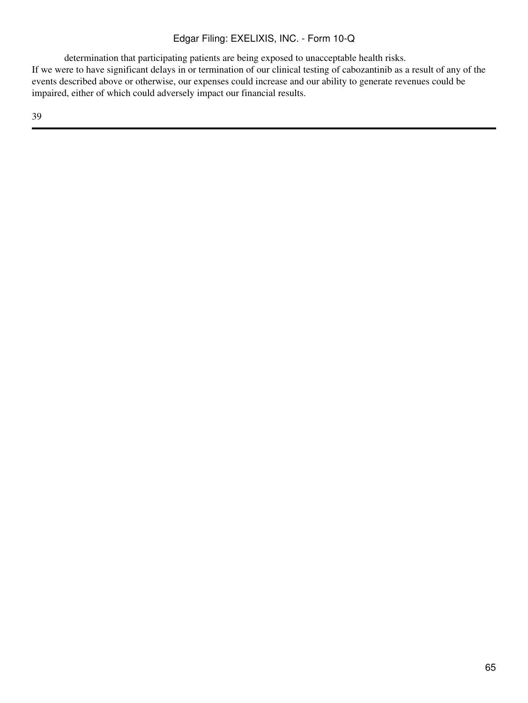determination that participating patients are being exposed to unacceptable health risks. If we were to have significant delays in or termination of our clinical testing of cabozantinib as a result of any of the events described above or otherwise, our expenses could increase and our ability to generate revenues could be impaired, either of which could adversely impact our financial results.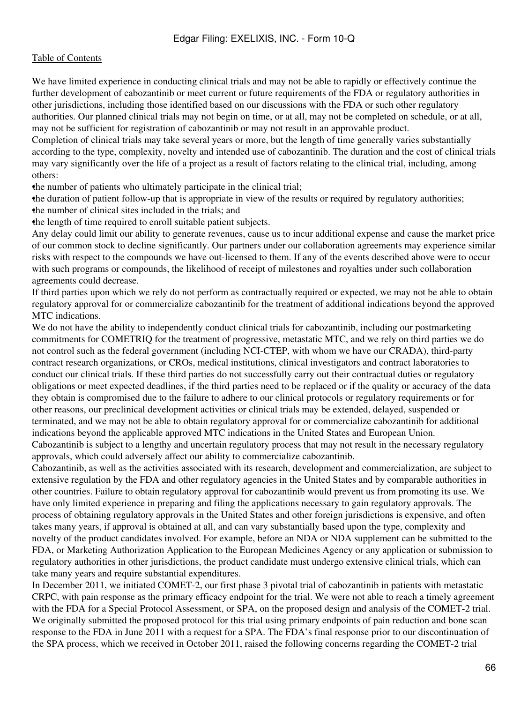We have limited experience in conducting clinical trials and may not be able to rapidly or effectively continue the further development of cabozantinib or meet current or future requirements of the FDA or regulatory authorities in other jurisdictions, including those identified based on our discussions with the FDA or such other regulatory authorities. Our planned clinical trials may not begin on time, or at all, may not be completed on schedule, or at all, may not be sufficient for registration of cabozantinib or may not result in an approvable product.

Completion of clinical trials may take several years or more, but the length of time generally varies substantially according to the type, complexity, novelty and intended use of cabozantinib. The duration and the cost of clinical trials may vary significantly over the life of a project as a result of factors relating to the clinical trial, including, among others:

•the number of patients who ultimately participate in the clinical trial;

•the duration of patient follow-up that is appropriate in view of the results or required by regulatory authorities; the number of clinical sites included in the trials; and

•the length of time required to enroll suitable patient subjects.

Any delay could limit our ability to generate revenues, cause us to incur additional expense and cause the market price of our common stock to decline significantly. Our partners under our collaboration agreements may experience similar risks with respect to the compounds we have out-licensed to them. If any of the events described above were to occur with such programs or compounds, the likelihood of receipt of milestones and royalties under such collaboration agreements could decrease.

If third parties upon which we rely do not perform as contractually required or expected, we may not be able to obtain regulatory approval for or commercialize cabozantinib for the treatment of additional indications beyond the approved MTC indications.

We do not have the ability to independently conduct clinical trials for cabozantinib, including our postmarketing commitments for COMETRIQ for the treatment of progressive, metastatic MTC, and we rely on third parties we do not control such as the federal government (including NCI-CTEP, with whom we have our CRADA), third-party contract research organizations, or CROs, medical institutions, clinical investigators and contract laboratories to conduct our clinical trials. If these third parties do not successfully carry out their contractual duties or regulatory obligations or meet expected deadlines, if the third parties need to be replaced or if the quality or accuracy of the data they obtain is compromised due to the failure to adhere to our clinical protocols or regulatory requirements or for other reasons, our preclinical development activities or clinical trials may be extended, delayed, suspended or terminated, and we may not be able to obtain regulatory approval for or commercialize cabozantinib for additional indications beyond the applicable approved MTC indications in the United States and European Union.

Cabozantinib is subject to a lengthy and uncertain regulatory process that may not result in the necessary regulatory approvals, which could adversely affect our ability to commercialize cabozantinib.

Cabozantinib, as well as the activities associated with its research, development and commercialization, are subject to extensive regulation by the FDA and other regulatory agencies in the United States and by comparable authorities in other countries. Failure to obtain regulatory approval for cabozantinib would prevent us from promoting its use. We have only limited experience in preparing and filing the applications necessary to gain regulatory approvals. The process of obtaining regulatory approvals in the United States and other foreign jurisdictions is expensive, and often takes many years, if approval is obtained at all, and can vary substantially based upon the type, complexity and novelty of the product candidates involved. For example, before an NDA or NDA supplement can be submitted to the FDA, or Marketing Authorization Application to the European Medicines Agency or any application or submission to regulatory authorities in other jurisdictions, the product candidate must undergo extensive clinical trials, which can take many years and require substantial expenditures.

In December 2011, we initiated COMET-2, our first phase 3 pivotal trial of cabozantinib in patients with metastatic CRPC, with pain response as the primary efficacy endpoint for the trial. We were not able to reach a timely agreement with the FDA for a Special Protocol Assessment, or SPA, on the proposed design and analysis of the COMET-2 trial. We originally submitted the proposed protocol for this trial using primary endpoints of pain reduction and bone scan response to the FDA in June 2011 with a request for a SPA. The FDA's final response prior to our discontinuation of the SPA process, which we received in October 2011, raised the following concerns regarding the COMET-2 trial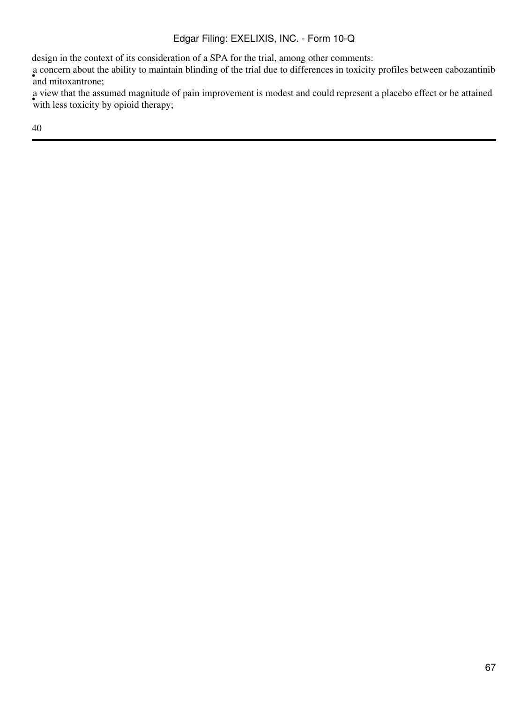design in the context of its consideration of a SPA for the trial, among other comments:

• concern about the and mitoxantrone; a concern about the ability to maintain blinding of the trial due to differences in toxicity profiles between cabozantinib

with less toxicity by opioid therapy; a view that the assumed magnitude of pain improvement is modest and could represent a placebo effect or be attained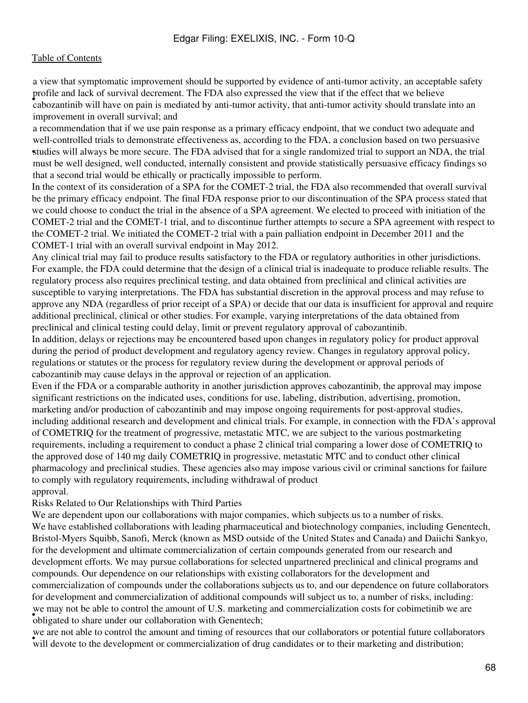• cabozantinib will have on pain is mediated by anti-tumor activity, that anti-tumor activity should translate into an a view that symptomatic improvement should be supported by evidence of anti-tumor activity, an acceptable safety profile and lack of survival decrement. The FDA also expressed the view that if the effect that we believe improvement in overall survival; and

studies will always be more secure. The FDA advised that for a single randomized trial to support an NDA, the trial a recommendation that if we use pain response as a primary efficacy endpoint, that we conduct two adequate and well-controlled trials to demonstrate effectiveness as, according to the FDA, a conclusion based on two persuasive must be well designed, well conducted, internally consistent and provide statistically persuasive efficacy findings so that a second trial would be ethically or practically impossible to perform.

In the context of its consideration of a SPA for the COMET-2 trial, the FDA also recommended that overall survival be the primary efficacy endpoint. The final FDA response prior to our discontinuation of the SPA process stated that we could choose to conduct the trial in the absence of a SPA agreement. We elected to proceed with initiation of the COMET-2 trial and the COMET-1 trial, and to discontinue further attempts to secure a SPA agreement with respect to the COMET-2 trial. We initiated the COMET-2 trial with a pain palliation endpoint in December 2011 and the COMET-1 trial with an overall survival endpoint in May 2012.

Any clinical trial may fail to produce results satisfactory to the FDA or regulatory authorities in other jurisdictions. For example, the FDA could determine that the design of a clinical trial is inadequate to produce reliable results. The regulatory process also requires preclinical testing, and data obtained from preclinical and clinical activities are susceptible to varying interpretations. The FDA has substantial discretion in the approval process and may refuse to approve any NDA (regardless of prior receipt of a SPA) or decide that our data is insufficient for approval and require additional preclinical, clinical or other studies. For example, varying interpretations of the data obtained from preclinical and clinical testing could delay, limit or prevent regulatory approval of cabozantinib.

In addition, delays or rejections may be encountered based upon changes in regulatory policy for product approval during the period of product development and regulatory agency review. Changes in regulatory approval policy, regulations or statutes or the process for regulatory review during the development or approval periods of cabozantinib may cause delays in the approval or rejection of an application.

Even if the FDA or a comparable authority in another jurisdiction approves cabozantinib, the approval may impose significant restrictions on the indicated uses, conditions for use, labeling, distribution, advertising, promotion, marketing and/or production of cabozantinib and may impose ongoing requirements for post-approval studies, including additional research and development and clinical trials. For example, in connection with the FDA's approval of COMETRIQ for the treatment of progressive, metastatic MTC, we are subject to the various postmarketing requirements, including a requirement to conduct a phase 2 clinical trial comparing a lower dose of COMETRIQ to the approved dose of 140 mg daily COMETRIQ in progressive, metastatic MTC and to conduct other clinical pharmacology and preclinical studies. These agencies also may impose various civil or criminal sanctions for failure to comply with regulatory requirements, including withdrawal of product approval.

Risks Related to Our Relationships with Third Parties

We are dependent upon our collaborations with major companies, which subjects us to a number of risks. We have established collaborations with leading pharmaceutical and biotechnology companies, including Genentech, Bristol-Myers Squibb, Sanofi, Merck (known as MSD outside of the United States and Canada) and Daiichi Sankyo, for the development and ultimate commercialization of certain compounds generated from our research and development efforts. We may pursue collaborations for selected unpartnered preclinical and clinical programs and compounds. Our dependence on our relationships with existing collaborators for the development and commercialization of compounds under the collaborations subjects us to, and our dependence on future collaborators for development and commercialization of additional compounds will subject us to, a number of risks, including: being the section of the amount of 0.5. marketing obligated to share under our collaboration with Genentech; we may not be able to control the amount of U.S. marketing and commercialization costs for cobimetinib we are

we are not able to confror the amount and thring or resources that our condidentiers or potential rature condiders will devote to the development or commercialization of drug candidates or to their marketing and distributi we are not able to control the amount and timing of resources that our collaborators or potential future collaborators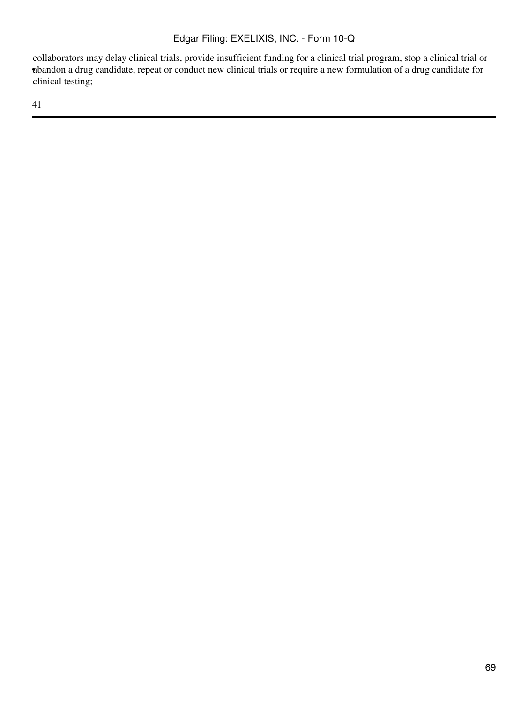• abandon a drug candidate, repeat or conduct new clinical trials or require a new formulation of a drug candidate for collaborators may delay clinical trials, provide insufficient funding for a clinical trial program, stop a clinical trial or clinical testing;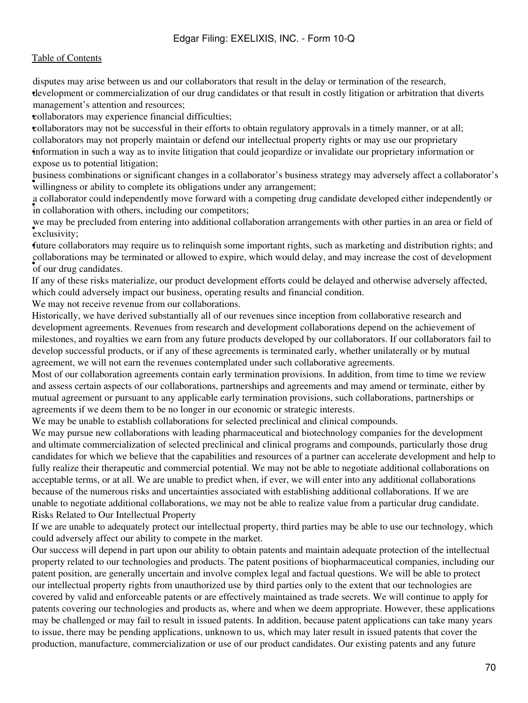• development or commercialization of our drug candidates or that result in costly litigation or arbitration that diverts disputes may arise between us and our collaborators that result in the delay or termination of the research, management's attention and resources;

•collaborators may experience financial difficulties;

•collaborators may not be successful in their efforts to obtain regulatory approvals in a timely manner, or at all; • information in such a way as to invite litigation that could jeopardize or invalidate our proprietary information or collaborators may not properly maintain or defend our intellectual property rights or may use our proprietary expose us to potential litigation;

business comonations or significant enanges in a condoctator is business.<br>willingness or ability to complete its obligations under any arrangement; business combinations or significant changes in a collaborator's business strategy may adversely affect a collaborator's

in collaboration with others, including our competitors; a collaborator could independently move forward with a competing drug candidate developed either independently or

exclusivity; we may be precluded from entering into additional collaboration arrangements with other parties in an area or field of

•future collaborators may require us to relinquish some important rights, such as marketing and distribution rights; and • **of our drug candidates**. collaborations may be terminated or allowed to expire, which would delay, and may increase the cost of development

If any of these risks materialize, our product development efforts could be delayed and otherwise adversely affected, which could adversely impact our business, operating results and financial condition.

We may not receive revenue from our collaborations.

Historically, we have derived substantially all of our revenues since inception from collaborative research and development agreements. Revenues from research and development collaborations depend on the achievement of milestones, and royalties we earn from any future products developed by our collaborators. If our collaborators fail to develop successful products, or if any of these agreements is terminated early, whether unilaterally or by mutual agreement, we will not earn the revenues contemplated under such collaborative agreements.

Most of our collaboration agreements contain early termination provisions. In addition, from time to time we review and assess certain aspects of our collaborations, partnerships and agreements and may amend or terminate, either by mutual agreement or pursuant to any applicable early termination provisions, such collaborations, partnerships or agreements if we deem them to be no longer in our economic or strategic interests.

We may be unable to establish collaborations for selected preclinical and clinical compounds.

We may pursue new collaborations with leading pharmaceutical and biotechnology companies for the development and ultimate commercialization of selected preclinical and clinical programs and compounds, particularly those drug candidates for which we believe that the capabilities and resources of a partner can accelerate development and help to fully realize their therapeutic and commercial potential. We may not be able to negotiate additional collaborations on acceptable terms, or at all. We are unable to predict when, if ever, we will enter into any additional collaborations because of the numerous risks and uncertainties associated with establishing additional collaborations. If we are unable to negotiate additional collaborations, we may not be able to realize value from a particular drug candidate. Risks Related to Our Intellectual Property

If we are unable to adequately protect our intellectual property, third parties may be able to use our technology, which could adversely affect our ability to compete in the market.

Our success will depend in part upon our ability to obtain patents and maintain adequate protection of the intellectual property related to our technologies and products. The patent positions of biopharmaceutical companies, including our patent position, are generally uncertain and involve complex legal and factual questions. We will be able to protect our intellectual property rights from unauthorized use by third parties only to the extent that our technologies are covered by valid and enforceable patents or are effectively maintained as trade secrets. We will continue to apply for patents covering our technologies and products as, where and when we deem appropriate. However, these applications may be challenged or may fail to result in issued patents. In addition, because patent applications can take many years to issue, there may be pending applications, unknown to us, which may later result in issued patents that cover the production, manufacture, commercialization or use of our product candidates. Our existing patents and any future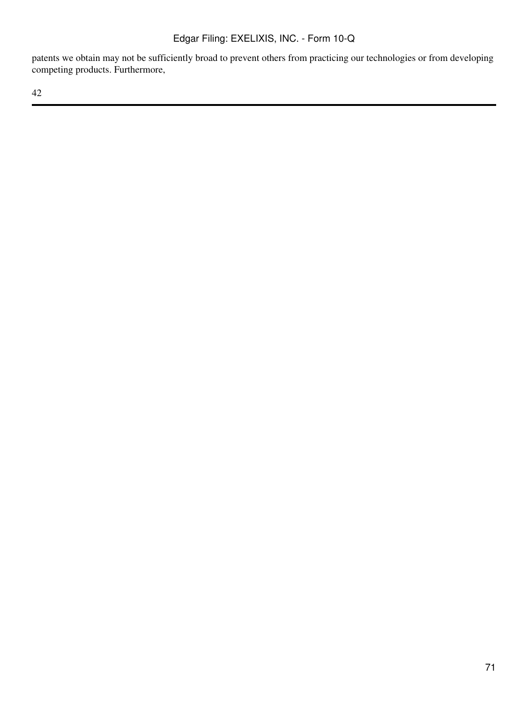patents we obtain may not be sufficiently broad to prevent others from practicing our technologies or from developing competing products. Furthermore,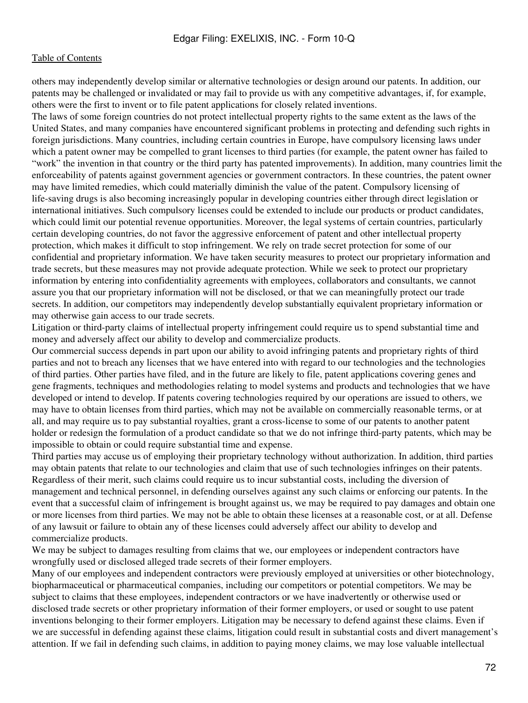others may independently develop similar or alternative technologies or design around our patents. In addition, our patents may be challenged or invalidated or may fail to provide us with any competitive advantages, if, for example, others were the first to invent or to file patent applications for closely related inventions.

The laws of some foreign countries do not protect intellectual property rights to the same extent as the laws of the United States, and many companies have encountered significant problems in protecting and defending such rights in foreign jurisdictions. Many countries, including certain countries in Europe, have compulsory licensing laws under which a patent owner may be compelled to grant licenses to third parties (for example, the patent owner has failed to "work" the invention in that country or the third party has patented improvements). In addition, many countries limit the enforceability of patents against government agencies or government contractors. In these countries, the patent owner may have limited remedies, which could materially diminish the value of the patent. Compulsory licensing of life-saving drugs is also becoming increasingly popular in developing countries either through direct legislation or international initiatives. Such compulsory licenses could be extended to include our products or product candidates, which could limit our potential revenue opportunities. Moreover, the legal systems of certain countries, particularly certain developing countries, do not favor the aggressive enforcement of patent and other intellectual property protection, which makes it difficult to stop infringement. We rely on trade secret protection for some of our confidential and proprietary information. We have taken security measures to protect our proprietary information and trade secrets, but these measures may not provide adequate protection. While we seek to protect our proprietary information by entering into confidentiality agreements with employees, collaborators and consultants, we cannot assure you that our proprietary information will not be disclosed, or that we can meaningfully protect our trade secrets. In addition, our competitors may independently develop substantially equivalent proprietary information or may otherwise gain access to our trade secrets.

Litigation or third-party claims of intellectual property infringement could require us to spend substantial time and money and adversely affect our ability to develop and commercialize products.

Our commercial success depends in part upon our ability to avoid infringing patents and proprietary rights of third parties and not to breach any licenses that we have entered into with regard to our technologies and the technologies of third parties. Other parties have filed, and in the future are likely to file, patent applications covering genes and gene fragments, techniques and methodologies relating to model systems and products and technologies that we have developed or intend to develop. If patents covering technologies required by our operations are issued to others, we may have to obtain licenses from third parties, which may not be available on commercially reasonable terms, or at all, and may require us to pay substantial royalties, grant a cross-license to some of our patents to another patent holder or redesign the formulation of a product candidate so that we do not infringe third-party patents, which may be impossible to obtain or could require substantial time and expense.

Third parties may accuse us of employing their proprietary technology without authorization. In addition, third parties may obtain patents that relate to our technologies and claim that use of such technologies infringes on their patents. Regardless of their merit, such claims could require us to incur substantial costs, including the diversion of management and technical personnel, in defending ourselves against any such claims or enforcing our patents. In the event that a successful claim of infringement is brought against us, we may be required to pay damages and obtain one or more licenses from third parties. We may not be able to obtain these licenses at a reasonable cost, or at all. Defense of any lawsuit or failure to obtain any of these licenses could adversely affect our ability to develop and commercialize products.

We may be subject to damages resulting from claims that we, our employees or independent contractors have wrongfully used or disclosed alleged trade secrets of their former employers.

Many of our employees and independent contractors were previously employed at universities or other biotechnology, biopharmaceutical or pharmaceutical companies, including our competitors or potential competitors. We may be subject to claims that these employees, independent contractors or we have inadvertently or otherwise used or disclosed trade secrets or other proprietary information of their former employers, or used or sought to use patent inventions belonging to their former employers. Litigation may be necessary to defend against these claims. Even if we are successful in defending against these claims, litigation could result in substantial costs and divert management's attention. If we fail in defending such claims, in addition to paying money claims, we may lose valuable intellectual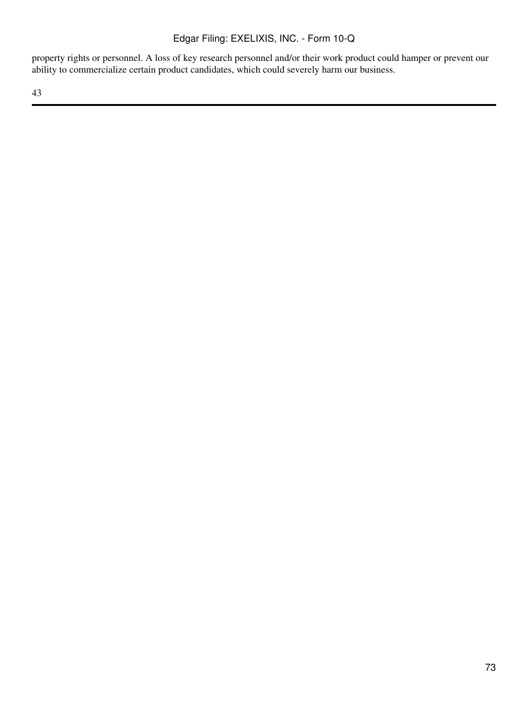property rights or personnel. A loss of key research personnel and/or their work product could hamper or prevent our ability to commercialize certain product candidates, which could severely harm our business.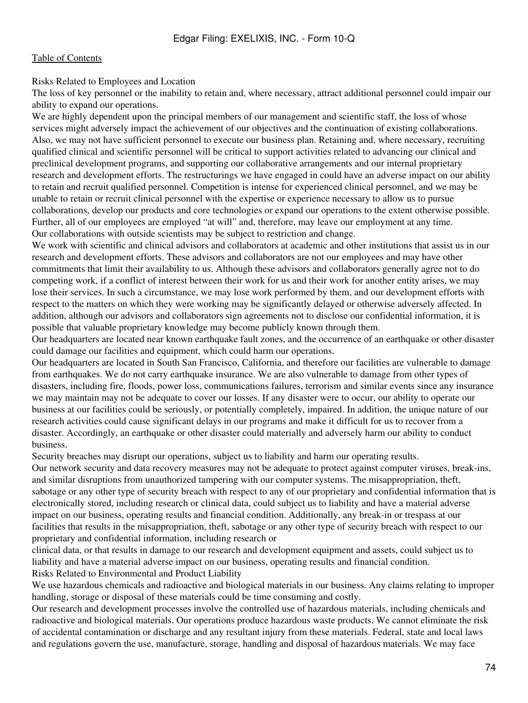Risks Related to Employees and Location

The loss of key personnel or the inability to retain and, where necessary, attract additional personnel could impair our ability to expand our operations.

We are highly dependent upon the principal members of our management and scientific staff, the loss of whose services might adversely impact the achievement of our objectives and the continuation of existing collaborations. Also, we may not have sufficient personnel to execute our business plan. Retaining and, where necessary, recruiting qualified clinical and scientific personnel will be critical to support activities related to advancing our clinical and preclinical development programs, and supporting our collaborative arrangements and our internal proprietary research and development efforts. The restructurings we have engaged in could have an adverse impact on our ability to retain and recruit qualified personnel. Competition is intense for experienced clinical personnel, and we may be unable to retain or recruit clinical personnel with the expertise or experience necessary to allow us to pursue collaborations, develop our products and core technologies or expand our operations to the extent otherwise possible. Further, all of our employees are employed "at will" and, therefore, may leave our employment at any time. Our collaborations with outside scientists may be subject to restriction and change.

We work with scientific and clinical advisors and collaborators at academic and other institutions that assist us in our research and development efforts. These advisors and collaborators are not our employees and may have other commitments that limit their availability to us. Although these advisors and collaborators generally agree not to do competing work, if a conflict of interest between their work for us and their work for another entity arises, we may lose their services. In such a circumstance, we may lose work performed by them, and our development efforts with respect to the matters on which they were working may be significantly delayed or otherwise adversely affected. In addition, although our advisors and collaborators sign agreements not to disclose our confidential information, it is possible that valuable proprietary knowledge may become publicly known through them.

Our headquarters are located near known earthquake fault zones, and the occurrence of an earthquake or other disaster could damage our facilities and equipment, which could harm our operations.

Our headquarters are located in South San Francisco, California, and therefore our facilities are vulnerable to damage from earthquakes. We do not carry earthquake insurance. We are also vulnerable to damage from other types of disasters, including fire, floods, power loss, communications failures, terrorism and similar events since any insurance we may maintain may not be adequate to cover our losses. If any disaster were to occur, our ability to operate our business at our facilities could be seriously, or potentially completely, impaired. In addition, the unique nature of our research activities could cause significant delays in our programs and make it difficult for us to recover from a disaster. Accordingly, an earthquake or other disaster could materially and adversely harm our ability to conduct business.

Security breaches may disrupt our operations, subject us to liability and harm our operating results.

Our network security and data recovery measures may not be adequate to protect against computer viruses, break-ins, and similar disruptions from unauthorized tampering with our computer systems. The misappropriation, theft, sabotage or any other type of security breach with respect to any of our proprietary and confidential information that is electronically stored, including research or clinical data, could subject us to liability and have a material adverse impact on our business, operating results and financial condition. Additionally, any break-in or trespass at our facilities that results in the misappropriation, theft, sabotage or any other type of security breach with respect to our proprietary and confidential information, including research or

clinical data, or that results in damage to our research and development equipment and assets, could subject us to liability and have a material adverse impact on our business, operating results and financial condition. Risks Related to Environmental and Product Liability

We use hazardous chemicals and radioactive and biological materials in our business. Any claims relating to improper handling, storage or disposal of these materials could be time consuming and costly.

Our research and development processes involve the controlled use of hazardous materials, including chemicals and radioactive and biological materials. Our operations produce hazardous waste products. We cannot eliminate the risk of accidental contamination or discharge and any resultant injury from these materials. Federal, state and local laws and regulations govern the use, manufacture, storage, handling and disposal of hazardous materials. We may face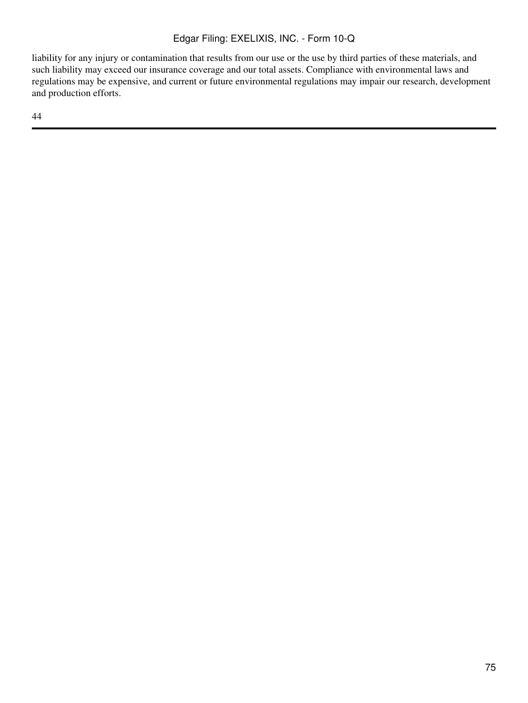liability for any injury or contamination that results from our use or the use by third parties of these materials, and such liability may exceed our insurance coverage and our total assets. Compliance with environmental laws and regulations may be expensive, and current or future environmental regulations may impair our research, development and production efforts.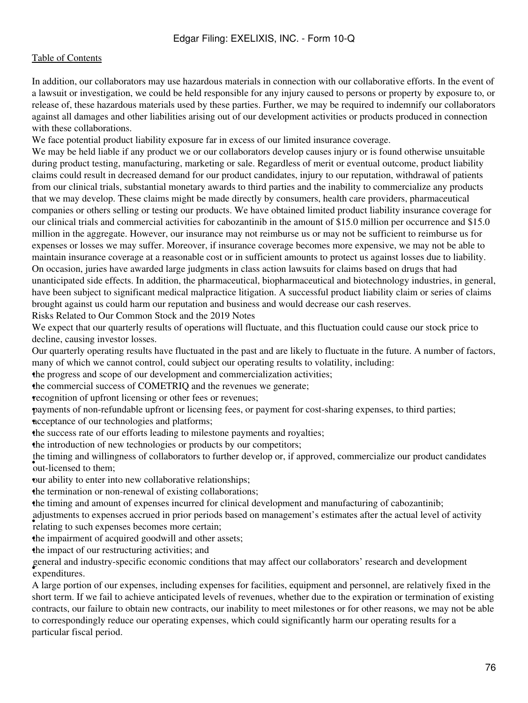In addition, our collaborators may use hazardous materials in connection with our collaborative efforts. In the event of a lawsuit or investigation, we could be held responsible for any injury caused to persons or property by exposure to, or release of, these hazardous materials used by these parties. Further, we may be required to indemnify our collaborators against all damages and other liabilities arising out of our development activities or products produced in connection with these collaborations.

We face potential product liability exposure far in excess of our limited insurance coverage.

We may be held liable if any product we or our collaborators develop causes injury or is found otherwise unsuitable during product testing, manufacturing, marketing or sale. Regardless of merit or eventual outcome, product liability claims could result in decreased demand for our product candidates, injury to our reputation, withdrawal of patients from our clinical trials, substantial monetary awards to third parties and the inability to commercialize any products that we may develop. These claims might be made directly by consumers, health care providers, pharmaceutical companies or others selling or testing our products. We have obtained limited product liability insurance coverage for our clinical trials and commercial activities for cabozantinib in the amount of \$15.0 million per occurrence and \$15.0 million in the aggregate. However, our insurance may not reimburse us or may not be sufficient to reimburse us for expenses or losses we may suffer. Moreover, if insurance coverage becomes more expensive, we may not be able to maintain insurance coverage at a reasonable cost or in sufficient amounts to protect us against losses due to liability. On occasion, juries have awarded large judgments in class action lawsuits for claims based on drugs that had unanticipated side effects. In addition, the pharmaceutical, biopharmaceutical and biotechnology industries, in general, have been subject to significant medical malpractice litigation. A successful product liability claim or series of claims brought against us could harm our reputation and business and would decrease our cash reserves.

Risks Related to Our Common Stock and the 2019 Notes

We expect that our quarterly results of operations will fluctuate, and this fluctuation could cause our stock price to decline, causing investor losses.

Our quarterly operating results have fluctuated in the past and are likely to fluctuate in the future. A number of factors, many of which we cannot control, could subject our operating results to volatility, including:

•the progress and scope of our development and commercialization activities;

the commercial success of COMETRIQ and the revenues we generate;

•recognition of upfront licensing or other fees or revenues;

•payments of non-refundable upfront or licensing fees, or payment for cost-sharing expenses, to third parties; neceptance of our technologies and platforms;

•the success rate of our efforts leading to milestone payments and royalties;

the introduction of new technologies or products by our competitors;

out-licensed to them; the timing and willingness of collaborators to further develop or, if approved, commercialize our product candidates

our ability to enter into new collaborative relationships;

the termination or non-renewal of existing collaborations;

•the timing and amount of expenses incurred for clinical development and manufacturing of cabozantinib;

relating to such expenses decreed in prior periods relating to such expenses becomes more certain; adjustments to expenses accrued in prior periods based on management's estimates after the actual level of activity

•the impairment of acquired goodwill and other assets;

•the impact of our restructuring activities; and

• expenditures. general and industry-specific economic conditions that may affect our collaborators' research and development

A large portion of our expenses, including expenses for facilities, equipment and personnel, are relatively fixed in the short term. If we fail to achieve anticipated levels of revenues, whether due to the expiration or termination of existing contracts, our failure to obtain new contracts, our inability to meet milestones or for other reasons, we may not be able to correspondingly reduce our operating expenses, which could significantly harm our operating results for a particular fiscal period.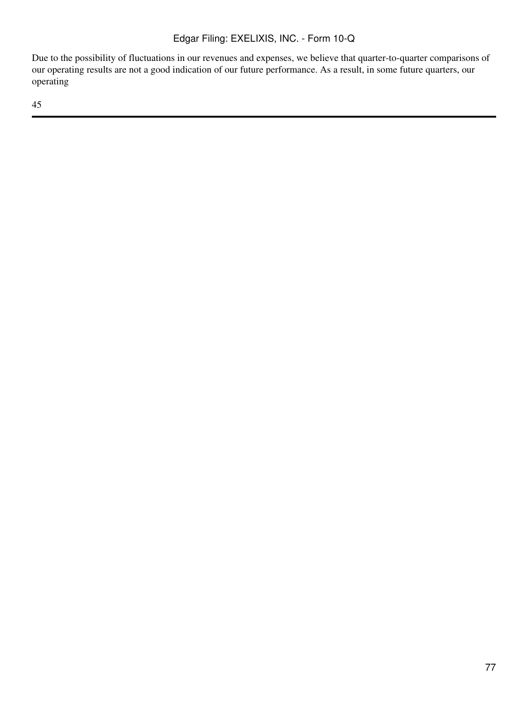Due to the possibility of fluctuations in our revenues and expenses, we believe that quarter-to-quarter comparisons of our operating results are not a good indication of our future performance. As a result, in some future quarters, our operating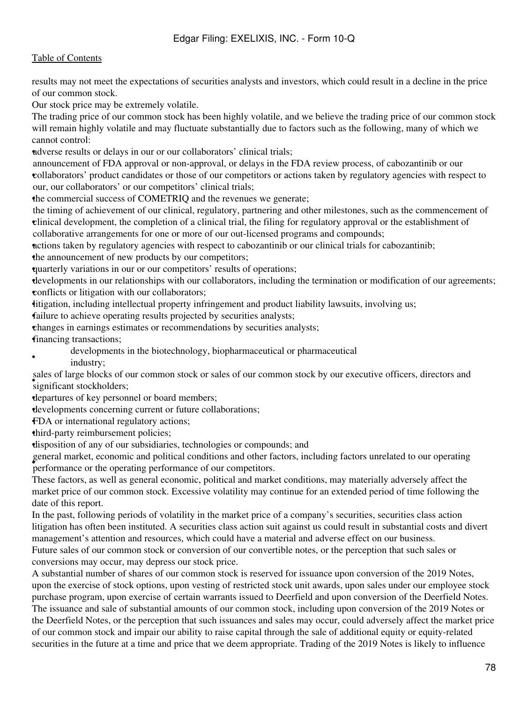results may not meet the expectations of securities analysts and investors, which could result in a decline in the price of our common stock.

Our stock price may be extremely volatile.

The trading price of our common stock has been highly volatile, and we believe the trading price of our common stock will remain highly volatile and may fluctuate substantially due to factors such as the following, many of which we cannot control:

•adverse results or delays in our or our collaborators' clinical trials;

• collaborators' product candidates or those of our competitors or actions taken by regulatory agencies with respect to announcement of FDA approval or non-approval, or delays in the FDA review process, of cabozantinib or our our, our collaborators' or our competitors' clinical trials;

the commercial success of COMETRIQ and the revenues we generate;

• clinical development, the completion of a clinical trial, the filing for regulatory approval or the establishment of the timing of achievement of our clinical, regulatory, partnering and other milestones, such as the commencement of collaborative arrangements for one or more of our out-licensed programs and compounds;

•actions taken by regulatory agencies with respect to cabozantinib or our clinical trials for cabozantinib;

the announcement of new products by our competitors;

•quarterly variations in our or our competitors' results of operations;

•developments in our relationships with our collaborators, including the termination or modification of our agreements; •conflicts or litigation with our collaborators;

•litigation, including intellectual property infringement and product liability lawsuits, involving us;

failure to achieve operating results projected by securities analysts;

•changes in earnings estimates or recommendations by securities analysts; •financing transactions;

• developments in the biotechnology, biopharmaceutical or pharmaceutical industry;

significant stockholders; sales of large blocks of our common stock or sales of our common stock by our executive officers, directors and

•departures of key personnel or board members;

•developments concerning current or future collaborations;

•FDA or international regulatory actions;

•third-party reimbursement policies;

•disposition of any of our subsidiaries, technologies or compounds; and

• performance or the operating performance of our competitors. general market, economic and political conditions and other factors, including factors unrelated to our operating

These factors, as well as general economic, political and market conditions, may materially adversely affect the market price of our common stock. Excessive volatility may continue for an extended period of time following the date of this report.

In the past, following periods of volatility in the market price of a company's securities, securities class action litigation has often been instituted. A securities class action suit against us could result in substantial costs and divert management's attention and resources, which could have a material and adverse effect on our business. Future sales of our common stock or conversion of our convertible notes, or the perception that such sales or

conversions may occur, may depress our stock price.

A substantial number of shares of our common stock is reserved for issuance upon conversion of the 2019 Notes, upon the exercise of stock options, upon vesting of restricted stock unit awards, upon sales under our employee stock purchase program, upon exercise of certain warrants issued to Deerfield and upon conversion of the Deerfield Notes. The issuance and sale of substantial amounts of our common stock, including upon conversion of the 2019 Notes or the Deerfield Notes, or the perception that such issuances and sales may occur, could adversely affect the market price of our common stock and impair our ability to raise capital through the sale of additional equity or equity-related securities in the future at a time and price that we deem appropriate. Trading of the 2019 Notes is likely to influence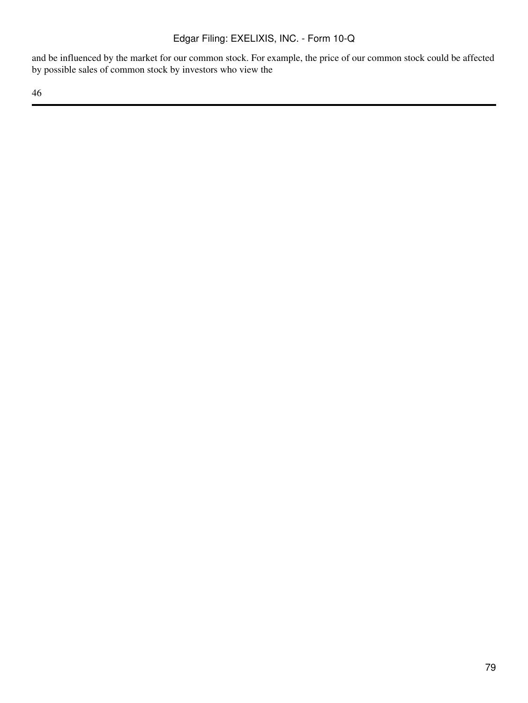and be influenced by the market for our common stock. For example, the price of our common stock could be affected by possible sales of common stock by investors who view the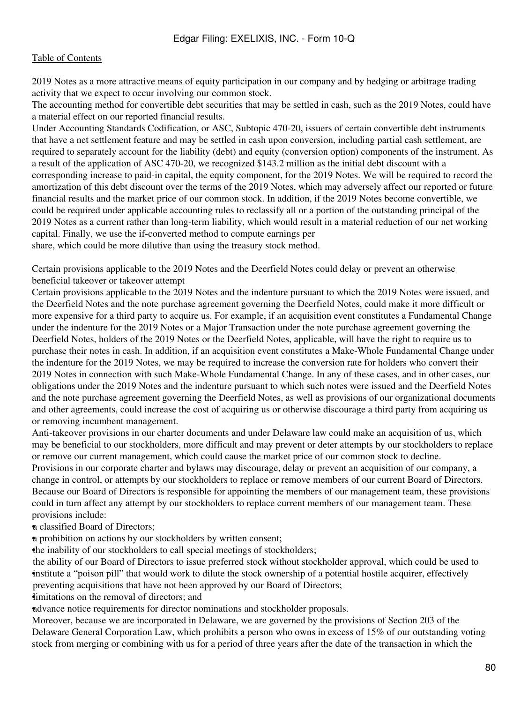2019 Notes as a more attractive means of equity participation in our company and by hedging or arbitrage trading activity that we expect to occur involving our common stock.

The accounting method for convertible debt securities that may be settled in cash, such as the 2019 Notes, could have a material effect on our reported financial results.

Under Accounting Standards Codification, or ASC, Subtopic 470-20, issuers of certain convertible debt instruments that have a net settlement feature and may be settled in cash upon conversion, including partial cash settlement, are required to separately account for the liability (debt) and equity (conversion option) components of the instrument. As a result of the application of ASC 470-20, we recognized \$143.2 million as the initial debt discount with a corresponding increase to paid-in capital, the equity component, for the 2019 Notes. We will be required to record the amortization of this debt discount over the terms of the 2019 Notes, which may adversely affect our reported or future financial results and the market price of our common stock. In addition, if the 2019 Notes become convertible, we could be required under applicable accounting rules to reclassify all or a portion of the outstanding principal of the 2019 Notes as a current rather than long-term liability, which would result in a material reduction of our net working capital. Finally, we use the if-converted method to compute earnings per

share, which could be more dilutive than using the treasury stock method.

Certain provisions applicable to the 2019 Notes and the Deerfield Notes could delay or prevent an otherwise beneficial takeover or takeover attempt

Certain provisions applicable to the 2019 Notes and the indenture pursuant to which the 2019 Notes were issued, and the Deerfield Notes and the note purchase agreement governing the Deerfield Notes, could make it more difficult or more expensive for a third party to acquire us. For example, if an acquisition event constitutes a Fundamental Change under the indenture for the 2019 Notes or a Major Transaction under the note purchase agreement governing the Deerfield Notes, holders of the 2019 Notes or the Deerfield Notes, applicable, will have the right to require us to purchase their notes in cash. In addition, if an acquisition event constitutes a Make-Whole Fundamental Change under the indenture for the 2019 Notes, we may be required to increase the conversion rate for holders who convert their 2019 Notes in connection with such Make-Whole Fundamental Change. In any of these cases, and in other cases, our obligations under the 2019 Notes and the indenture pursuant to which such notes were issued and the Deerfield Notes and the note purchase agreement governing the Deerfield Notes, as well as provisions of our organizational documents and other agreements, could increase the cost of acquiring us or otherwise discourage a third party from acquiring us or removing incumbent management.

Anti-takeover provisions in our charter documents and under Delaware law could make an acquisition of us, which may be beneficial to our stockholders, more difficult and may prevent or deter attempts by our stockholders to replace or remove our current management, which could cause the market price of our common stock to decline.

Provisions in our corporate charter and bylaws may discourage, delay or prevent an acquisition of our company, a change in control, or attempts by our stockholders to replace or remove members of our current Board of Directors. Because our Board of Directors is responsible for appointing the members of our management team, these provisions could in turn affect any attempt by our stockholders to replace current members of our management team. These provisions include:

•a classified Board of Directors;

•a prohibition on actions by our stockholders by written consent;

•the inability of our stockholders to call special meetings of stockholders;

• institute a "poison pill" that would work to dilute the stock ownership of a potential hostile acquirer, effectively the ability of our Board of Directors to issue preferred stock without stockholder approval, which could be used to preventing acquisitions that have not been approved by our Board of Directors;

imitations on the removal of directors; and

•advance notice requirements for director nominations and stockholder proposals.

Moreover, because we are incorporated in Delaware, we are governed by the provisions of Section 203 of the Delaware General Corporation Law, which prohibits a person who owns in excess of 15% of our outstanding voting stock from merging or combining with us for a period of three years after the date of the transaction in which the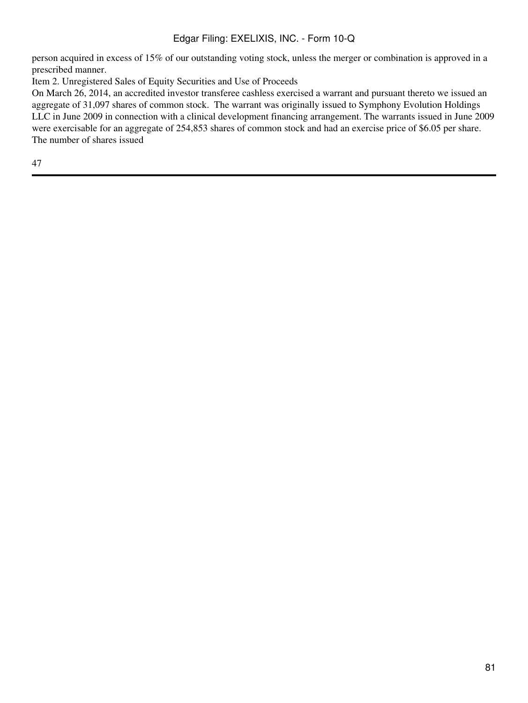person acquired in excess of 15% of our outstanding voting stock, unless the merger or combination is approved in a prescribed manner.

Item 2. Unregistered Sales of Equity Securities and Use of Proceeds

On March 26, 2014, an accredited investor transferee cashless exercised a warrant and pursuant thereto we issued an aggregate of 31,097 shares of common stock. The warrant was originally issued to Symphony Evolution Holdings LLC in June 2009 in connection with a clinical development financing arrangement. The warrants issued in June 2009 were exercisable for an aggregate of 254,853 shares of common stock and had an exercise price of \$6.05 per share. The number of shares issued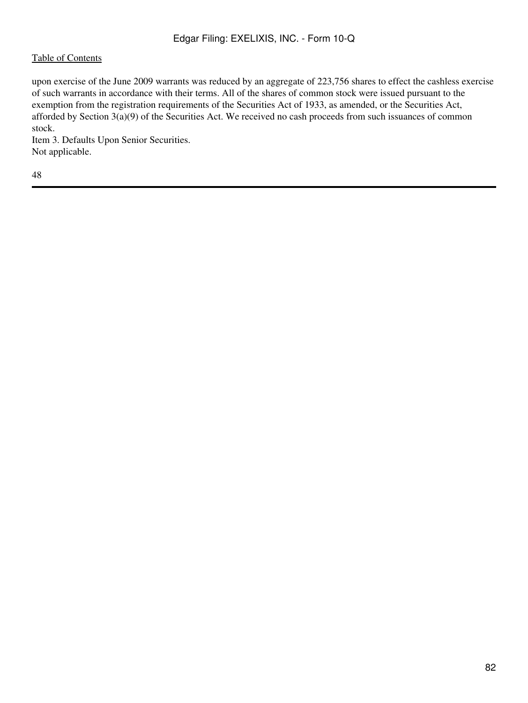upon exercise of the June 2009 warrants was reduced by an aggregate of 223,756 shares to effect the cashless exercise of such warrants in accordance with their terms. All of the shares of common stock were issued pursuant to the exemption from the registration requirements of the Securities Act of 1933, as amended, or the Securities Act, afforded by Section 3(a)(9) of the Securities Act. We received no cash proceeds from such issuances of common stock.

Item 3. Defaults Upon Senior Securities. Not applicable.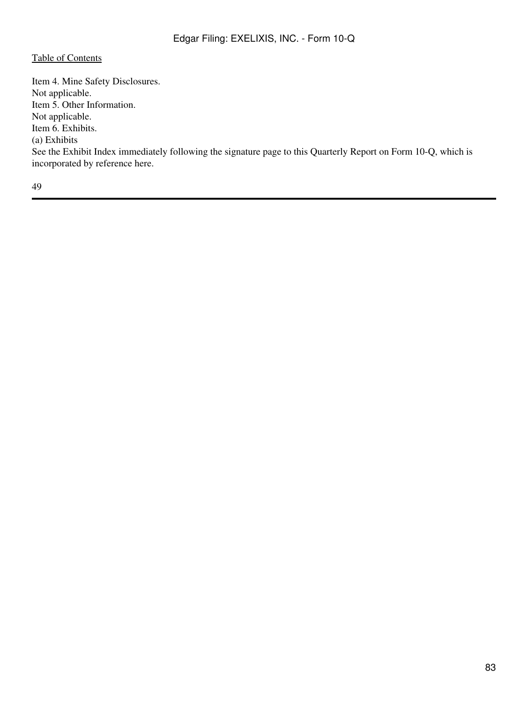Item 4. Mine Safety Disclosures. Not applicable. Item 5. Other Information. Not applicable. Item 6. Exhibits. (a) Exhibits See the Exhibit Index immediately following the signature page to this Quarterly Report on Form 10-Q, which is incorporated by reference here.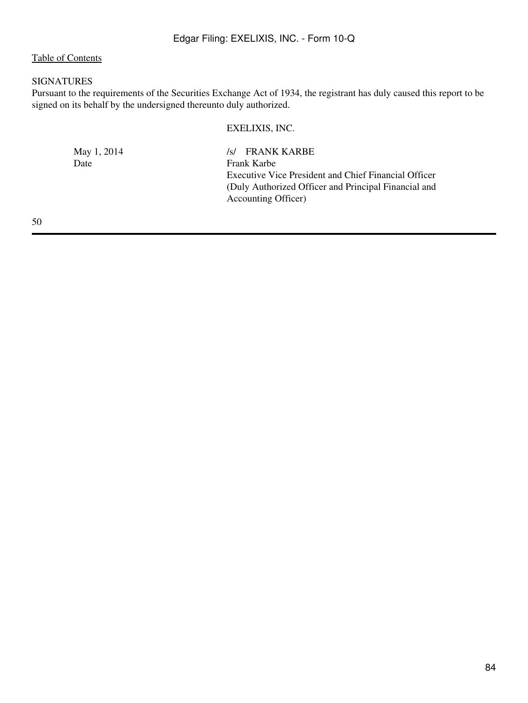## SIGNATURES

Pursuant to the requirements of the Securities Exchange Act of 1934, the registrant has duly caused this report to be signed on its behalf by the undersigned thereunto duly authorized.

#### EXELIXIS, INC.

May 1, 2014 /s/ FRANK KARBE<br>Date Frank Karbe Frank Karbe Executive Vice President and Chief Financial Officer (Duly Authorized Officer and Principal Financial and Accounting Officer)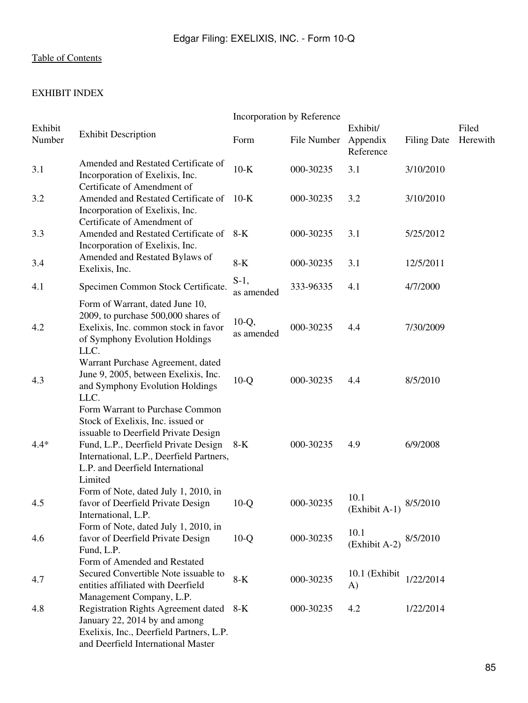# EXHIBIT INDEX

|                   |                                                                                                                                                                                                                                                 | Incorporation by Reference |             |                                   |                    |                   |
|-------------------|-------------------------------------------------------------------------------------------------------------------------------------------------------------------------------------------------------------------------------------------------|----------------------------|-------------|-----------------------------------|--------------------|-------------------|
| Exhibit<br>Number | <b>Exhibit Description</b>                                                                                                                                                                                                                      | Form                       | File Number | Exhibit/<br>Appendix<br>Reference | <b>Filing Date</b> | Filed<br>Herewith |
| 3.1               | Amended and Restated Certificate of<br>Incorporation of Exelixis, Inc.<br>Certificate of Amendment of                                                                                                                                           | $10-K$                     | 000-30235   | 3.1                               | 3/10/2010          |                   |
| 3.2               | Amended and Restated Certificate of<br>Incorporation of Exelixis, Inc.<br>Certificate of Amendment of                                                                                                                                           | $10-K$                     | 000-30235   | 3.2                               | 3/10/2010          |                   |
| 3.3               | Amended and Restated Certificate of<br>Incorporation of Exelixis, Inc.                                                                                                                                                                          | $8-K$                      | 000-30235   | 3.1                               | 5/25/2012          |                   |
| 3.4               | Amended and Restated Bylaws of<br>Exelixis, Inc.                                                                                                                                                                                                | $8-K$                      | 000-30235   | 3.1                               | 12/5/2011          |                   |
| 4.1               | Specimen Common Stock Certificate.                                                                                                                                                                                                              | $S-1$ ,<br>as amended      | 333-96335   | 4.1                               | 4/7/2000           |                   |
| 4.2               | Form of Warrant, dated June 10,<br>2009, to purchase 500,000 shares of<br>Exelixis, Inc. common stock in favor<br>of Symphony Evolution Holdings<br>LLC.                                                                                        | $10-Q$ ,<br>as amended     | 000-30235   | 4.4                               | 7/30/2009          |                   |
| 4.3               | Warrant Purchase Agreement, dated<br>June 9, 2005, between Exelixis, Inc.<br>and Symphony Evolution Holdings<br>LLC.                                                                                                                            | $10-Q$                     | 000-30235   | 4.4                               | 8/5/2010           |                   |
| $4.4*$            | Form Warrant to Purchase Common<br>Stock of Exelixis, Inc. issued or<br>issuable to Deerfield Private Design<br>Fund, L.P., Deerfield Private Design<br>International, L.P., Deerfield Partners,<br>L.P. and Deerfield International<br>Limited | $8-K$                      | 000-30235   | 4.9                               | 6/9/2008           |                   |
| 4.5               | Form of Note, dated July 1, 2010, in<br>favor of Deerfield Private Design<br>International, L.P.                                                                                                                                                | $10-Q$                     | 000-30235   | 10.1<br>(Exhibit A-1)             | 8/5/2010           |                   |
| 4.6               | Form of Note, dated July 1, 2010, in<br>favor of Deerfield Private Design<br>Fund, L.P.                                                                                                                                                         | $10-Q$                     | 000-30235   | 10.1<br>(Exhibit A-2)             | 8/5/2010           |                   |
| 4.7               | Form of Amended and Restated<br>Secured Convertible Note issuable to<br>entities affiliated with Deerfield<br>Management Company, L.P.                                                                                                          | $8-K$                      | 000-30235   | 10.1 (Exhibit<br>A)               | 1/22/2014          |                   |
| 4.8               | <b>Registration Rights Agreement dated</b><br>January 22, 2014 by and among<br>Exelixis, Inc., Deerfield Partners, L.P.<br>and Deerfield International Master                                                                                   | 8-K                        | 000-30235   | 4.2                               | 1/22/2014          |                   |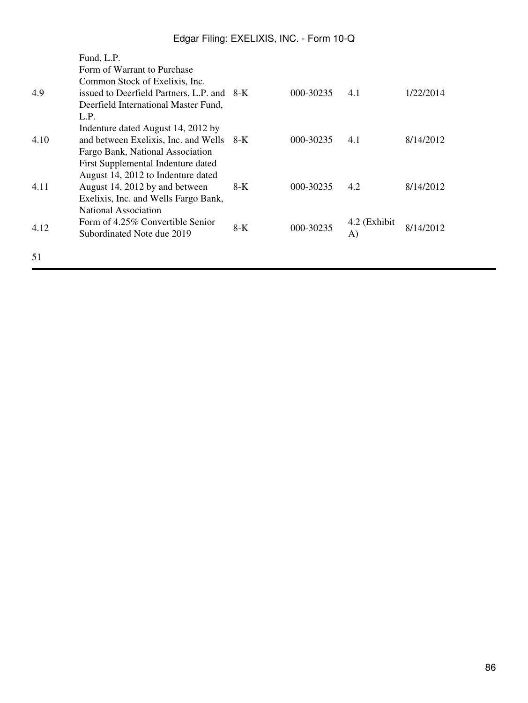|      | Fund, L.P.                                 |     |           |              |           |
|------|--------------------------------------------|-----|-----------|--------------|-----------|
|      | Form of Warrant to Purchase                |     |           |              |           |
|      | Common Stock of Exelixis, Inc.             |     |           |              |           |
| 4.9  | issued to Deerfield Partners, L.P. and 8-K |     | 000-30235 | 4.1          | 1/22/2014 |
|      | Deerfield International Master Fund,       |     |           |              |           |
|      | L.P.                                       |     |           |              |           |
|      | Indenture dated August 14, 2012 by         |     |           |              |           |
| 4.10 | and between Exelixis, Inc. and Wells 8-K   |     | 000-30235 | 4.1          | 8/14/2012 |
|      | Fargo Bank, National Association           |     |           |              |           |
|      | First Supplemental Indenture dated         |     |           |              |           |
|      | August 14, 2012 to Indenture dated         |     |           |              |           |
| 4.11 | August 14, 2012 by and between             | 8-K | 000-30235 | 4.2          | 8/14/2012 |
|      | Exelixis, Inc. and Wells Fargo Bank,       |     |           |              |           |
|      | <b>National Association</b>                |     |           |              |           |
| 4.12 | Form of 4.25% Convertible Senior           | 8-K | 000-30235 | 4.2 (Exhibit | 8/14/2012 |
|      | Subordinated Note due 2019                 |     |           | A)           |           |
|      |                                            |     |           |              |           |